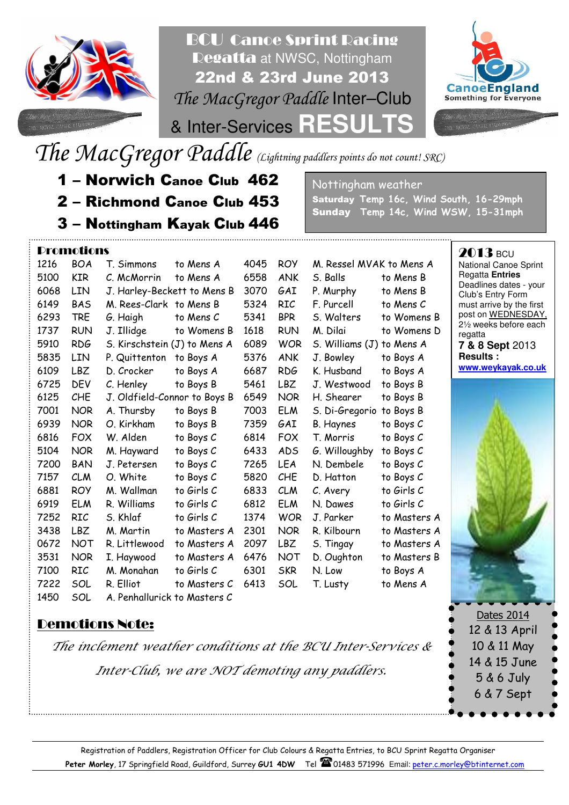

BCU Canoe Sprint Racing Regatta at NWSC, Nottingham 22nd & 23rd June 2013 The MacGregor Paddle Inter–Club



& Inter-Services **RESULTS**

The MacGregor Paddle (Lightning paddlers points do not count! SRC)

- 1 Norwich Canoe Club 462
- 2 Richmond Canoe Club 453
- 3 Nottingham Kayak Club 446

M. Hayward<br>J. Petersen Promotions 1216 BOA T. Simmons to Mens A 4045 ROY M. Ressel MVAK to Mens A 5100 KIR C. McMorrin to Mens A 6558 ANK S. Balls to Mens B 6068 LIN J. Harley-Beckett to Mens B 3070 GAI P. Murphy to Mens B 6149 BAS M. Rees-Clark to Mens B 5324 RIC F. Purcell to Mens C 6293 TRE G. Haigh to Mens C 5341 BPR S. Walters to Womens B 1737 RUN J. Illidge to Womens B 1618 RUN M. Dilai to Womens D 5910 RDG S. Kirschstein (J) to Mens A 6089 WOR S. Williams (J) to Mens A 5835 LIN P. Quittenton to Boys A 5376 ANK J. Bowley to Boys A 6109 LBZ D. Crocker to Boys A 6687 RDG K. Husband to Boys A 6725 DEV C. Henley to Boys B 5461 LBZ J. Westwood to Boys B 6125 CHE J. Oldfield-Connor to Boys B 6549 NOR H. Shearer to Boys B 7001 NOR A. Thursby to Boys B 7003 ELM S. Di-Gregorio to Boys B 6939 NOR O. Kirkham to Boys B 7359 GAI B. Haynes to Boys C 6816 FOX W. Alden to Boys C 6814 FOX T. Morris to Boys C 5104 NOR M. Hayward to Boys C 6433 ADS G. Willoughby to Boys C 7200 BAN J. Petersen to Boys C 7265 LEA N. Dembele to Boys C 7157 CLM O. White to Boys C 5820 CHE D. Hatton to Boys C 6881 ROY M. Wallman to Girls C 6833 CLM C. Avery to Girls C 6919 ELM R. Williams to Girls C 6812 ELM N. Dawes to Girls C 7252 RIC S. Khlaf to Girls C 1374 WOR J. Parker to Masters A 3438 LBZ M. Martin to Masters A 2301 NOR R. Kilbourn to Masters A 0672 NOT R. Littlewood to Masters A 2097 LBZ S. Tingay to Masters A 3531 NOR I. Haywood to Masters A 6476 NOT D. Oughton to Masters B 7100 RIC M. Monahan to Girls C 6301 SKR N. Low to Boys A 7222 SOL R. Elliot to Masters C 6413 SOL T. Lusty to Mens A 1450 SOL A. Penhallurick to Masters C

## Demotions Note:

The inclement weather conditions at the BCU Inter-Services & Inter-Club, we are NOT demoting any paddlers.

Nottingham weather Saturday Temp 16c, Wind South, 16-29mph Sunday Temp 14c, Wind WSW, 15-31mph

> 2013 BCU National Canoe Sprint Regatta **Entries** Deadlines dates - your Club's Entry Form must arrive by the first post on WEDNESDAY, 2½ weeks before each regatta **7 & 8 Sept** 2013 **Results : www.weykayak.co.uk**



Dates 2014 12 & 13 April 10 & 11 May 14 & 15 June 5 & 6 July 6 & 7 Sept

Registration of Paddlers, Registration Officer for Club Colours & Regatta Entries, to BCU Sprint Regatta Organiser Peter Morley, 17 Springfield Road, Guildford, Surrey GU1 4DW Tel 201483 571996 Email: peter.c.morley@btinternet.com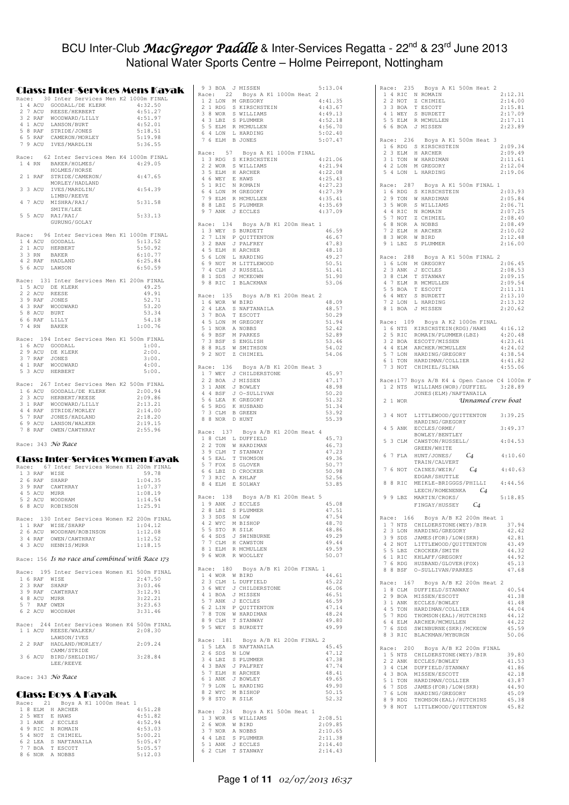### BCU Inter-Club *MacGregor Paddle* & Inter-Services Regatta - 22<sup>nd</sup> & 23<sup>rd</sup> June 2013 National Water Sports Centre – Holme Peirrepont, Nottingham

|   |                    | Class: Inter-Services Mens Kayak                                                                                                                                             |  |
|---|--------------------|------------------------------------------------------------------------------------------------------------------------------------------------------------------------------|--|
|   |                    | Race: 30 Inter Services Men K2 1000m FINAL                                                                                                                                   |  |
| 1 | 2 7 ACU            | 4 ACU GOODALL/DE KLERK<br>4:32.50<br>REESE/HERBERT<br>4:51.27                                                                                                                |  |
|   |                    | 4:51.97                                                                                                                                                                      |  |
|   |                    | 4:52.01                                                                                                                                                                      |  |
|   |                    | 5:18.51                                                                                                                                                                      |  |
|   |                    | 2 / ACU KEELS/MODWARD/LILLY<br>3 2 RAF WOODWARD/LILLY<br>4 1 ACU LANSON/BURT<br>5 8 RAF STRIDE/JONES<br>6 5 RAF CAMERON/MORLEY<br>7 9 ACU IVES/MARDLIN<br>5:19.98<br>5:36.55 |  |
|   |                    |                                                                                                                                                                              |  |
|   | Race:              | 62 Inter Services Men K4 1000m FINAL                                                                                                                                         |  |
|   | 1 4 RN             | BAKER/HOLMES/<br>4:29.05<br>HOLMES/HORSE                                                                                                                                     |  |
|   | 2 1 RAF            | STRIDE/CAMERON/<br>4:47.65                                                                                                                                                   |  |
|   |                    | MORLEY/HADLAND                                                                                                                                                               |  |
|   | 3 3 ACU            | IVES/MARDLIN/<br>4:54.39                                                                                                                                                     |  |
|   |                    | LIMBU/REEVE<br>4 7 ACU MISHRA/RAI/<br>5:31.58                                                                                                                                |  |
|   |                    | SMITH/LEE                                                                                                                                                                    |  |
|   | 5 5 ACU            | 5:33.13<br>RAI/RAI/                                                                                                                                                          |  |
|   |                    | GURUNG/GOLAY                                                                                                                                                                 |  |
|   |                    | Race: 96 Inter Services Men K1 1000m FINAL                                                                                                                                   |  |
|   |                    | 1 4 ACU GOODALL<br>5:13.52                                                                                                                                                   |  |
|   | 2 1 ACU<br>3 3 RN  | 5:50.92<br>HERBERT<br>BAKER<br>6:10.77                                                                                                                                       |  |
|   | 4 2 RAF            | 6:25.84                                                                                                                                                                      |  |
|   |                    | $\begin{tabular}{cc} 4 & 2 \quad \text{RAF} & \quad \text{HADLAND} \\ 5 & 6 \quad \text{ACU} & \quad \text{LAWSON} \end{tabular}$<br>6:50.59                                 |  |
|   |                    | Race: 131 Inter Services Men K1 200m FINAL                                                                                                                                   |  |
|   |                    | 1 5 ACU DE KLERK<br>49.25                                                                                                                                                    |  |
|   | 2 2 ACU            | 49.91<br>REESE                                                                                                                                                               |  |
|   |                    | 52.71<br>3 9 RAF JONES                                                                                                                                                       |  |
|   |                    | 4 3 RAF WOODWARD<br>53.20<br>53.34                                                                                                                                           |  |
|   |                    | 54.18                                                                                                                                                                        |  |
|   |                    | 5 8 ACU BURT<br>6 6 RAF LILLY<br>7 4 RN BAKER<br>1:00.76                                                                                                                     |  |
|   |                    | Race: 194 Inter Services Men K1 500m FINAL                                                                                                                                   |  |
|   |                    | $1\,$ 6 ACU $\,$ GOODALL<br>1:00.                                                                                                                                            |  |
|   |                    | 2 9 ACU DE KLERK<br>2:00.                                                                                                                                                    |  |
|   |                    | 3 7 RAF JONES<br>4 1 RAF WOODWARD<br>3:00.                                                                                                                                   |  |
|   |                    | 4:00.<br>5 3 ACU HERBERT<br>5:00.                                                                                                                                            |  |
|   |                    |                                                                                                                                                                              |  |
|   |                    | Race: 267 Inter Services Men K2 500m FINAL                                                                                                                                   |  |
|   |                    | 1 6 ACU GOODALL/DE KLERK<br>2:00.94                                                                                                                                          |  |
|   |                    | 2 3 ACU HERBERT/REESE<br>2:09.86<br>3 1 RAF WOODWARD/LILLY<br>2:13.21                                                                                                        |  |
|   |                    | 4 4 RAF STRIDE/MORLEY<br>2:14.00                                                                                                                                             |  |
|   |                    | 5 7 RAF JONES/HADLAND<br>2:18.20                                                                                                                                             |  |
|   |                    | 6 9 ACU LANSON/WALKER<br>2:19.15<br>7 8 RAF OWEN/CAWTHRAY<br>2:55.96                                                                                                         |  |
|   |                    |                                                                                                                                                                              |  |
|   |                    |                                                                                                                                                                              |  |
|   |                    | Race: 343 <i>No Race</i>                                                                                                                                                     |  |
|   |                    |                                                                                                                                                                              |  |
|   |                    | Class: Inter-Services Women Kayak                                                                                                                                            |  |
|   |                    | Race: 67 Inter Services Women K1 200m FINAL                                                                                                                                  |  |
|   |                    | 59.78<br>1:04.35                                                                                                                                                             |  |
|   |                    | 1 3 RAF WISE<br>2 6 RAF SHARP<br>3 9 RAF CAWTHRAY<br>1:07.37                                                                                                                 |  |
|   |                    | 1:08.19                                                                                                                                                                      |  |
|   |                    | 4 5 ACU MURR<br>5 2 ACU WOODHAM<br>1:14.54<br>6 8 ACU ROBINSON<br>1:25.91                                                                                                    |  |
|   |                    |                                                                                                                                                                              |  |
|   |                    | Race: 130 Inter Services Women K2 200m FINAL                                                                                                                                 |  |
|   |                    | 1 1 RAF WISE/SHARP<br>1:04.12<br>2 6 ACU WOODHAM/ROBINSON<br>1:12.08                                                                                                         |  |
|   |                    | 1:12.52                                                                                                                                                                      |  |
|   |                    | 3 4 RAF OWEN/CAWTHRAY<br>4 3 ACU HENNIS/MURR<br>1:18.15                                                                                                                      |  |
|   |                    | Race: 156 Is no race and combined with Race 173                                                                                                                              |  |
|   |                    |                                                                                                                                                                              |  |
|   |                    | Race: 195 Inter Services Women K1 500m FINAL                                                                                                                                 |  |
|   | 1 6 RAF            | WISE<br>2:47.50<br>SHARP<br>3:03.46                                                                                                                                          |  |
|   | 2 3 RAF<br>3 9 RAF | CAWTHRAY<br>3:12.91                                                                                                                                                          |  |
|   |                    | 4 8 ACU MURR<br>3:22.21                                                                                                                                                      |  |
|   |                    | 5 7 RAF OWEN<br>3:23.63                                                                                                                                                      |  |
|   |                    | 6 2 ACU WOODHAM<br>3:31.46                                                                                                                                                   |  |
|   |                    | Race: 244 Inter Services Women K4 500m FINAL                                                                                                                                 |  |
|   |                    | 1 1 ACU REESE/WALKER/<br>2:08.30                                                                                                                                             |  |
|   | 2 2 RAF            | LAWSON/IVES<br>HADLAND/MORLEY/<br>2:09.24                                                                                                                                    |  |
|   |                    | CAMM/STRIDE                                                                                                                                                                  |  |
|   | 3 6 ACU            | 3:28.84<br>BIRD/SHELDING/                                                                                                                                                    |  |
|   |                    | LEE/REEVE                                                                                                                                                                    |  |
|   |                    | Race: 343 <i>No Race</i>                                                                                                                                                     |  |
|   |                    |                                                                                                                                                                              |  |
|   |                    | Class: Boys A Kayak                                                                                                                                                          |  |
|   |                    | Race: 21 Boys A K1 1000m Heat 1                                                                                                                                              |  |
|   |                    | 1 8 ELM H ARCHER<br>4:51.28<br>4:51.82                                                                                                                                       |  |
|   |                    | 2 5 WEY E HAWS<br>4:52.94                                                                                                                                                    |  |
|   |                    | 4:53.03                                                                                                                                                                      |  |
|   |                    | 3 1 ANK J ECCLES<br>4 9 RIC N ROMAIN<br>5 4 NOT Z CHIMIEL<br>5:00.21                                                                                                         |  |
|   |                    | 6 2 LEA S NAFTANAILA<br>5:05.47<br>7 7 BOA T ESCOTT<br>5:05.57<br>8 6 NOR A NOBBS<br>5:12.03                                                                                 |  |

| 9 3 BOA J MISSEN                                                                                                                                         | Race: 22 Boys A K1 1000m Heat 2                                                              | 5:13.04            |
|----------------------------------------------------------------------------------------------------------------------------------------------------------|----------------------------------------------------------------------------------------------|--------------------|
| 1 2 LON M GREGORY                                                                                                                                        |                                                                                              | 4:41.35<br>4:43.67 |
|                                                                                                                                                          |                                                                                              | 4:49.13            |
|                                                                                                                                                          |                                                                                              | 4:52.18            |
|                                                                                                                                                          | 2 1 RDG S KIRSCHSTEIN<br>3 8 WOR S WILLIAMS<br>4 3 LBZ S PLUMMER<br>5 5 ELM R MCMULLEN       | 4:56.70            |
| 6 4 LON L HARDING                                                                                                                                        |                                                                                              | 5:02.40            |
| 7 6 ELM B JONES                                                                                                                                          |                                                                                              | 5:07.47            |
|                                                                                                                                                          | Race: 57 Boys A K1 1000m FINAL                                                               |                    |
|                                                                                                                                                          | 1 3 RDG S KIRSCHSTEIN                                                                        | 4:21.06            |
| 2 2 WOR S WILLIAMS<br>3 5 ELM H ARCHER<br>4 6 WEY E HAWS<br>5 1 RIC N ROMAIN                                                                             |                                                                                              | 4:21.94<br>4:22.08 |
|                                                                                                                                                          |                                                                                              | 4:25.43            |
|                                                                                                                                                          |                                                                                              | 4:27.23            |
|                                                                                                                                                          |                                                                                              | 4:27.39            |
|                                                                                                                                                          |                                                                                              | 4:35.41<br>4:35.69 |
| 6 4 LON M GREGORY<br>7 9 ELM R MCMULLEN<br>8 8 LBZ S PLUMMER<br>9 7 ANK J ECCLES                                                                         |                                                                                              | 4:37.09            |
|                                                                                                                                                          |                                                                                              |                    |
|                                                                                                                                                          | Race: 134 Boys A/B K1 200m Heat 1                                                            |                    |
| 1 3 WEY S BURDETT                                                                                                                                        | 2 7 LIN P QUITTENTON                                                                         | 46.59<br>46.67     |
| 3 2 BAN J PALFREY                                                                                                                                        |                                                                                              | 47.83              |
|                                                                                                                                                          |                                                                                              | 48.10              |
|                                                                                                                                                          | 4 5 ELM H ARCHER<br>5 6 LON L HARDING<br>6 9 NOT M LITTLEWOOD<br>7 4 CLM J RUSSELL<br>1      | 49.27<br>50.51     |
|                                                                                                                                                          |                                                                                              | 51.41              |
| 8 1 SDS J MCKEOWN                                                                                                                                        |                                                                                              | 51.90              |
| 9 8 RIC                                                                                                                                                  | I BLACKMAN                                                                                   | 53.06              |
|                                                                                                                                                          | Race: 135 Boys A/B K1 200m Heat 2                                                            |                    |
| 1 6 WOR W BIRD                                                                                                                                           |                                                                                              | 48.09              |
|                                                                                                                                                          | 2 4 LEA S NAFTANAILA<br>3 7 BOA T ESCOTT<br>4 5 LON M GREGORY                                | 48.57              |
|                                                                                                                                                          |                                                                                              | 50.29<br>51.94     |
| 5 1 NOR A NOBBS                                                                                                                                          |                                                                                              | 52.42              |
|                                                                                                                                                          |                                                                                              | 52.89              |
| 6 9 BSF M PARKES<br>7 3 BSF S ENGLISH<br>8 8 RLS W SMITHSON                                                                                              |                                                                                              | 53.46              |
| 9 2 NOT Z CHIMIEL                                                                                                                                        |                                                                                              | 54.02<br>54.06     |
|                                                                                                                                                          |                                                                                              |                    |
|                                                                                                                                                          | Race: 136 Boys A/B K1 200m Heat 3                                                            |                    |
|                                                                                                                                                          | 1 7 WEY J CHILDERSTONE                                                                       | 45.97              |
| 2 2 BOA                                                                                                                                                  | J MISSEN                                                                                     | 47.17<br>48.98     |
|                                                                                                                                                          | $\begin{tabular}{llll} 3& 1 & ANK & J & BOWLEY \\ 4& 4 & BSF & J & O-SULLIVAN \end{tabular}$ | 50.20              |
|                                                                                                                                                          |                                                                                              | 51.32              |
|                                                                                                                                                          |                                                                                              | 51.34<br>53.92     |
| $\begin{tabular}{llllll} 5 & 6 & LEA & K { GREGORY} \\ 6 & 5 & RDG & K { HUSBAND} \\ 7 & 3 & CLM & B { GREEN} \\ 8 & 8 & NOR & D { HUNT } \end{tabular}$ |                                                                                              | 55.39              |
|                                                                                                                                                          |                                                                                              |                    |
| Race: 137                                                                                                                                                | Boys A/B K1 200m Heat 4                                                                      |                    |
|                                                                                                                                                          |                                                                                              |                    |
|                                                                                                                                                          |                                                                                              | 45.73              |
| 1 8 CLM L DUFFIELD<br>2 2 TON W HARDIMAN                                                                                                                 |                                                                                              | 46.73<br>47.23     |
|                                                                                                                                                          |                                                                                              | 49.36              |
| 3 9 CLM T STANWAY<br>4 5 EAL T THOMSON<br>5 7 FOX S GLOVER                                                                                               |                                                                                              | 50.77              |
| 6 6 LBZ D CROCKER                                                                                                                                        |                                                                                              | 50.98<br>52.56     |
| $7\,$ 3 RIC $\,$ A KHLAF<br>8 4 ELM E SOLWAY                                                                                                             |                                                                                              | 53.85              |
|                                                                                                                                                          |                                                                                              |                    |
|                                                                                                                                                          | Race: 138 Boys A/B K1 200m Heat 5                                                            |                    |
| 1 9 ANK J ECCLES<br>2 8 LBZ                                                                                                                              | S PLUMMER                                                                                    | 45.08<br>47.51     |
| 3 3 SDS                                                                                                                                                  | N LOW                                                                                        | 47.54              |
| 4 2 WYC                                                                                                                                                  | M BISHOP                                                                                     | 48.70              |
|                                                                                                                                                          |                                                                                              | 48.86<br>49.29     |
|                                                                                                                                                          | 5 5 STO R SILK<br>6 4 SDS J SWINBURNE                                                        | 49.44              |
| $\begin{tabular}{cc} 7 & 7 & \texttt{CLM} & \texttt{H} & \texttt{CAWSTON} \\ 8 & 1 & \texttt{ELM} & \texttt{R} & \texttt{MCMULLEN} \end{tabular}$        |                                                                                              | 49.59              |
| 9 6 WOR R WOOLLEY                                                                                                                                        |                                                                                              | 50.07              |
| Race: 180                                                                                                                                                | Boys A/B K1 200m FINAL 1                                                                     |                    |
| 1 4 WOR W BIRD                                                                                                                                           |                                                                                              | 44.61              |
| 2 3 CLM                                                                                                                                                  | L DUFFIELD                                                                                   | 45.22              |
| 3 6 WEY<br>4 1 BOA J MISSEN                                                                                                                              | J CHILDERSTONE                                                                               | 46.06<br>46.51     |
| 5 7 ANK                                                                                                                                                  | J ECCLES                                                                                     | 46.59              |
|                                                                                                                                                          |                                                                                              | 47.14              |
| 8 9 CLM T STANWAY                                                                                                                                        | 6 2 LIN P QUITTENTON<br>7 8 TON W HARDIMAN                                                   | 48.24<br>49.80     |
| 9 5 WEY S BURDETT                                                                                                                                        |                                                                                              | 49.99              |
|                                                                                                                                                          |                                                                                              |                    |
| Race: 181                                                                                                                                                | Boys A/B K1 200m FINAL 2<br>1 5 LEA S NAFTANAILA                                             | 45.45              |
| 2 6 SDS N LOW                                                                                                                                            |                                                                                              | 47.12              |
| 4 LBZ<br>3                                                                                                                                               | S PLUMMER                                                                                    | 47.38              |
| 4 3 BAN J PALFREY<br>5 7 ELM H ARCHER                                                                                                                    |                                                                                              | 47.74<br>48.41     |
|                                                                                                                                                          |                                                                                              | 49.65              |
|                                                                                                                                                          | L HARDING                                                                                    | 49.90              |
| 6 1 ANK J BOWLEY<br>7 9 LON L HARDIN<br>8 2 WYC M BISHOP                                                                                                 |                                                                                              | 50.15              |
| 9 8 STO R SILK                                                                                                                                           |                                                                                              | 52.32              |
| Race: 234                                                                                                                                                | Boys A K1 500m Heat 1                                                                        |                    |
| 1 3 WOR S WILLIAMS                                                                                                                                       |                                                                                              | 2:08.51            |
| 2 6 WOR<br>7 NOR A NOBBS<br>3                                                                                                                            | W BIRD                                                                                       | 2:09.85<br>2:10.65 |
|                                                                                                                                                          |                                                                                              | 2:11.38            |
| 4 4 LBZ S PLUMMER<br>5 1 ANK J ECCLES<br>6 2 CLM T STANWAY                                                                                               |                                                                                              | 2:14.40<br>2:14.43 |

|        |                  | Race: 235               |     | Boys A K1 500m Heat                                                                                                                              |    |                   | $\overline{2}$ |  |                    |  |
|--------|------------------|-------------------------|-----|--------------------------------------------------------------------------------------------------------------------------------------------------|----|-------------------|----------------|--|--------------------|--|
| 1      |                  | 4 RIC                   |     | N ROMAIN                                                                                                                                         |    |                   |                |  | 2:12.31            |  |
| 2      |                  | 2 NOT                   |     | Z CHIMIEL                                                                                                                                        |    |                   |                |  | 2:14.00            |  |
| 3<br>4 |                  | 3 BOA<br>1 WEY          |     | T ESCOTT<br>S BURDETT                                                                                                                            |    |                   |                |  | 2:15.81<br>2:17.09 |  |
| 5      |                  | 5 ELM                   |     | R MCMULLEN                                                                                                                                       |    |                   |                |  | 2:17.11            |  |
| 6      |                  | 6 BOA                   |     | J MISSEN                                                                                                                                         |    |                   |                |  | 2:23.89            |  |
| Race:  |                  | 236                     |     | Boys A K1 500m Heat 3                                                                                                                            |    |                   |                |  |                    |  |
| 1      |                  | 6 RDG                   | - S | KIRSCHSTEIN                                                                                                                                      |    |                   |                |  | 2:09.34            |  |
| 2      |                  | 3 ELM                   |     | H ARCHER                                                                                                                                         |    |                   |                |  | 2:09.49            |  |
| 3<br>4 |                  | 1 TON<br>2 LON          |     | W HARDIMAN<br>M GREGORY                                                                                                                          |    |                   |                |  | 2:11.61<br>2:12.04 |  |
| 5      |                  | 4 LON                   |     | L HARDING                                                                                                                                        |    |                   |                |  | 2:19.06            |  |
| Race:  |                  |                         | 287 | Boys A K1 500m FINAL 1                                                                                                                           |    |                   |                |  |                    |  |
| 1      | 6                | <b>RDG</b>              |     | S KIRSCHSTEIN                                                                                                                                    |    |                   |                |  | 2:03.93            |  |
| 2      | 9                | TON                     |     | W HARDIMAN                                                                                                                                       |    |                   |                |  | 2:05.84            |  |
| 3      |                  | 5 WOR                   |     | S WILLIAMS                                                                                                                                       |    |                   |                |  | 2:06.71            |  |
| 4<br>5 |                  | 4 RIC<br>7 NOT          |     | N ROMAIN<br>Z CHIMIEL                                                                                                                            |    |                   |                |  | 2:07.25<br>2:08.40 |  |
| 6      |                  | 8 NOR                   |     | A NOBBS                                                                                                                                          |    |                   |                |  | 2:08.49            |  |
| 7      |                  | 2 ELM                   |     | H ARCHER                                                                                                                                         |    |                   |                |  | 2:10.02            |  |
| 8<br>9 |                  | 3 WOR<br>1 LBZ          |     | W BIRD<br>S PLUMMER                                                                                                                              |    |                   |                |  | 2:12.48<br>2:16.00 |  |
|        |                  |                         |     |                                                                                                                                                  |    |                   |                |  |                    |  |
| Race:  |                  | 288                     |     | Boys A K1 500m FINAL 2                                                                                                                           |    |                   |                |  |                    |  |
| 1<br>2 | 6                | 3 ANK                   | J   | LON M GREGORY<br><b>ECCLES</b>                                                                                                                   |    |                   |                |  | 2:06.45<br>2:08.53 |  |
| 3      |                  | 8 CLM                   |     | T STANWAY                                                                                                                                        |    |                   |                |  | 2:09.15            |  |
| 4      |                  | 7 ELM                   |     | R MCMULLEN                                                                                                                                       |    |                   |                |  | 2:09.54            |  |
| 5      |                  | 5 BOA                   | T   | <b>ESCOTT</b>                                                                                                                                    |    |                   |                |  | 2:11.31            |  |
| 6<br>7 |                  | 4 WEY<br>2 LON          |     | S BURDETT<br>L HARDING                                                                                                                           |    |                   |                |  | 2:13.10<br>2:13.32 |  |
| 8      | 1                | BOA                     |     | J MISSEN                                                                                                                                         |    |                   |                |  | 2:20.62            |  |
|        |                  |                         |     |                                                                                                                                                  |    |                   |                |  |                    |  |
| 1      |                  | Race: 109<br>6 NTS      |     | Boys A K2 1000m FINAL<br>KIRSCHSTEIN (RDG) / HAWS                                                                                                |    |                   |                |  | 4:16.12            |  |
| 2      |                  | 5 RIC                   |     | ROMAIN/PLUMMER (LBZ)                                                                                                                             |    |                   |                |  | 4:20.48            |  |
| 3      |                  | 2 BOA                   |     | ESCOTT/MISSEN                                                                                                                                    |    |                   |                |  | 4:23.41            |  |
| 5      | $\boldsymbol{7}$ | 4 4 ELM<br>$_{\rm LON}$ |     | ARCHER/MCMULLEN<br>HARDING/GREGORY                                                                                                               |    |                   |                |  | 4:24.02<br>4:38.54 |  |
| 6      | 1                | TON                     |     | HARDIMAN/COLLIER                                                                                                                                 |    |                   |                |  | 4:41.82            |  |
| 7      |                  | 3 NOT                   |     | CHIMIEL/SLIWA                                                                                                                                    |    |                   |                |  | 4:55.06            |  |
|        |                  |                         |     | Race: 177 Boys A/B K4 & Open Canoe C4 1000m F                                                                                                    |    |                   |                |  |                    |  |
|        |                  | 1 2 NTS                 |     | WILLIAMS (WOR) / DUFFIEL                                                                                                                         |    |                   |                |  | 3:28.89            |  |
|        |                  |                         |     | JONES (ELM) / NAFTANAILA                                                                                                                         |    |                   |                |  |                    |  |
|        | $\mathbf 1$      | <b>WOR</b>              |     |                                                                                                                                                  |    |                   |                |  |                    |  |
| 2      |                  |                         |     |                                                                                                                                                  |    | Unnamed crew boat |                |  |                    |  |
| 3      | 4                | NOT                     |     | LITTLEWOOD/QUITTENTON                                                                                                                            |    |                   |                |  | 3:39.25            |  |
|        |                  |                         |     | HARDING/GREGORY                                                                                                                                  |    |                   |                |  |                    |  |
| 4      | 5                | ANK                     |     | ECCLES/ORME/<br>BOWLEY/BENTLEY                                                                                                                   |    |                   |                |  | 3:49.37            |  |
| 5      | 3                | CLM                     |     | CAWSTON/RUSSELL/                                                                                                                                 |    |                   |                |  | 4:04.53            |  |
| 6      | 7                | FLA                     |     | GREEN/WHITE<br>HUNT/JONES/                                                                                                                       | C4 |                   |                |  | 4:10.60            |  |
|        |                  |                         |     | TRAIN/CALVERT                                                                                                                                    |    |                   |                |  |                    |  |
| 7      | 6                | NOT                     |     | CAINES/WEIR/                                                                                                                                     | C4 |                   |                |  | 4:40.63            |  |
| 8      | 8                | RIC                     |     | EDGAR/SHUTTLE<br>MEIKLE-BRIGGGS/PHILLI                                                                                                           |    |                   |                |  | 4:44.56            |  |
|        |                  |                         |     | LEECH/ROMENENKA                                                                                                                                  |    | $C_4$             |                |  |                    |  |
| 9      | 9                | LBZ                     |     | MARTIN/CROKS/                                                                                                                                    |    |                   |                |  | 5:18.85            |  |
|        |                  |                         |     | FINGAY/HUSSEY                                                                                                                                    |    | C4                |                |  |                    |  |
|        |                  |                         |     | Race: 166 Boys A/B K2 200m Heat 1                                                                                                                |    |                   |                |  |                    |  |
|        |                  |                         |     | 1 7 NTS CHILDERSTONE (WEY) /BIR                                                                                                                  |    |                   |                |  | 37.94              |  |
|        |                  | 2 3 LON                 |     | HARDING/GREGORY                                                                                                                                  |    |                   |                |  | 42.42              |  |
|        |                  | 3 9 SDS<br>4 2 NOT      |     | JAMES (FOR) / LOW (SKR)<br>LITTLEWOOD/QUITTENTON                                                                                                 |    |                   |                |  | 42.81<br>43.49     |  |
|        |                  |                         |     | 4 Z NOI EIIILEWOOD/QU                                                                                                                            |    |                   |                |  | 44.32              |  |
|        |                  |                         |     |                                                                                                                                                  |    |                   |                |  | 44.92              |  |
|        |                  |                         |     |                                                                                                                                                  |    |                   |                |  | 45.13<br>47.68     |  |
|        |                  |                         |     | 6 1 RIC KHLAFF/GREGORY<br>7 6 RDG HUSBAND/GLOVER(FOX)<br>8 8 BSF O-SULLIVAN/PARKES                                                               |    |                   |                |  |                    |  |
|        |                  | Race: 167               |     | Boys A/B K2 200m Heat 2                                                                                                                          |    |                   |                |  |                    |  |
|        |                  |                         |     | 1 8 CLM DUFFIELD/STANWAY<br>2 9 BOA MISSEN/ESCOTT                                                                                                |    |                   |                |  | 40.54<br>41.38     |  |
|        |                  |                         |     |                                                                                                                                                  |    |                   |                |  | 41.48              |  |
|        |                  |                         |     |                                                                                                                                                  |    |                   |                |  | 44.04              |  |
|        |                  |                         |     |                                                                                                                                                  |    |                   |                |  | 44.12              |  |
|        |                  |                         |     | 3 1 ANK ECCLES/BOWLEY<br>4 5 TON HARDIMAN/COLLIER<br>5 7 RDG THOMSON(EAL)/HUTCHINS<br>6 4 ELM ARCHER/MOWLLEN<br>7 6 SDS SWINBURNE (SKR) / MCKEOW |    |                   |                |  | 44.22<br>45.59     |  |
|        |                  | 8 3 RIC                 |     | BLACKMAN/MYBURGN                                                                                                                                 |    |                   |                |  | 50.06              |  |
|        |                  | Race: 200               |     | Boys A/B K2 200m FINAL                                                                                                                           |    |                   |                |  |                    |  |
|        |                  |                         |     | 1 5 NTS CHILDERSTONE (WEY) / BIR                                                                                                                 |    |                   |                |  | 39.80              |  |
|        |                  |                         |     | 2 2 ANK ECCLES/BOWLEY                                                                                                                            |    |                   |                |  | 41.53              |  |
|        |                  |                         |     |                                                                                                                                                  |    |                   |                |  | 41.86<br>42.18     |  |
|        |                  |                         |     | 3 4 CLM DUFFIELD/STANWAY<br>4 3 BOA MISSEN/ESCOTT<br>5 1 TON HARDIMAN/COLLIER                                                                    |    |                   |                |  | 43.87              |  |
|        |                  |                         |     |                                                                                                                                                  |    |                   |                |  | 44.90              |  |
|        |                  | 8 9 RDG                 |     | 6 7 SDS JAMES (FOR) / LOW (SKR)<br>7 6 LON HARDING/GREGORY<br>THOMSON(EAL)/HUTCHINS                                                              |    |                   |                |  | 45.09<br>45.38     |  |
|        |                  |                         |     | 9 8 NOT LITTLEWOOD/QUITTENTON                                                                                                                    |    |                   |                |  | 45.82              |  |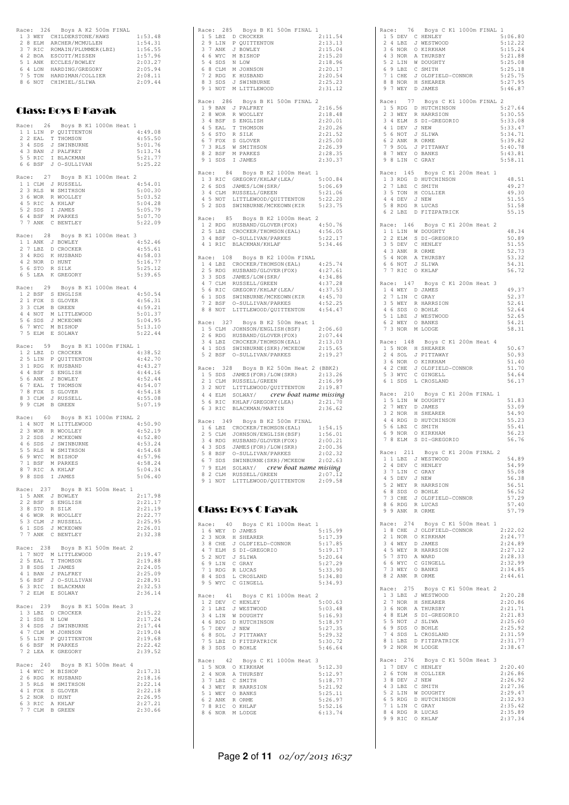|   |                  | Race: 326 Boys A K2 500m FINAL                                                                                                                                                                                             |                        |                               |
|---|------------------|----------------------------------------------------------------------------------------------------------------------------------------------------------------------------------------------------------------------------|------------------------|-------------------------------|
|   |                  | AGE: J20 BUYS A AZ JUMI FINAL<br>13 WEY CHILDERSTONE/HAWS<br>2 8 ELM ARCHER/MCMULLEN<br>2 7 RIC ROMAIN/PLUMMER(LBZ)<br>4 2 BOA ESCOTT/MISSEN<br>5 1 ANK ECCLES/BOWLEY<br>7 5 TON HARDIMAN/COLLIER<br>8 6 NOT CHIMIEL/SLIWA |                        | 1:53.48<br>1:54.31            |
|   |                  |                                                                                                                                                                                                                            |                        | 1:56.55                       |
|   |                  |                                                                                                                                                                                                                            |                        | 1:57.96                       |
|   |                  |                                                                                                                                                                                                                            |                        | 2:03.27                       |
|   |                  |                                                                                                                                                                                                                            |                        | 2:05.94<br>2:08.11            |
|   |                  |                                                                                                                                                                                                                            |                        | 2:09.44                       |
|   |                  |                                                                                                                                                                                                                            |                        |                               |
|   |                  |                                                                                                                                                                                                                            |                        |                               |
|   |                  | Class: Boys B Kayak                                                                                                                                                                                                        |                        |                               |
|   |                  |                                                                                                                                                                                                                            |                        |                               |
|   |                  | Race: 26 Boys B K1 1000m Heat<br>1 1 LIN P QUITTENTON                                                                                                                                                                      |                        | 1<br>4:49.08                  |
|   | 2 2 EAL          | T THOMSON                                                                                                                                                                                                                  |                        | 4:55.50                       |
|   |                  |                                                                                                                                                                                                                            |                        | 5:01.76                       |
|   |                  |                                                                                                                                                                                                                            |                        | 5:13.74<br>5:21.77            |
|   |                  | 3 4 SDS J SWINBURNE<br>4 3 BAN J PALFREY<br>5 5 RIC I BLACKMAN<br>6 6 BSF J O-SULLIVAN                                                                                                                                     |                        | 5:25.22                       |
|   |                  |                                                                                                                                                                                                                            |                        |                               |
|   |                  | Race: 27 Boys B K1 1000m Heat 2<br>1 1 CLM J RUSSELL                                                                                                                                                                       |                        | 4:54.01                       |
|   | 2 3 RLS          | W SMITHSON                                                                                                                                                                                                                 |                        | 5:00.30                       |
|   |                  |                                                                                                                                                                                                                            |                        | 5:03.52                       |
|   |                  |                                                                                                                                                                                                                            |                        | 5:04.28<br>5:05.79            |
|   |                  |                                                                                                                                                                                                                            |                        | 5:07.70                       |
|   |                  | 2 5 NOR R WOOLLEY<br>4 5 RIC A KHLAF<br>5 2 SDS I JAMES<br>6 4 BSF M PARKES<br>7 7 ANK C BENTLEY                                                                                                                           |                        | 5:22.09                       |
|   |                  | Race: 28 Boys B K1 1000m Heat 3                                                                                                                                                                                            |                        |                               |
|   |                  | 1 1 ANK J BOWLEY                                                                                                                                                                                                           |                        | 4:52.46                       |
|   |                  |                                                                                                                                                                                                                            |                        | 4:55.61                       |
|   |                  |                                                                                                                                                                                                                            |                        | 4:58.03                       |
|   |                  |                                                                                                                                                                                                                            |                        | 5:16.77<br>5:25.12            |
|   |                  | 27 LEZ D CROCKER<br>34 RDG K HUSBAND<br>42 NOR D HUNT<br>56 STO R SILK<br>65 LEA K GREGORY                                                                                                                                 |                        | 5:39.65                       |
|   |                  |                                                                                                                                                                                                                            | Boys B K1 1000m Heat 4 |                               |
|   | Race: 29         | ALL 2 BSF S ENGLISH<br>2 1 FOX S GLOVER<br>3 3 CLM B GREEN<br>4 A MOT M LITTLEWOOD<br>5 6 SDS J MCKEOWN<br>6 7 WYC M BISHOP                                                                                                |                        | 4:50.54                       |
|   |                  |                                                                                                                                                                                                                            |                        | 4:56.31                       |
|   |                  |                                                                                                                                                                                                                            |                        | 4:59.21                       |
|   |                  |                                                                                                                                                                                                                            |                        | 5:01.37<br>5:04.95            |
|   |                  |                                                                                                                                                                                                                            |                        | 5:13.10                       |
|   | 7 5 ELM          | E SOLWAY                                                                                                                                                                                                                   |                        | 5:22.44                       |
|   |                  | Race: 59 Boys B K1 1000m FINAL 1                                                                                                                                                                                           |                        |                               |
|   |                  | 12 LBZ D CROCKER<br>2 5 LIN P QUITTENTON<br>3 1 RDG K HUSBAND<br>4 4 BSF S ENGLISH<br>5 6 ANK J BOWLEY<br>7 THOMAGY                                                                                                        |                        | 4:38.52                       |
|   |                  |                                                                                                                                                                                                                            |                        | 4:42.70                       |
|   |                  |                                                                                                                                                                                                                            |                        | 4:43.27<br>4:44.16            |
|   |                  |                                                                                                                                                                                                                            |                        | 4:52.44                       |
|   |                  |                                                                                                                                                                                                                            |                        | 4:54.07                       |
|   |                  |                                                                                                                                                                                                                            |                        | 4:54.18<br>4:55.08            |
|   |                  | 6 7 EAL T THOMSON<br>7 8 FOX S GLOVER<br>8 3 CLM J RUSSELL<br>9 9 CLM B GREEN                                                                                                                                              |                        | 5:07.19                       |
|   |                  |                                                                                                                                                                                                                            |                        |                               |
|   |                  | Race: 60 Boys B K1 1000m FINAL 2<br>1 4 NOT M LITTLEWOOD                                                                                                                                                                   |                        | 4:50.90                       |
|   | 2 3 WOR          | R WOOLLEY                                                                                                                                                                                                                  |                        | 4:52.19                       |
|   |                  |                                                                                                                                                                                                                            |                        | 4:52.80                       |
|   |                  | 3 2 SDS J MCKEOWN<br>4 6 SDS J SWINBURNE<br>5 5 RLS W SMITHSON                                                                                                                                                             |                        | 4:53.24<br>4:54.68            |
|   | 6 9 WYC          | M BISHOP                                                                                                                                                                                                                   |                        | 4:57.96                       |
| 7 | 1 BSF            | M PARKES                                                                                                                                                                                                                   |                        | 4:58.24                       |
| 8 | 7 RIC<br>9 8 SDS | A KHLAF<br>I JAMES                                                                                                                                                                                                         |                        | 5:04.34<br>5:06.40            |
|   |                  |                                                                                                                                                                                                                            |                        |                               |
|   | Race: 237        |                                                                                                                                                                                                                            | Boys B K1 500m Heat 1  | 2:17.98                       |
|   |                  | 1 5 ANK J BOWLEY<br>2 2 BSF S ENGLISH                                                                                                                                                                                      |                        | 2:21.17                       |
|   |                  |                                                                                                                                                                                                                            |                        | 2:21.19                       |
|   |                  |                                                                                                                                                                                                                            |                        | 2:22.77<br>2:25.95            |
|   |                  | 3 8 STO R SILK<br>4 6 WOR R WOOLLEY<br>5 3 CLM J RUSSELL<br>6 1 SDS J MCKEOWN                                                                                                                                              |                        | 2:26.01                       |
|   | 7 7 ANK          | C BENTLEY                                                                                                                                                                                                                  |                        | 2:32.38                       |
|   | Race: 238        | Boys B K1 500m Heat 2                                                                                                                                                                                                      |                        |                               |
| 1 |                  |                                                                                                                                                                                                                            |                        | 2:19.47                       |
|   | 2 5 EAL          | 7 NOT M LITTLEWOOD<br>5 EAL T THOMSON                                                                                                                                                                                      |                        | 2:19.88                       |
|   | 4 1 BAN          | 3 8 SDS I JAMES<br>J PALFREY                                                                                                                                                                                               |                        | 2:24.05<br>2:25.09            |
|   | 5 6 BSF          | J O-SULLIVAN                                                                                                                                                                                                               |                        | 2:28.91                       |
|   | $63$ RIC         | I BLACKMAN<br>7 2 ELM E SOLWAY                                                                                                                                                                                             |                        | 2:32.53                       |
|   |                  |                                                                                                                                                                                                                            |                        | 2:36.14                       |
|   | Race: 239        |                                                                                                                                                                                                                            | Boys B K1 500m Heat 3  |                               |
|   | 2 1 SDS          | 1 3 LBZ D CROCKER                                                                                                                                                                                                          |                        | 2:15.22<br>2:17.24            |
|   | 3 4 SDS          | N LOW<br>J SWINBURNE                                                                                                                                                                                                       |                        | 2:17.44                       |
|   |                  |                                                                                                                                                                                                                            |                        | 2:19.04                       |
|   |                  |                                                                                                                                                                                                                            |                        | 2:19.68                       |
|   |                  | 47 CLM M JOHNSON<br>55 LIN P QUITTENTON<br>66 BSF M PARKES<br>72 LEA K GREGORY                                                                                                                                             |                        | 2:22.42<br>2:39.52            |
|   |                  |                                                                                                                                                                                                                            |                        |                               |
|   | Race: 240        | 1 4 WYC M BISHOP                                                                                                                                                                                                           | Boys B K1 500m Heat 4  | 2:17.31                       |
|   | 2 6 RDG          | K HUSBAND                                                                                                                                                                                                                  |                        | 2:18.16                       |
|   |                  |                                                                                                                                                                                                                            |                        |                               |
|   |                  | W SMITHSON                                                                                                                                                                                                                 |                        | 2:22.14                       |
|   |                  |                                                                                                                                                                                                                            |                        | 2:22.18                       |
|   |                  | E CHE W SMITHS<br>1 1 FOX S GLOVER<br>5 2 NOR D HUNT<br>6 3 RIC A KHLAF<br>7 7 CLM B GREEN                                                                                                                                 |                        | 2:26.95<br>2:27.21<br>2:30.66 |

| Race: 285 Boys B K1 500m FINAL 1                                                                                                                                                                    |                    |
|-----------------------------------------------------------------------------------------------------------------------------------------------------------------------------------------------------|--------------------|
| 1 5 LBZ D CROCKER<br>2 9 LIN P QUITTENTON                                                                                                                                                           | 2:11.54            |
|                                                                                                                                                                                                     | 2:13.13            |
| 3 7 ANK<br>J BOWLEY                                                                                                                                                                                 | 2:15.04<br>2:15.20 |
|                                                                                                                                                                                                     | 2:18.96            |
|                                                                                                                                                                                                     | 2:20.17            |
|                                                                                                                                                                                                     | 2:20.54<br>2:25.23 |
| 9 A MAC DOMAND<br>19 A MAC M JOHNSON<br>6 8 CLM M JOHNSON<br>7 2 RDG K HUSBAND<br>8 3 SDS J SWINBURNE<br>9 1 NOT M LITTLEWOOD                                                                       | 2:31.12            |
| 286<br>Boys B K1 500m FINAL 2<br>Race:                                                                                                                                                              |                    |
| 1 9 BAN J PALFREY                                                                                                                                                                                   | 2:16.56            |
|                                                                                                                                                                                                     | 2:18.48            |
|                                                                                                                                                                                                     | 2:20.01<br>2:20.26 |
|                                                                                                                                                                                                     | 2:21.52            |
| 2 8 WOR R WOOLLEY<br>3 4 BSF S ENGLISH<br>4 5 EAL T THOMSON<br>5 6 STOR R SILK<br>6 7 FOX S GLOVER<br>7 3 RLS W SMITHSON                                                                            | 2:25.00            |
| 8 2 BSF<br>M PARKES                                                                                                                                                                                 | 2:26.39<br>2:28.35 |
| 9 1 SDS I JAMES                                                                                                                                                                                     | 2:30.37            |
| Race: 84 Boys B K2 1000m Heat 1                                                                                                                                                                     |                    |
|                                                                                                                                                                                                     | 5:00.84            |
| 1 3 RIC GREGORY/KHLAF(LEA/<br>2 6 SDS JAMES/LOW(SKR/                                                                                                                                                | 5:06.69            |
| 3 4 CLM RUSSELL/GREEN<br>4 5 NOT LITTLEWOOD/QUITTENTON                                                                                                                                              | 5:21.06<br>5:22.20 |
| 5 2 SDS SWINBURNE/MCKEOWN (KIR                                                                                                                                                                      | 5:23.75            |
| Race: 85 Boys B K2 1000m Heat 2                                                                                                                                                                     |                    |
|                                                                                                                                                                                                     |                    |
| $\begin{tabular}{llll} $1$ & $2$ & RDG & HUSBAND/GLOVER (FOX) & $4:50.76 \\ $2$ & $5$ & LBZ & CROCKER/THOMSON (EAL) & $4:56.05 \\ $3$ & $4$ & BSF & $0–SULLIVAN/PARKES & $5:22.17 \\ \end{tabular}$ |                    |
| 4 1 RIC BLACKMAN/KHLAF                                                                                                                                                                              | 5:34.46            |
|                                                                                                                                                                                                     |                    |
| Race: 108 Boys B K2 1000m FINAL                                                                                                                                                                     |                    |
|                                                                                                                                                                                                     |                    |
|                                                                                                                                                                                                     |                    |
|                                                                                                                                                                                                     |                    |
|                                                                                                                                                                                                     |                    |
| 8 8 NOT LITTLEWOOD/QUITTENTON                                                                                                                                                                       |                    |
|                                                                                                                                                                                                     | 4:54.47            |
| Race: 327 Boys B K2 500m Heat 1                                                                                                                                                                     |                    |
| 1 5 CLM JOHNSON/ENGLISH (BSF)                                                                                                                                                                       | 2:06.60<br>2:07.44 |
| 2 6 RDG HUSBAND/GLOVER(FOX)<br>3 4 LBZ CROCKER/THOMSON(EAL)                                                                                                                                         | 2:13.03            |
|                                                                                                                                                                                                     | 2:15.65            |
|                                                                                                                                                                                                     |                    |
| 4 1 SDS SWINBURNE (SKR)/MCKEOW<br>5 2 BSF 0-SULLIVAN/PARKES                                                                                                                                         | 2:19.27            |
| Race: 328 Boys B K2 500m Heat 2 (BBK2)                                                                                                                                                              |                    |
|                                                                                                                                                                                                     | 2:13.26            |
| 1 5 SDS JAMES (FOR) / LOW (SKR)<br>2 1 CLM RUSSELL / GREEN<br>3 2 NOT LITTLEWOOD / QUITTENTON                                                                                                       | 2:16.99<br>2:19.87 |
|                                                                                                                                                                                                     |                    |
| 4 4 ELM SOLWAY/ crew boat name missing<br>5 6 RIC KHLAF/GREGORY (LEA) 2:21.70                                                                                                                       | 2:36.62            |
| 6 3 RIC BLACKMAN/MARTIN                                                                                                                                                                             |                    |
| Race: 349 Boys B K2 500m FINAL                                                                                                                                                                      | 1:54.15            |
|                                                                                                                                                                                                     | 1:56.01            |
|                                                                                                                                                                                                     | 2:00.21            |
| 16 LBZ CROCKER/THOMSON (EAL)<br>25 CLM JOHNSON/ENGLISH (BSF)<br>34 RDG HUSBAND/GLOVER (FOX)<br>43 SDS JAMES (FOR)/LOW (SKR)<br>5 8 BSF<br>O-SULLIVAN/PARKES                                         | 2:00.36<br>2:02.32 |
|                                                                                                                                                                                                     | 2:02.63            |
| 67 SDS SWINBURNE (SKR) / MCKEOW 2:02.63                                                                                                                                                             |                    |
| 8 2 CLM RUSSELL/GREEN<br>9 1 NOT LITTLEWOOD/QUITTENTON                                                                                                                                              | 2:07.12<br>2:09.58 |
|                                                                                                                                                                                                     |                    |
|                                                                                                                                                                                                     |                    |
| Class: Boys C Kayak                                                                                                                                                                                 |                    |
|                                                                                                                                                                                                     |                    |
| Boys C K1 1000m Heat 1<br>Race: 40<br>1 6 WEY D JAMES                                                                                                                                               | 5:15.99            |
| 2 3 NOR<br>H SHEARER                                                                                                                                                                                | 5:17.39            |
|                                                                                                                                                                                                     | 5:17.85            |
|                                                                                                                                                                                                     | 5:19.17<br>5:20.64 |
|                                                                                                                                                                                                     | 5:27.29            |
|                                                                                                                                                                                                     | 5:33.90            |
| 2 SOUNT JOINTELD-CONNOR<br>4 7 ELM S DI-GREGORIO<br>5 2 NOT J SLIWA<br>6 9 LIN C GRAY<br>7 1 RDG R LUCAS<br>8 4 SDS L CROSLAND<br>9 5 WYC<br>C GINGELL                                              | 5:34.80<br>5:34.93 |
|                                                                                                                                                                                                     | $\overline{c}$     |
| Race: 41<br>Boys C K1 1000m Heat<br>1 2 DEV C HENLEY                                                                                                                                                | 5:00.63            |
|                                                                                                                                                                                                     | 5:03.48            |
| 2 1 LBZ J WESTWOOD<br>3 4 LIN W DOUGHTY                                                                                                                                                             | 5:16.93<br>5:18.97 |
| 4 6 RDG D HUTCHINSON<br>5 7 DEV J NEW                                                                                                                                                               | 5:27.35            |
|                                                                                                                                                                                                     | 5:29.32            |
| 6 8 SOL J PITTAWAY<br>7 5 LBZ D FITZPATRICK<br>8 3 SDS O BOHLE                                                                                                                                      | 5:30.72<br>5:46.64 |
|                                                                                                                                                                                                     |                    |
| Race: 42 Boys C K1 1000m Heat 3<br>1 5 NOR O KIRKHAM                                                                                                                                                | 5:12.30            |
| 2<br>4 NOR<br>A THURSBY                                                                                                                                                                             | 5:12.97            |
| 3 7 LBZ<br>C SMITH                                                                                                                                                                                  | 5:18.77<br>5:21.92 |
|                                                                                                                                                                                                     | 5:25.11            |
| 4 3 WEY R HARRSION<br>5 1 WEY O BANKS<br>6 2 ANK R ORME<br>7 8 RIC O KHLAF                                                                                                                          | 5:26.97<br>5:52.16 |

| Race: 76<br>Boys C K1 1000m FINAL 1<br>1 5 DEV C HENLEY<br>5:06.80<br>1 JOBA CHARLEY MARINAL STREETWOOD<br>3 6 NOR A THURSBY<br>5 2 LIN W DOUGHTY<br>5 2 LIN W DOUGHTY<br>6 9 LBZ C SMITH<br>7 1 CHERIBED-CONNOR<br>7 0 MOR J CHERIBED-CONNOR<br>5:12.22<br>5:15.24<br>5:21.88<br>5:25.08<br>5:25.18<br>5:25.75<br>8 8 NOR<br>5:27.95<br>H SHEARER<br>9 7 WEY<br>D JAMES<br>5:46.87 |
|-------------------------------------------------------------------------------------------------------------------------------------------------------------------------------------------------------------------------------------------------------------------------------------------------------------------------------------------------------------------------------------|
| Race: 77 Boys C K1 1000m FINAL 2<br>1 5 RDG D HUTCHINSON<br>2 3 WEY R HARRSION<br>5:27.64<br>5:30.55<br>3 4 ELM S DI-GREGORIO<br>4 1 DEV J NEW<br>5:33.08<br>5:33.47<br>5 6 NOT J SLIWA<br>5:34.71<br>6 2 ANK R ORME<br>7 9 SOL J PITTAWAY<br>5:39.82<br>5:40.78<br>8 7 WEY<br>O BANKS<br>5:43.81<br>9 8 LIN C GRAY<br>5:58.11                                                      |
| Race: 145<br>Boys C K1 200m Heat 1<br>1 3 RDG D HUTCHINSON<br>48.51<br>2 7 LBZ<br>C SMITH<br>49.27<br>2 / LEA COLLIER<br>3 5 TON H COLLIER<br>4 4 DEV J NEW<br>5 8 RDG R LUCAS<br>6 2 LBZ D FITZPATRICK<br>49.30<br>51.55<br>51.58<br>55.15                                                                                                                                         |
| Race: 146 Boys C K1 200m Heat 2<br>1 1 LIN W DOUGHTY<br>48.34<br>1 LINE WE DUGBIN<br>2 2 ELM S DI-GREGORIO<br>3 5 DEV C HENLEY<br>4 3 ANK R ORME<br>5 4 NOR A THURSBY<br>6 6 NOT J SLIWA<br>7 7 RIC O KHLAF<br>50.89<br>51.55<br>52.73<br>53.32<br>54.31<br>56.72                                                                                                                   |
| Race: 147<br>Boys C K1 200m Heat 3<br>ACC: THE BUYSTANES<br>2 7 LIN C GRAY<br>3 5 WEY R HARRSION<br>4 6 SDS O BOHLE<br>5 1 LBZ J WESTWOOD<br>6 2 WEY O BANKS<br>49.37<br>52.37<br>52.61<br>52.64<br>52.65<br>54.21<br>7 3 NOR<br>M LODGE<br>58.31                                                                                                                                   |
| Race: 148 Boys C K1 200m Heat 4<br>1 5 NOR H SHEARER<br>50.67<br>2 4 SOL J PITTAWAY<br>3 6 NOR O KIRKHAM<br>4 2 CHE J OLDFIELD-CONNOR<br>50.93<br>51.40<br>51.70<br>5 3 WYC<br>C GINGELL<br>54.64<br>6 1 SDS<br>L CROSLAND<br>56.17                                                                                                                                                 |
| Race: 210 Boys C K1 200m FINAL 1<br>1 5 LIN W DOUGHTY<br>51.83<br>1 D LIN W DOUGHING<br>2 7 WEY D JAMES<br>3 2 NOR H SHEARER<br>5 6 LBZ C SMITH<br>6 9 NOR O KIRKHAM<br>7 8 ELM S DI-GREGORIO<br>53.09<br>54.90<br>55.23<br>55.41<br>56.23<br>56.76                                                                                                                                 |
| Race: 211<br>Boys C K1 200m FINAL 2<br>J WESTWOOD<br>$1$ LBZ<br>54.89<br>1<br>2<br>4 DEV<br>C HENLEY<br>54.99<br>55.08<br>3 7 LIN<br>C GRAY<br>4 5 DEV J NEW<br>56.38<br>5 2 WEY R HARRSION<br>6 8 SDS 0 BOHLE<br>7 3 CHE J OLDFIELD-CONNOR<br>56.51<br>56.52<br>57.29<br>8 6 RDG R LUCAS<br>9 9 ANK R ORME<br>57.40<br>57.79                                                       |
| 274<br>Boys C K1 500m Heat 1<br>Race:<br>1 8 CHE J OLDFIELD-CONNOR<br>2 1 NOR O KIRKHAM<br>2:22.02<br>2:24.77<br>3 4 WEY D JAMES<br>4 5 WEY R HARRSION<br>5 7 STO A WARD<br>6 6 WYC C GINGELL<br>7 3 WEY C GINGELL<br>2:24.89<br>2:27.12<br>2:28.33<br>2:32.99<br>7 3 WEY<br>2:34.85<br>O BANKS<br>8 2 ANK R ORME<br>2:44.61                                                        |
| Race: 275<br>Boys C K1 500m Heat 2<br>1 3 LBZ J WESTWOOD<br>2:20.28<br>2 7 NOR H SHEARER<br>2:20.86<br>3 6 NOR A THURSBY<br>2:21.71<br>4 8 ELM S DI-GREGORIO<br>2:21.83<br>5 5 NOT J SLIWA<br>2:25.60<br>69 SDS O BOHLE<br>7 4 SDS L CROSLAND<br>8 1 LBZ D FITZPATRICK<br>9 2 NOR M LODGE<br>2:25.92<br>2:31.59<br>2:31.77<br>2:38.67                                               |
| Race: 276<br>Boys C K1 500m Heat 3<br>1 7 DEV C HENLEY<br>2:20.40<br>2 6 TON H COLLIER<br>2:26.86<br>3 8 DEV J NEW<br>2:26.92<br>3 0 DEV JONEM<br>4 3 LBZ C SMITH<br>5 2 LIN W DOUGHTY<br>6 5 RDG D HUTCHINSON<br>7 1 LIN C GRAY<br>8 4 RDG R LUCAS<br>9 RIC O KHLAF<br>2:27.36<br>2:29.47<br>2:32.93<br>2:35.42<br>2:35.89<br>2:37.34                                              |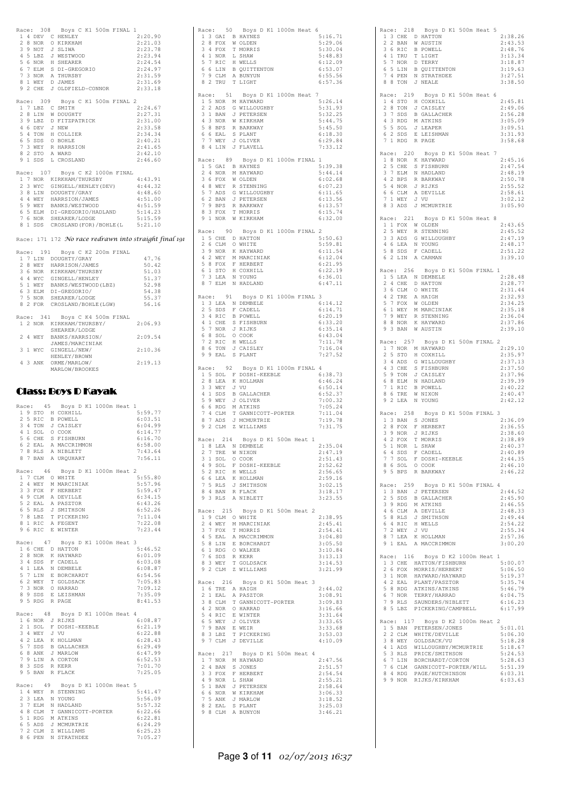|  | Race: 308 Boys C K1 500m FINAL 1<br>1 4 DEV C HENLEY<br>2 8 NOR O KIRKHAM<br>3 9 NOT J SLIWA<br>4 5 LBZ J WESTWOOD<br>5 6 NOR H SHEARER<br>6 7 ELM S DI-GREGORIO<br>7 3 NOR A THURSBY 2:31.59<br>8 1 WEY D JAMES 2:31.69<br>9 2 CHE J OLDFIELD-CONNOR 2:33.18                    | 2:20.90<br>2:21.03<br>2:23.78<br>$2:23.94$<br>$2:24.54$<br>$2:24.97$ |
|--|----------------------------------------------------------------------------------------------------------------------------------------------------------------------------------------------------------------------------------------------------------------------------------|----------------------------------------------------------------------|
|  | Race: 309 Boys C K1 500m FINAL 2                                                                                                                                                                                                                                                 |                                                                      |
|  | 1 7 LBZ C SMITH                                                                                                                                                                                                                                                                  | 2:24.67                                                              |
|  |                                                                                                                                                                                                                                                                                  | 2:27.31                                                              |
|  |                                                                                                                                                                                                                                                                                  | 2:31.00                                                              |
|  |                                                                                                                                                                                                                                                                                  | 2:33.58                                                              |
|  |                                                                                                                                                                                                                                                                                  | 2:34.34                                                              |
|  |                                                                                                                                                                                                                                                                                  | 2:40.21                                                              |
|  |                                                                                                                                                                                                                                                                                  | 2:41.65                                                              |
|  |                                                                                                                                                                                                                                                                                  | 2:42.10                                                              |
|  | 1 / LBZ C SMITH<br>2 8 LIN W DOUGHTY<br>3 9 LBZ D FITZPATRICK<br>4 6 DEV J NEW<br>5 4 TON H COLLIER<br>6 5 SDS O BOHLE<br>7 3 WEY R HARRSION<br>8 2 STO A WARD<br>9 1 SDS J COCALLER<br>9 1 SDS L CROSLAND                                                                       | 2:46.60                                                              |
|  | Race: 107 Boys C K2 1000m FINAL<br>Acce: 10/ Boys C K2 100000 FINAL<br>17 NOR KIRKHAM/THURSBY 4:43.91<br>23 WYC GINGELL/HENLEY (DEV) 4:44.32<br>38 BLIN DOUGHTY/GRAY<br>44 WEY HARRSION/JAMES 4:51.00<br>59 WEY BARRS/WESTWOOD 4:51.59<br>65 ELM DI-GREGORIO/HADLAND 5:14.23<br> | 4:43.91                                                              |
|  | Race: 171 172 No race redrawn into straight final 191                                                                                                                                                                                                                            |                                                                      |
|  | Race: 191 Boys C K2 200m FINAL                                                                                                                                                                                                                                                   |                                                                      |
|  |                                                                                                                                                                                                                                                                                  | 47.76                                                                |
|  |                                                                                                                                                                                                                                                                                  | 50.42                                                                |
|  |                                                                                                                                                                                                                                                                                  | 51.03                                                                |
|  |                                                                                                                                                                                                                                                                                  | 51.37                                                                |
|  |                                                                                                                                                                                                                                                                                  | 52.98                                                                |
|  |                                                                                                                                                                                                                                                                                  | 54.38                                                                |
|  |                                                                                                                                                                                                                                                                                  | 55.37                                                                |
|  |                                                                                                                                                                                                                                                                                  | 56.16                                                                |
|  | (ace: 191 Boys C AZ ZOOM FIRAL<br>17 LIN DOUGHTY/GRAY<br>2 8 WEY HARRISON/JAMES<br>3 6 NOR KIRKHAM/THURSEY<br>4 4 WY GINGELL/HENLEY<br>5 1 WEY BANKS/WESTWOOD(LBZ)<br>6 3 ELM DI-GREGORIO/<br>7 5 NOR SHEARER/LODGE<br>8 2 FOR CROSLAND/BOHLE(                                   |                                                                      |
|  | Race: 341 Boys C K4 500m FINAL                                                                                                                                                                                                                                                   |                                                                      |
|  |                                                                                                                                                                                                                                                                                  | 2:06.93                                                              |
|  | 1 2 NOR KIRKHAM/THURSBY/<br>SHEARER/LODGE                                                                                                                                                                                                                                        |                                                                      |
|  | 2 4 WEY BANKS/HARRSION/                                                                                                                                                                                                                                                          | 2:09.54                                                              |
|  |                                                                                                                                                                                                                                                                                  |                                                                      |
|  | JAMES/MARCINIAK<br>3 1 WYC GINGELL/NEW/                                                                                                                                                                                                                                          | 2:10.36                                                              |
|  | HENLEY/BROWN                                                                                                                                                                                                                                                                     |                                                                      |
|  | 4 3 ANK ORME/MARLOW/<br>MARLOW/BROOKES                                                                                                                                                                                                                                           | 2:19.13                                                              |
|  | <b>Class: Boys D Kayak</b><br>Race: 45 Boys D K1 1000m Heat 1<br>1 9 STO H COXHILL<br>2 5 RTC R POWELL                                                                                                                                                                           | 5:59.77<br>6.0351                                                    |

| 1              |   | 9 STO    | H COXHILL                               | 5:59.77 |
|----------------|---|----------|-----------------------------------------|---------|
| $\overline{2}$ |   | 5 RIC    | <b>B POWELL</b>                         | 6:03.51 |
| 3              |   | 4 TON    | J CAISLEY                               | 6:04.99 |
| 4              |   |          | 1 SOL 0 COOK                            | 6:14.77 |
| 5              |   |          | 6 CHE S FISHBURN                        | 6:16.70 |
| 6              |   |          | 2 EAL A MACCRIMMON                      | 6:58.00 |
| 7              |   |          | 8 RLS A NIBLETT                         | 7:43.64 |
| 8              |   |          | 7 BAN A URQUHART                        | 7:56.11 |
|                |   | Race: 46 | Boys D K1 1000m Heat 2                  |         |
| $\mathbf{1}$   |   |          | 7 CLM O WHITE                           | 5:55.80 |
| $\overline{2}$ |   | 4 WEY    | M MARCINIAK                             | 5:57.96 |
| 3              |   |          | 3 FOX F HERBERT                         | 5:59.47 |
| 4              |   |          | 9 CLM A DEVILLE                         | 6:34.15 |
| 5              |   |          |                                         | 6:43.26 |
| 6              |   |          | 2 EAL A PASZTOR<br>5 RLS J SMITHSON     | 6:52.26 |
|                |   |          |                                         | 7:11.04 |
|                |   |          | 7 8 LBZ T PICKERING<br>8 1 RIC A FEGENT | 7:22.08 |
|                |   |          | 9 6 RIC E WINTER                        | 7:23.44 |
|                |   |          |                                         |         |
|                |   | Race: 47 | Boys D K1 1000m Heat 3                  |         |
| $\mathbf{1}$   |   | 6 CHE    | D HATTON                                | 5:46.52 |
| $\overline{c}$ |   | 8 NOR    | K HAYWARD                               | 6:01.09 |
| 3              |   |          | 4 SDS F CADELL                          | 6:03.08 |
| 4              |   |          | 1 LEA N DEMBELE                         | 6:08.87 |
| 5              |   |          | 7 LIN E BORCHARDT                       | 6:54.56 |
| 6              |   |          | 2 WEY T GOLDSACK                        | 7:05.83 |
| $\overline{7}$ |   |          | 3 NOR O HARRAD                          | 7:09.12 |
|                |   |          | 8 9 SDS E LEISHMAN                      | 7:35.09 |
|                |   |          | 9 5 RDG R PAGE                          | 8:41.53 |
|                |   |          | Race: 48 Boys D K1 1000m Heat 4         |         |
|                |   |          | 1 6 NOR J RIJKS                         | 6:08.87 |
|                |   |          | 2 1 SOL F DOSHI-KEEBLE                  | 6:21.19 |
|                |   | 3 4 WEY  | J VU                                    | 6:22.88 |
| 4              |   |          | 2 LEA K HOLLMAN                         | 6:28.43 |
| 5              |   | 7 SDS    | <b>B</b> GALLACHER                      | 6:29.49 |
|                |   | 6 8 ANK  | J MARLOW                                | 6:47.99 |
|                |   |          | 7 9 LIN A CORTON                        | 6:52.53 |
| 8              |   |          |                                         | 7:01.70 |
| 9              |   |          | 3 SDS R KERR<br>5 BAN R FLACK           | 7:25.05 |
|                |   |          | Race: 49 Boys D K1 1000m Heat 5         |         |
|                |   | 1 4 WEY  | R STENNING                              | 5:41.47 |
| $\overline{2}$ |   | 3 LEA    | N YOUNG                                 | 5:56.09 |
| 3              |   |          | 7 ELM N HADLAND                         | 5:57.32 |
| 4              |   |          | 8 CLM T GANNICOTT-PORTER                | 6:22.66 |
| 5              |   |          | 1 RDG M ATKINS                          | 6:22.81 |
|                |   |          | 6 5 ADS J MCMURTRIE                     | 6:24.29 |
| 7              |   | 2 CLM    | Z WILLIAMS                              | 6:25.23 |
| 8              | 6 | PEN      | N STRATHDEE                             | 7:05.27 |
|                |   |          |                                         |         |

|                                                                                                                                         | Race: 50 Boys D K1 1000m Heat 6                                                                                                                                  |                    |
|-----------------------------------------------------------------------------------------------------------------------------------------|------------------------------------------------------------------------------------------------------------------------------------------------------------------|--------------------|
| 1 3 GAI B HAYNES                                                                                                                        |                                                                                                                                                                  | 5:16.71            |
| 2 8 FOX                                                                                                                                 | W OLDEN                                                                                                                                                          | 5:29.06<br>5:30.04 |
| 3 4 FOX T MORRIS<br>4 1 NOR                                                                                                             | L SHAW                                                                                                                                                           | 5:48.83            |
| 5 7 RIC                                                                                                                                 | H WELLS                                                                                                                                                          | 6:12.09            |
|                                                                                                                                         |                                                                                                                                                                  | 6:53.07            |
|                                                                                                                                         | 6 6 LIN B QUITTENTON<br>7 9 CLM A BUNYUN<br>8 2 TRU T LIGHT                                                                                                      | 6:55.56            |
|                                                                                                                                         |                                                                                                                                                                  | 6:57.36            |
|                                                                                                                                         | Race: 51 Boys D K1 1000m Heat 7                                                                                                                                  |                    |
| 1 5 NOR M HAYWARD                                                                                                                       |                                                                                                                                                                  | 5:26.14            |
| 2 2 ADS                                                                                                                                 | G WILLOUGHBY                                                                                                                                                     | 5:31.93            |
| 3 1 BAN                                                                                                                                 | J PETERSEN                                                                                                                                                       | 5:32.25<br>5:44.75 |
|                                                                                                                                         |                                                                                                                                                                  | 5:45.50            |
|                                                                                                                                         |                                                                                                                                                                  | 6:18.30            |
| 3 1 BAN J PEIEKBAM<br>5 8 BPS R BARKWAY<br>5 8 BPS R BARKWAY<br>7 7 WEY J OLIVER<br>8 4 LIN J FLAVELL                                   |                                                                                                                                                                  | 6:29.84            |
|                                                                                                                                         |                                                                                                                                                                  | 7:33.12            |
| 89<br>Race:                                                                                                                             | Boys D K1 1000m FINAL                                                                                                                                            | $\overline{1}$     |
| $\begin{tabular}{cc} 1 & 5 & GAI & B & HAYNES \\ 2 & 4 & NOR & M & HAYWARD \end{tabular}$                                               |                                                                                                                                                                  | 5:39.38            |
|                                                                                                                                         |                                                                                                                                                                  | 5:44.14            |
| 3 6 FOX                                                                                                                                 | W OLDEN                                                                                                                                                          | 6:02.68<br>6:07.23 |
|                                                                                                                                         |                                                                                                                                                                  | 6:11.65            |
|                                                                                                                                         | 4 8 WEY R STENNING<br>5 7 ADS G WILLOUGHBY<br>6 2 BAN J PETERSEN                                                                                                 | 6:13.56            |
| 7 9 BPS                                                                                                                                 | R BARKWAY                                                                                                                                                        | 6:13.57            |
| 8 3 FOX T MORRIS<br>9 1 NOR W KIRKHAM                                                                                                   |                                                                                                                                                                  | 6:15.74<br>6:32.00 |
|                                                                                                                                         |                                                                                                                                                                  |                    |
|                                                                                                                                         | Race: 90 Boys D K1 1000m FINAL 2                                                                                                                                 |                    |
| 1 5 CHE D HATTON                                                                                                                        |                                                                                                                                                                  | 5:50.63            |
| 2<br>CLM<br>6<br>3 9 NOR                                                                                                                | O WHITE<br>K HAYWARD                                                                                                                                             | 5:59.81<br>6:11.54 |
| 4 2 WEY                                                                                                                                 | M MARCINIAK                                                                                                                                                      | 6:12.04            |
| 5 8 FOX F HERBERT<br>6 1 STO H COXHILL<br>7 3 LEA N YOUNG                                                                               |                                                                                                                                                                  | 6:21.95            |
|                                                                                                                                         |                                                                                                                                                                  | 6:22.19            |
|                                                                                                                                         | 7 ELM N HADLAND                                                                                                                                                  | 6:36.01            |
| 8                                                                                                                                       |                                                                                                                                                                  | 6:47.11            |
| Race: 91                                                                                                                                | Boys D K1 1000m FINAL                                                                                                                                            | 3                  |
| 1 3 LEA N DEMBELE                                                                                                                       |                                                                                                                                                                  | 6:14.12            |
| 2 5 SDS                                                                                                                                 | F CADELL                                                                                                                                                         | 6:14.71            |
|                                                                                                                                         |                                                                                                                                                                  | 6:20.19<br>6:33.20 |
|                                                                                                                                         |                                                                                                                                                                  | 6:35.14            |
|                                                                                                                                         |                                                                                                                                                                  | 6:43.04            |
| 2 S SDS F CAUBLE<br>3 4 RIC B FOWELL<br>4 1 CHE S FISHBURN<br>5 7 NOR J RIJKS<br>6 SOL O COOK<br>8 6 TON J CAISLEY<br>8 6 TON J CAISLEY |                                                                                                                                                                  | 7:11.78            |
| 9 9 EAL                                                                                                                                 | S PLANT                                                                                                                                                          | 7:16.04<br>7:27.52 |
|                                                                                                                                         |                                                                                                                                                                  |                    |
| Race: 92                                                                                                                                | Boys D K1 1000m FINAL                                                                                                                                            | $\overline{4}$     |
| $2 8$ LEA                                                                                                                               | 1 5 SOL F DOSHI-KEEBLE<br>K HOLLMAN                                                                                                                              | 6:38.73<br>6:46.24 |
|                                                                                                                                         |                                                                                                                                                                  | 6:50.14            |
|                                                                                                                                         | <b>B GALLACHER</b>                                                                                                                                               |                    |
|                                                                                                                                         |                                                                                                                                                                  | 6:52.37            |
| $\begin{array}{cccc}\n&\circ &\text{wEY} & \text{J VU} \\ 4 & 1 & \text{SDS} & \text{B GN} \\ 5 & 9 & 7\n\end{array}$<br>5 9 WEY        | J OLIVER                                                                                                                                                         | 7:00.32            |
| 6 6 RDG                                                                                                                                 | M ATKINS                                                                                                                                                         | 7:05.24            |
| 7<br>8                                                                                                                                  |                                                                                                                                                                  | 7:11.04<br>7:19.78 |
| 9                                                                                                                                       |                                                                                                                                                                  | 7:31.75            |
|                                                                                                                                         | 4 CLM T GANNICOTT-PORTER<br>7 ADS J MCMURTRIE<br>2 CLM Z WILLIAMS                                                                                                |                    |
|                                                                                                                                         | Race: 214 Boys D K1 500m Heat<br>-1                                                                                                                              |                    |
| $1\,$ 8 LEA $\,$ N DEMBELE<br>2 7 TRE                                                                                                   | W NIXON                                                                                                                                                          | 2:35.04<br>2:47.19 |
|                                                                                                                                         |                                                                                                                                                                  | 2:51.43            |
|                                                                                                                                         |                                                                                                                                                                  | 2:52.62            |
|                                                                                                                                         |                                                                                                                                                                  | 2:56.65            |
|                                                                                                                                         |                                                                                                                                                                  | 2:59.16<br>3:02.15 |
|                                                                                                                                         |                                                                                                                                                                  | 3:18.17            |
|                                                                                                                                         | 2 / HR W WIXON<br>3 1 SOL O COOK<br>4 9 SOL F DOSHI-KEEBLE<br>5 2 RIC H WELLS<br>6 6 LEA K HOLLMAN<br>7 5 RLS J SMITHSON<br>8 4 BAN R FLACK<br>9 3 RLS A NIBLETT | 3:23.55            |
| Race: 215                                                                                                                               | Boys D K1 500m Heat 2                                                                                                                                            |                    |
| 1 9 CLM O WHITE                                                                                                                         |                                                                                                                                                                  | 2:38.95            |
|                                                                                                                                         |                                                                                                                                                                  | 2:45.41            |
|                                                                                                                                         |                                                                                                                                                                  | 2:54.41            |
|                                                                                                                                         |                                                                                                                                                                  | 3:04.80<br>3:05.50 |
|                                                                                                                                         | 2 4 WEY M MARCINIAK<br>3 7 FOX T MORRIS<br>4 5 EAL A MACCRIMMON<br>5 8 LIN E BORCHARDT                                                                           | 3:10.84            |
|                                                                                                                                         |                                                                                                                                                                  | 3:13.13            |
|                                                                                                                                         |                                                                                                                                                                  | 3:14.53<br>3:21.99 |
| 6 1 RDG O WALKER<br>7 6 SDS R KERR<br>8 3 WEY T GOLDSACK<br>9 2 CLM Z WILLIAMS                                                          |                                                                                                                                                                  |                    |
|                                                                                                                                         | Race: 216 Boys D K1 500m Heat 3                                                                                                                                  |                    |
| 1 6 TRE A HAIGH                                                                                                                         |                                                                                                                                                                  | 2:44.02            |
| 2 1 EAL                                                                                                                                 | A PASZTOR                                                                                                                                                        | 3:08.91<br>3:09.83 |
|                                                                                                                                         |                                                                                                                                                                  | 3:16.66            |
|                                                                                                                                         |                                                                                                                                                                  | 3:31.64            |
|                                                                                                                                         |                                                                                                                                                                  | 3:33.65            |
|                                                                                                                                         |                                                                                                                                                                  | 3:33.68<br>3:53.03 |
|                                                                                                                                         |                                                                                                                                                                  | 4:10.09            |
|                                                                                                                                         | 2 LEAN A FADAION<br>3 8 CLM T GANNICOTT-PORTER<br>4 2 NOR O HARRAD<br>5 4 RIC E WINTER<br>7 9 BAN E WEIR<br>8 3 LBZ T PICKERING<br>9 7 CLM J DEVILLE             |                    |
| Race: 217                                                                                                                               | Boys D K1 500m Heat 4                                                                                                                                            |                    |
| 1 7 NOR M HAYWARD                                                                                                                       |                                                                                                                                                                  | 2:47.56<br>2:51.57 |
|                                                                                                                                         |                                                                                                                                                                  | 2:54.54            |
|                                                                                                                                         |                                                                                                                                                                  | 2:55.21            |
| 2 4 BAN S JONES<br>3 3 FOX F HERBERT<br>4 9 NOR L SHAW<br>5 1 BAN J PETERSEN                                                            |                                                                                                                                                                  | 2:58.64            |
| 6 6 NOR W KIRKHAM                                                                                                                       |                                                                                                                                                                  | 3:06.33<br>3:18.52 |
| 7 5 ANK J MARLOW<br>8 2 EAL S PLANT<br>9 8 CLM A BUNYON                                                                                 |                                                                                                                                                                  | 3:25.03<br>3:46.21 |

|   |           | Race: 218 Boys D K1 500m Heat 5                                                                                                                                                              |                    |
|---|-----------|----------------------------------------------------------------------------------------------------------------------------------------------------------------------------------------------|--------------------|
|   |           | 1 3 CHE D HATTON                                                                                                                                                                             | 2:38.26            |
|   | 2 2 BAN   | W AUSTIN                                                                                                                                                                                     | 2:43.53            |
|   |           |                                                                                                                                                                                              | 2:48.76            |
|   |           |                                                                                                                                                                                              | 3:13.34            |
|   |           |                                                                                                                                                                                              | 3:18.87            |
|   |           |                                                                                                                                                                                              | 3:19.63            |
|   |           | 2 2 BAN W AUSILN<br>3 6 RIC B POWELL<br>4 1 TRU T LIGHT<br>5 7 NOR D TERRY<br>6 5 LIN B QUITTENTON<br>7 4 PEN N STRATHDEE                                                                    | 3:27.51            |
|   |           | 8 8 TON J NEALE                                                                                                                                                                              | 3:38.50            |
|   |           |                                                                                                                                                                                              |                    |
|   | Race: 219 | Boys D K1 500m Heat 6                                                                                                                                                                        |                    |
|   |           |                                                                                                                                                                                              | 2:45.81            |
|   |           |                                                                                                                                                                                              | 2:49.06            |
|   |           |                                                                                                                                                                                              |                    |
|   |           |                                                                                                                                                                                              | 2:56.28            |
|   |           | 1 4 STO H COXHILL<br>2 8 TON J CAISLEY<br>3 7 SDS B GALLACHER<br>4 3 RDG M ATKINS<br>5 2 M ATKINS                                                                                            | 3:05.09            |
|   |           | 5 5 SOL J LEAPER                                                                                                                                                                             | 3:09.51            |
|   | 6 2 SDS   | E LEISHMAN                                                                                                                                                                                   | 3:31.93            |
|   |           | 7 1 RDG R PAGE                                                                                                                                                                               | 3:58.68            |
|   |           |                                                                                                                                                                                              |                    |
|   |           | Race: 220 Boys D K1 500m Heat 7                                                                                                                                                              |                    |
|   |           |                                                                                                                                                                                              | 2:45.16            |
|   |           |                                                                                                                                                                                              | 2:47.54            |
|   |           |                                                                                                                                                                                              | 2:48.19            |
|   |           |                                                                                                                                                                                              | 2:50.78            |
|   |           |                                                                                                                                                                                              | 2:55.52            |
|   |           |                                                                                                                                                                                              | 2:58.61            |
|   |           | AGE: 220 BOR KAYWARD<br>25 CHE S FISHBURN<br>37 ELM N HADLAND<br>42 BPS R BARKWAY<br>54 NOR J RIJKS<br>66 CLM A DEVILLE<br>71 NEY J VU                                                       | 3:02.12            |
|   |           | 8 3 ADS J MCMURTRIE                                                                                                                                                                          | 3:05.90            |
|   |           |                                                                                                                                                                                              |                    |
|   |           | Race: 221 Boys D K1 500m Heat 8                                                                                                                                                              |                    |
|   |           | 1 1 FOX W OLDEN                                                                                                                                                                              | 2:43.65            |
|   | 2 5 WEY   | R STENNING                                                                                                                                                                                   | 2:45.52            |
|   |           |                                                                                                                                                                                              | 2:47.19            |
|   |           | 33 ADS G WILLOUGHBY<br>46 LEA N YOUNG<br>58 SDS F CADELL<br>62 LIN A CARMAN                                                                                                                  | 2:48.17            |
|   |           |                                                                                                                                                                                              | 2:51.22            |
|   |           |                                                                                                                                                                                              | 3:39.10            |
|   |           |                                                                                                                                                                                              |                    |
|   |           | Race: 256 Boys D K1 500m FINAL 1                                                                                                                                                             |                    |
|   |           | 1 5 LEA N DEMBELE                                                                                                                                                                            | 2:28.48            |
|   | 2 4 CHE   | D HATTON                                                                                                                                                                                     | 2:28.77            |
|   |           |                                                                                                                                                                                              |                    |
|   |           |                                                                                                                                                                                              | 2:31.44            |
|   |           |                                                                                                                                                                                              | 2:32.93            |
|   |           |                                                                                                                                                                                              | 2:34.25            |
|   |           | 2 4 GLM O WHITE<br>4 2 TRE A HAIGH<br>5 7 FOX W OLDEN<br>6 1 WEY M MARCINIAK<br>7 9 WEY R STENNING<br>8 8 NOR K HAYWARD                                                                      | 2:35.18            |
|   |           |                                                                                                                                                                                              | 2:36.04            |
|   |           |                                                                                                                                                                                              |                    |
|   |           |                                                                                                                                                                                              | 2:37.86            |
|   |           | 9 3 BAN W AUSTIN                                                                                                                                                                             | 2:39.10            |
|   |           |                                                                                                                                                                                              |                    |
|   |           | Race: 257 Boys D K1 500m FINAL 2                                                                                                                                                             |                    |
|   |           | 1 7 NOR M HAYWARD                                                                                                                                                                            | 2:29.10            |
|   |           |                                                                                                                                                                                              | 2:35.97            |
|   |           |                                                                                                                                                                                              | 2:37.13            |
|   |           |                                                                                                                                                                                              |                    |
|   |           |                                                                                                                                                                                              | 2:37.50<br>2:37.96 |
|   |           | 2 5 STO H COXHILL<br>3 4 ADS G WILLOUGHBY<br>4 3 CHE S FISHBURN<br>5 9 TON J CAISLEY                                                                                                         |                    |
|   |           |                                                                                                                                                                                              | 2:39.39            |
|   |           |                                                                                                                                                                                              | 2:40.22            |
|   |           | 6 8 ELM N HADLAND<br>7 1 RIC B POWELL<br>8 6 TRE W NIXON                                                                                                                                     | 2:40.47            |
|   |           | 9 2 LEA N YOUNG                                                                                                                                                                              | 2:42.12            |
|   |           |                                                                                                                                                                                              |                    |
|   |           | Race: 258 Boys D K1 500m FINAL 3                                                                                                                                                             |                    |
|   |           | 1 3 BAN S JONES<br>F HERBERT                                                                                                                                                                 | 2:36.09            |
|   | 2 8 FOX   |                                                                                                                                                                                              | 2:36.55            |
|   |           |                                                                                                                                                                                              | 2:38.60            |
|   |           |                                                                                                                                                                                              | 2:38.89            |
|   |           |                                                                                                                                                                                              | 2:40.37            |
|   |           | 3 9 NOR J RIJKS<br>4 2 FOX T MORRIS<br>5 1 NOR L SHAW<br>6 4 SDS F CADELL                                                                                                                    | 2:40.89            |
| 7 |           | 7 SOL F DOSHI-KEEBLE                                                                                                                                                                         | 2:44.35            |
|   |           | 8 6 SOL 0 COOK                                                                                                                                                                               | 2:46.10            |
|   | 9 5 BPS   | R BARKWAY                                                                                                                                                                                    | 2:46.22            |
|   |           |                                                                                                                                                                                              |                    |
|   | Race: 259 | Boys D K1 500m FINAL 4                                                                                                                                                                       |                    |
|   |           | 1 3 BAN J PETERSEN                                                                                                                                                                           | 2:44.52<br>2:45.90 |
|   |           |                                                                                                                                                                                              |                    |
|   |           |                                                                                                                                                                                              | 2:46.55            |
|   |           |                                                                                                                                                                                              | 2:48.33            |
|   |           |                                                                                                                                                                                              | 2:49.44            |
|   |           |                                                                                                                                                                                              | 2:54.22            |
|   |           |                                                                                                                                                                                              | 2:55.34            |
|   |           |                                                                                                                                                                                              | 2:57.36            |
|   |           | 1 3 BAN 0 FELIACHER<br>1 9 RDC M ATKINS<br>3 9 RDC M ATKINS<br>4 6 CLM A DEVILLE<br>5 8 RLS J SMITHSON<br>6 4 RIC H WELLS<br>7 LEA K HOLLMAN<br>9 1 EAL A MACCRIMMON                         | 3:00.20            |
|   |           |                                                                                                                                                                                              |                    |
|   |           | Race: 116 Boys D K2 1000m Heat 1                                                                                                                                                             |                    |
|   |           | 1 3 CHE HATTON/FISHBURN                                                                                                                                                                      | 5:00.07            |
|   | 2 6 FOX   | MORRIS/HERBERT                                                                                                                                                                               | 5:06.50            |
|   |           |                                                                                                                                                                                              | 5:19.37            |
|   |           |                                                                                                                                                                                              | 5:35.74            |
|   |           |                                                                                                                                                                                              | 5:46.79            |
|   |           |                                                                                                                                                                                              | 6:04.75            |
|   |           |                                                                                                                                                                                              | 6:16.23            |
|   |           | 2 0 TON MONUTSTAND<br>3 1 NOR HAYWARD/HAYWARD<br>4 2 EAL PLANT/PASZTOR<br>5 8 RDG ATKINS/ATKINS<br>6 7 NOR TERRY/HARRAD<br>7 9 RLS SAUNDERS/NIBLETT<br>8 5 LBZ PICKERING/CAMPBELL            | 6:17.99            |
|   |           |                                                                                                                                                                                              |                    |
|   | Race: 117 | Boys D K2 1000m Heat 2                                                                                                                                                                       |                    |
|   | 1 5 BAN   | PETERSEN/JONES                                                                                                                                                                               | 5:01.01            |
|   |           |                                                                                                                                                                                              | 5:06.30            |
|   |           |                                                                                                                                                                                              | 5:18.28            |
|   |           |                                                                                                                                                                                              | 5:18.67            |
|   |           |                                                                                                                                                                                              | 5:24.53            |
|   |           |                                                                                                                                                                                              | 5:28.63            |
|   |           | 1 DAN FELENSINO VONST<br>2 2 CLM WHITE/DEVILLE<br>3 8 WEY GOLDSACK/VU<br>4 1 ADS WILLOUGHBY/MCMURTRIE<br>5 3 RLS PRICE/SMITHSON<br>6 7 LIN BORCHARDT/CORTON<br>7 6 CLM GANNICOTT-PORTER/WILL | 5:51.39            |
|   |           | 8 4 RDG PAGE/HUTCHINSON<br>9 9 NOR RIJKS/KIRKHAM                                                                                                                                             | 6:03.31<br>6:03.63 |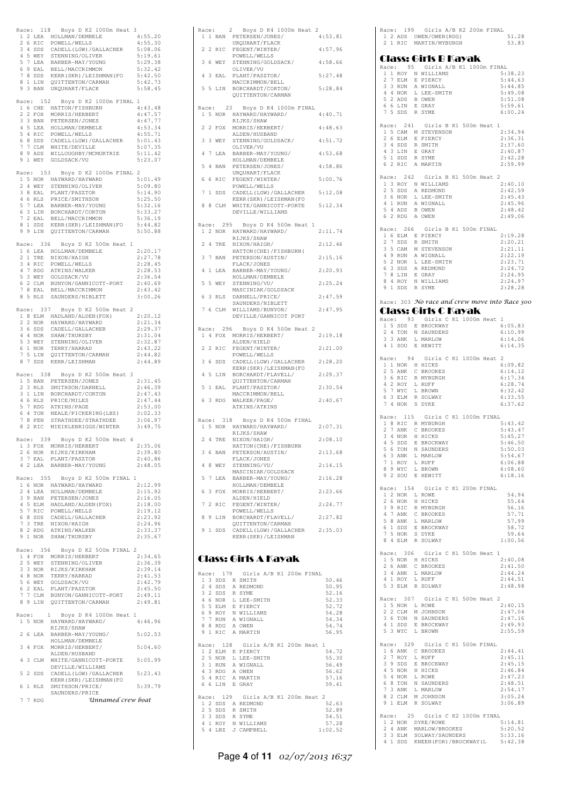|       |    |           | Race: 118 Boys D K2 1000m Heat 3                                                                                                                                                                                                                       |                    |
|-------|----|-----------|--------------------------------------------------------------------------------------------------------------------------------------------------------------------------------------------------------------------------------------------------------|--------------------|
|       |    |           |                                                                                                                                                                                                                                                        | 4:55.20            |
|       |    |           |                                                                                                                                                                                                                                                        | 4:55.30<br>5:08.06 |
|       |    |           |                                                                                                                                                                                                                                                        | 5:19.61            |
|       |    |           |                                                                                                                                                                                                                                                        | 5:29.38            |
|       |    |           |                                                                                                                                                                                                                                                        | 5:32.42            |
|       |    |           | AGE: 115 BOYS DA AZ IVADA ELEL<br>12 LEA HOLLMAN/DEMBELE<br>26 RIC POWELL/WELLS<br>34 SDS CADELL(LGW)/GALLACHER<br>45 WEY STENNING/OLIVER<br>57 LEA BARBER-MAY/YOUNG<br>69 EAL BELL/MACCRIMMON<br>22 Y LIN OUTTENTON (CREMAN (FO                       | 5:42.50            |
|       |    | 8 1 LIN   | QUITTENTON/CARMAN<br>9 3 BAN URQUHART/FLACK                                                                                                                                                                                                            | 5:42.73<br>5:58.45 |
|       |    |           |                                                                                                                                                                                                                                                        |                    |
|       |    |           | Race: 152 Boys D K2 1000m FINAL 1                                                                                                                                                                                                                      |                    |
|       |    |           |                                                                                                                                                                                                                                                        | 4:43.48            |
|       |    |           |                                                                                                                                                                                                                                                        | 4:47.57            |
|       |    |           |                                                                                                                                                                                                                                                        | 4:47.77            |
|       |    |           |                                                                                                                                                                                                                                                        | 4:53.34<br>4:55.71 |
|       |    |           |                                                                                                                                                                                                                                                        | 5:01.43            |
|       |    |           |                                                                                                                                                                                                                                                        | 5:07.35            |
|       |    |           |                                                                                                                                                                                                                                                        | 5:11.42            |
|       |    |           | AGE: 152 BOYS DR NZ HOUWERT 16 GHE HATTON/FISHBURN<br>2 2 FOX MORRIS/HERBERT<br>3 3 BAN PETERSEN/JONES<br>4 5 LEA HOLLMAN/DEMELE<br>5 4 RIC POWELL/WELLS<br>6 8 SDS CABELL(LGW)/GALLACHER<br>7 7 CLM WHITE/DEVILLE<br>8 9 ADS WILLOUGHBY/MCMURTRIE<br> | 5:23.07            |
|       |    | Race: 153 | Boys D K2 1000m FINAL 2                                                                                                                                                                                                                                |                    |
|       |    |           |                                                                                                                                                                                                                                                        | 5:01.49            |
|       |    |           |                                                                                                                                                                                                                                                        | 5:09.80            |
|       |    |           |                                                                                                                                                                                                                                                        | 5:14.90            |
|       |    |           |                                                                                                                                                                                                                                                        | 5:25.50<br>5:32.16 |
|       |    |           |                                                                                                                                                                                                                                                        | 5:33.27            |
|       |    |           | AGE: 153 BORB PART MARY ARREST 15 NOR HAYWARD<br>2 4 WEY STENNING/OLIVER<br>3 8 EAL PLANT/PASZTOR<br>4 6 RLS PRICE/SMITHSON<br>5 7 LEA BARBER-MAY/YOUNG<br>6 3 LIN BORCHARDT/CORTON<br>7 2 EAL BELL/MACCRIMMON<br>8 1 SPS KERR (SKR)/LETSHMAN          | 5:36.19            |
|       |    | 8 1 SDS   | BELL/MACCRIMMON<br>KERR (SKR)/LEISHMAN (FO                                                                                                                                                                                                             | 5:44.82            |
|       |    |           | 9 9 LIN QUITTENTON/CARMAN                                                                                                                                                                                                                              | 5:50.88            |
|       |    |           | Race: 336 Boys D K2 500m Heat 1                                                                                                                                                                                                                        |                    |
|       |    |           | NACE: JOS BOYS DE NACIONAL PRESENTED A ELEMENT CONFIDENCE 3 4 RIC POWELL/WELLS<br>2 1 TRE NIXON/HAIGH<br>3 4 RIC POWELL/WELLS<br>5 3 NEY GOLDSACK/WELKER<br>5 3 NEY GOLDSACK/VU<br>6 2 CLM BUNYON/GANNICOTT-PORT<br>7 8 EAL BELL/MACCRIMMON<br>8 5     | 2:20.17            |
|       |    |           |                                                                                                                                                                                                                                                        | 2:27.78            |
|       |    |           |                                                                                                                                                                                                                                                        | 2:28.45            |
|       |    |           |                                                                                                                                                                                                                                                        | 2:28.53            |
|       |    |           |                                                                                                                                                                                                                                                        | 2:36.54<br>2:40.69 |
|       |    |           |                                                                                                                                                                                                                                                        | 2:43.42            |
|       |    |           |                                                                                                                                                                                                                                                        | 3:00.26            |
|       |    |           |                                                                                                                                                                                                                                                        |                    |
|       |    |           | Race: 337 Boys D K2 500m Heat 2                                                                                                                                                                                                                        |                    |
|       |    |           |                                                                                                                                                                                                                                                        | 2:20.12<br>2:21.34 |
|       |    |           |                                                                                                                                                                                                                                                        | 2:29.37            |
|       |    |           |                                                                                                                                                                                                                                                        | 2:31.04            |
|       |    |           |                                                                                                                                                                                                                                                        | 2:32.87            |
|       |    |           |                                                                                                                                                                                                                                                        | 2:43.22            |
|       |    |           | AGE: 357 BOYS DR AZ SOUM REAL 2<br>1 8 ELM HADLAND/ALDEN(FOX)<br>2 2 NOR HAYWARD/HAYWARD<br>3 6 SDS CADELL/GALLACHER<br>4 4 NOR TERNING/OLIVER<br>5 3 WEY STENNING/OLIVER<br>7 5 LIN QUITTENTON/CARMAN<br>8 7 SDS KERR/LEISHMAN<br>8 7 SDS KER         | 2:44.82<br>2:44.89 |
|       |    |           |                                                                                                                                                                                                                                                        |                    |
|       |    |           |                                                                                                                                                                                                                                                        |                    |
|       |    | Race: 338 | Boys D K2 500m Heat 3                                                                                                                                                                                                                                  |                    |
|       |    |           |                                                                                                                                                                                                                                                        | 2:31.45            |
|       |    |           | 1 5 BAN PETERSEN/JONES                                                                                                                                                                                                                                 | 2:46.39            |
|       |    |           |                                                                                                                                                                                                                                                        | 2:47.43            |
|       |    |           |                                                                                                                                                                                                                                                        | 2:47.44            |
|       |    |           |                                                                                                                                                                                                                                                        | 2:53.00<br>3:02.33 |
|       |    |           |                                                                                                                                                                                                                                                        | 3:06.97            |
|       |    |           | 2 3 RLS SMITHSON/DARNELL<br>2 3 RLS SMITHSON/DARNELL<br>3 1 LIN BORCHARDT/CORTON<br>4 6 RLS PRICE/MILES<br>5 7 RDG ATKINS/PAGE<br>6 4 TON NEALE/PICKERING (LBZ)<br>7 8 PEN STRATHDEE/STRATHDEE<br>8 2 RIC MIEIKLEBRIGGS/WINTER                         | 3:49.75            |
|       |    |           |                                                                                                                                                                                                                                                        |                    |
|       |    |           | Race: 339 Boys D K2 500m Heat 4                                                                                                                                                                                                                        |                    |
|       |    |           |                                                                                                                                                                                                                                                        | 2:35.06<br>2:39.80 |
|       |    |           | 1 3 FOX MORRIS/HERBERT<br>2 6 NOR RIJKS/KIRKHAM<br>3 7 EAL PLANT/PASZTOR                                                                                                                                                                               | 2:40.86            |
|       |    | 4 2 LEA   | BARBER-MAY/YOUNG                                                                                                                                                                                                                                       | 2:48.05            |
|       |    | Race: 355 |                                                                                                                                                                                                                                                        |                    |
|       |    |           | Boys D K2 500m FINAL 1                                                                                                                                                                                                                                 | 2:12.99            |
|       |    |           |                                                                                                                                                                                                                                                        | 2:15.92            |
|       |    |           |                                                                                                                                                                                                                                                        | 2:16.05            |
|       |    |           |                                                                                                                                                                                                                                                        | 2:18.00            |
|       |    | 6 8 SDS   | 16 NOR HAYWARD/HAYWARD<br>2 4 LEA HOLLMAN/DEMBELE<br>3 9 BAN PETERSEN/JORES<br>4 5 ELM HADLAND/ALDEN(FOX)<br>5 9 RIC POWELL/WELLS<br>5 9 RIC CARRILL/WELLS<br>CADELL/GALLACHER                                                                         | 2:19.12<br>2:23.92 |
|       |    |           |                                                                                                                                                                                                                                                        | 2:24.96            |
|       |    |           | 7 3 TRE NIXON/HAIGH<br>8 2 RDG ATKINS/WALKER                                                                                                                                                                                                           | 2:33.37            |
|       |    |           | 9 1 NOR SHAW/THURSBY                                                                                                                                                                                                                                   | 2:35.67            |
|       |    |           | Race: 356 Boys D K2 500m FINAL 2                                                                                                                                                                                                                       |                    |
|       |    |           | 1 4 FOX MORRIS/HERBERT                                                                                                                                                                                                                                 | 2:34.65            |
|       |    | 2 5 WEY   | STENNING/OLIVER                                                                                                                                                                                                                                        | 2:36.39            |
|       |    | 3 3 NOR   | RIJKS/KIRKHAM                                                                                                                                                                                                                                          | 2:39.14            |
|       |    |           | TERRY/HARRAD                                                                                                                                                                                                                                           | 2:41.53            |
|       |    |           |                                                                                                                                                                                                                                                        | 2:42.79<br>2:45.50 |
|       |    |           | 3 3 AV.<br>4 8 NOR TERRY/<br>5 6 WEY GOLDSACK/VU<br>5 AMT/PASZT!                                                                                                                                                                                       | 2:49.11            |
|       |    |           | 6 2 EAL PLANT/PASZTOR<br>7 7 CLM BUNYON/GANNICOTT-PORT<br>8 9 LIN QUITTENTON/CARMAN                                                                                                                                                                    | 2:49.81            |
|       |    |           |                                                                                                                                                                                                                                                        |                    |
| Race: |    | 1 5 NOR   | Boys D K4 1000m Heat 1<br>$\mathbf{1}$<br>HAYWARD/HAYWARD/                                                                                                                                                                                             | 4:46.96            |
|       |    |           | RIJKS/SHAW                                                                                                                                                                                                                                             |                    |
|       | 26 | LEA       | BARBER-MAY/YOUNG/                                                                                                                                                                                                                                      | 5:02.53            |
|       |    |           | HOLLMAN/DEMBELE                                                                                                                                                                                                                                        |                    |
|       |    | 3 4 FOX   | MORRIS/HERBERT/                                                                                                                                                                                                                                        | 5:04.60            |
|       |    | 4 3 CLM   | ALDEN/HUSBAND                                                                                                                                                                                                                                          | 5:05.99            |
|       |    |           | WHITE/GANNICOTT-PORTE<br>DEVILLE/WILLIAMS                                                                                                                                                                                                              |                    |
|       |    | 5 2 SDS   | CADELL (LGW) / GALLACHER                                                                                                                                                                                                                               | 5:23.43            |
|       |    |           | KERR (SKR) / LEISHMAN (FO                                                                                                                                                                                                                              |                    |
|       |    | 6 1 RLS   | SMITHSON/PRICE/<br>SAUNDERS/PRICE                                                                                                                                                                                                                      | 5:39.79            |
|       |    | 7 7 RDG   | Unnamed crew boat                                                                                                                                                                                                                                      |                    |

| Race:        |    |                    | 2 Boys D K4 1000m Heat 2                                    |                  |
|--------------|----|--------------------|-------------------------------------------------------------|------------------|
|              |    | 1 1 BAN            | PETERSEN/JONES/                                             | 4:53.81          |
|              |    | 2 2 RIC            | URQUHART/FLACK<br>FEGENT/WINTER/                            | 4:57.96          |
|              |    |                    | POWELL/WELLS                                                |                  |
| 3            | -6 | WEY                | STENNING/GOLDSACK/                                          | 4:58.66          |
|              |    |                    | OLIVER/VU                                                   |                  |
| 4            | 3  | EAL                | PLANT/PASZTOR/<br>MACCRIMMON/BELL                           | 5:27.48          |
|              |    | 5 5 LIN            | BORCHARDT/CORTON/                                           | 5:28.84          |
|              |    |                    | QUITTENTON/CARMAN                                           |                  |
|              |    |                    |                                                             |                  |
| Race:        |    |                    | Boys D K4 1000m FINAL<br>23                                 |                  |
|              |    | 1 5 NOR            | HAYWARD/HAYWARD/                                            | 4:40.71          |
|              |    |                    | RIJKS/SHAW                                                  |                  |
| 22           |    | FOX                | MORRIS/HERBERT/                                             | 4:48.63          |
| 3            |    | 3 WEY              | ALDEN/HUSBAND<br>STENNING/GOLDSACK/                         | 4:51.72          |
|              |    |                    | OLIVER/VU                                                   |                  |
| 4            | 7  | LEA                | BARBER-MAY/YOUNG/                                           | 4:53.68          |
|              |    |                    | HOLLMAN/DEMBELE                                             |                  |
| 5            | 4  | BAN                | PETERSEN/JONES/                                             | 4:58.86          |
|              |    |                    | URQUHART/FLACK                                              |                  |
| 6            | 6  | RIC                | FEGENT/WINTER/                                              | 5:00.76          |
| 7            |    | 1 SDS              | POWELL/WELLS                                                | 5:12.08          |
|              |    |                    | CADELL (LGW) / GALLACHER<br>KERR (SKR) / LEISHMAN (FO       |                  |
| 8            |    | 8 CLM              | WHITE/GANNICOTT-PORTE                                       | 5:12.34          |
|              |    |                    | DEVILLE/WILLIAMS                                            |                  |
|              |    |                    |                                                             |                  |
|              |    |                    | Race: 295 Boys D K4 500m Heat 1                             |                  |
|              |    |                    | 1 2 NOR HAYWARD/HAYWARD/                                    | 2:11.74          |
|              |    |                    | RIJKS/SHAW                                                  |                  |
|              |    | 2 4 TRE            | NIXON/HAIGH/                                                | 2:12.46          |
|              |    |                    | HATTON (CHE) / FISHBURN (                                   |                  |
| 3            |    | 7 BAN              | PETERSON/AUSTIN/<br>FLACK/JONES                             | 2:15.16          |
| 4            | 1  | LEA                | BARBER-MAY/YOUNG/                                           | 2:20.93          |
|              |    |                    | HOLLMAN/DEMBELE                                             |                  |
| 5            | 5  | WEY                | STENNING/VU/                                                | 2:25.24          |
|              |    |                    | MASCINIAK/GOLDSACK                                          |                  |
| 6            |    | 3 RLS              | DARNELL/PRICE/                                              | 2:47.59          |
|              |    |                    | SAUNDERS/NIBLETT                                            |                  |
|              |    | 7 6 CLM            | WILLIAMS/BUNYON/                                            | 2:47.95          |
|              |    |                    | DEVILLE/GANNICOT PORT                                       |                  |
|              |    | Race: 296          | Boys D K4 500m Heat 2                                       |                  |
|              |    | 1 4 FOX            | MORRIS/HERBERT/                                             | 2:19.18          |
|              |    |                    | ALDEN/HIELD                                                 |                  |
|              |    | 2 2 RIC            | FEGENT/WINTER/                                              | 2:21.00          |
|              |    |                    | POWELL/WELLS                                                |                  |
| 3            | -6 | SDS                | CADELL (LGW) / GALLACHER                                    |                  |
|              |    |                    |                                                             | 2:28.20          |
|              |    |                    | KERR (SKR) / LEISHMAN (FO                                   |                  |
| 4            | -5 | LIN                | BORCHARDT/FLAVELL/                                          | 2:29.37          |
| 5            |    |                    | QUITTENTON/CARMAN                                           |                  |
|              |    | 1 EAL              | PLANT/PASZTOR/<br>MACCRIMMON/BELL                           | 2:30.54          |
| 6            |    | 3 RDG              | WALKER/PAGE/                                                | 2:40.67          |
|              |    |                    | ATKINS/ATKINS                                               |                  |
|              |    |                    |                                                             |                  |
|              |    |                    | Race: 318 Boys D K4 500m FINAL                              |                  |
|              |    |                    | 1 5 NOR HAYWARD/HAYWARD/                                    | 2:07.31          |
|              |    |                    | RIJKS/SHAW                                                  |                  |
|              |    | 2 4 TRE            | NIXON/HAIGH/                                                | 2:08.10          |
| 3            |    |                    | HATTON (CHE) / FISHBURN                                     | 2:13.68          |
|              |    | 6 BAN              | PETERSON/AUSTIN/<br>FLACK/JONES                             |                  |
| 4            |    | 8 WEY              | STENNING/VU/                                                | 2:14.15          |
|              |    |                    | MASCINIAK/GOLDSACK                                          |                  |
| 5            |    | 7 LEA              | BARBER-MAY/YOUNG/                                           | 2:16.28          |
|              |    |                    | HOLLMAN/DEMBELE                                             |                  |
|              |    | 6 3 FOX            | MORRIS/HERBERT/                                             | 2:23.66          |
|              |    |                    | ALDEN/HIELD                                                 |                  |
|              |    | 7 2 RIC            | FEGENT/WINTER/<br>POWELL/WELLS                              | 2:24.77          |
| 8            |    | 9 LIN              | BORCHARDT/FLAVELL/                                          | 2:27.82          |
|              |    |                    | QUITTENTON/CARMAN                                           |                  |
|              |    | 9 1 SDS            | CADELL (LGW) / GALLACHER                                    | 2:35.03          |
|              |    |                    | KERR (SKR) / LEISHMAN                                       |                  |
|              |    |                    |                                                             |                  |
|              |    |                    |                                                             |                  |
|              |    |                    | Class: Girls A Kayak                                        |                  |
|              |    |                    |                                                             |                  |
|              |    | Race: 179          | Girls A/B K1 200m FINAL                                     |                  |
|              |    | 1 3 SDS            | R SMITH                                                     | 50.46            |
| 2            |    | 4 SDS              | A REDMOND                                                   | 50.95            |
|              |    | 3 2 SDS<br>4 6 NOR | R SYME<br>L LEE-SMITH                                       | 52.16            |
|              |    |                    |                                                             | 52.33<br>52.72   |
|              |    |                    |                                                             | 54.28            |
|              |    |                    | 5 5 ELM E PIERCY<br>6 9 ROY N WILLIAMS<br>7 7 RUN A WIGNALL | 54.34            |
|              |    | 8 8 RDG            | A OWEN                                                      | 54.74            |
| 91           |    | RIC                | A MARTIN                                                    | 56.95            |
|              |    |                    |                                                             |                  |
| Race:        |    | 128                | Girls A/B K1 200m Heat 1                                    |                  |
|              |    |                    | 1 2 ELM E PIERCY                                            | 54.72            |
|              |    | 3 1 RUN            | 2 5 NOR L LEE-SMITH<br>A WIGNALL                            | 55.30<br>56.49   |
|              |    | 4 3 RDG            | A OWEN                                                      | 56.62            |
|              |    | 5 4 RIC            | A MARTIN                                                    | 57.16            |
|              |    | 6 6 LIN            | E GRAY                                                      | 59.41            |
|              |    |                    |                                                             |                  |
| Race:        |    | 129                | Girls A/B K1 200m Heat 2                                    |                  |
| $\mathbf{1}$ |    |                    | 2 SDS A REDMOND                                             | 52.63            |
|              |    | 2 5 SDS<br>3 3 SDS | R SMITH<br>R SYME                                           | 52.89<br>54.51   |
|              |    |                    | 4 1 ROY N WILLIAMS<br>5 4 LBZ J CAMPBELL                    | 57.28<br>1:02.52 |

Page **4** of **11** 02/07/2013 16:37

|   |          | 1 2 ADS OWEN/OWEN (RDG)                                                                |                                                                                      |
|---|----------|----------------------------------------------------------------------------------------|--------------------------------------------------------------------------------------|
|   |          | 2 1 RIC MARTIN/MYBURGH                                                                 | 51.28<br>53.83                                                                       |
|   |          |                                                                                        |                                                                                      |
|   |          | Class: Girls B Kayak                                                                   |                                                                                      |
|   |          | Race: 95 Girls A/B K1 1000m FINAL                                                      |                                                                                      |
|   |          | 1 1 ROY N WILLIAMS                                                                     | 5:38.23                                                                              |
|   |          | 2 7 ELM E PIERCY                                                                       | 5:44.63                                                                              |
|   |          |                                                                                        | 5:44.85                                                                              |
|   |          | 3 3 RUN A WIGNALL<br>4 4 NOR L LEE-SMITH<br>5 2 ADS B OWEN                             | 5:49.08<br>5:51.08                                                                   |
|   |          | 6 6 LIN E GRAY                                                                         | 5:59.61                                                                              |
|   |          | 7 5 SDS R SYME                                                                         | 6:00.24                                                                              |
|   |          |                                                                                        |                                                                                      |
|   |          | Race: 241 Girls B K1 500m Heat 1                                                       |                                                                                      |
|   |          | 1 5 CAM M STEVENSON                                                                    | 2:34.94                                                                              |
|   |          | 2 6 ELM E PIERCY<br>3 4 SDS R SMITH                                                    | 2:36.31<br>2:37.60                                                                   |
|   |          | 4 3 LIN E GRAY                                                                         | 2:40.87                                                                              |
|   |          |                                                                                        | 2:42.28                                                                              |
|   |          | 5 1 SDS R SYME<br>6 2 RIC A MARTIN                                                     | 2:59.99                                                                              |
|   |          | Race: 242 Girls B K1 500m Heat 2                                                       |                                                                                      |
|   |          |                                                                                        | 2:40.10                                                                              |
|   |          | 1 3 ROY N WILLIAMS<br>2 5 SDS A REDMOND                                                | 2:42.59                                                                              |
|   |          | 3 6 NOR L LEE-SMITH                                                                    | 2:45.43                                                                              |
|   |          | 4 1 RUN A WIGNALL                                                                      | 2:45.96                                                                              |
|   |          | $\begin{tabular}{llll} 5 & 4 & ADS & B & OWEN \\ 6 & 2 & RDG & A & OWEN \end{tabular}$ | 2:48.42                                                                              |
|   |          |                                                                                        | 2:49.06                                                                              |
|   |          | Race: 266 Girls B K1 500m FINAL                                                        |                                                                                      |
|   |          | 1 6 ELM E PIERCY<br>2 7 SDS R SMITH                                                    | 2:19.28                                                                              |
|   |          |                                                                                        | 2:20.21                                                                              |
|   |          | 3 5 CAM M STEVENSON                                                                    | 2:21.11                                                                              |
|   |          | 4 9 RUN A WIGNALL                                                                      | 2:22.19                                                                              |
|   |          | 5 2 NOR L LEE-SMITH<br>6 3 SDS A REDMOND                                               | 2:23.71<br>2:24.72                                                                   |
|   |          | 7 8 LIN E GRAY                                                                         | 2:24.95                                                                              |
|   |          |                                                                                        | 2:24.97                                                                              |
|   |          | 8 4 ROY N WILLIAMS<br>9 1 SDS R SYME                                                   | 2:28.28                                                                              |
|   |          |                                                                                        |                                                                                      |
|   |          | Race: 303 No race and crew move into Race 300                                          |                                                                                      |
|   |          | Class: Girls C Kayak                                                                   |                                                                                      |
|   |          | Race: 93 Girls C K1 1000m Heat<br>1 5 SDS E BROCKWAY                                   | 1<br>6:05.83                                                                         |
|   |          | 2 4 TON N SAUNDERS                                                                     | 6:10.99                                                                              |
|   |          |                                                                                        | 6:14.06                                                                              |
|   |          | 3 3 ANK L MARLOW<br>4 1 SOU E HEWITT                                                   | 6:14.35                                                                              |
|   |          |                                                                                        |                                                                                      |
|   | Race: 94 | Girls C K1 1000m Heat 2                                                                | 6:09.82                                                                              |
|   |          | 1 1 NOR H HICKS<br>2 5 ANK C BROOKES                                                   | 6:14.12                                                                              |
|   |          | 3 6 RIC R MYBURGH                                                                      | 6:17.34                                                                              |
|   |          | 4 2 ROY L RUFF<br>5 7 WYC L BROWN                                                      | 6:28.74                                                                              |
|   |          |                                                                                        | 6:32.42                                                                              |
|   |          | 6 3 ELM R SOLWAY                                                                       | 6:33.55                                                                              |
|   |          | 7 4 NOR S DYKE                                                                         | 6:37.62                                                                              |
|   |          | Race: 115 Girls C K1 1000m FINAL                                                       |                                                                                      |
|   |          | 1 8 RIC R MYBURGH                                                                      | 5:43.42                                                                              |
|   |          | 2 7 ANK C BROOKES                                                                      |                                                                                      |
|   |          |                                                                                        | 5:43.47                                                                              |
|   |          |                                                                                        | 5:45.27                                                                              |
|   |          |                                                                                        | 5:46.50<br>5:50.03                                                                   |
|   |          | 3 4 NOR H HICKS<br>4 5 SDS E BROCKWAY<br>5 6 TON N SAUNDERS<br>6 3 ANK L MARLOW        | 5:54.67                                                                              |
| 7 | 1 ROY    | L RUFF                                                                                 |                                                                                      |
|   | 8 9 WYC  | L BROWN                                                                                |                                                                                      |
|   |          | 9 2 SOU E HEWITT                                                                       | 6:06.88<br>6:08.60<br>6:18.16                                                        |
|   |          |                                                                                        |                                                                                      |
|   |          | Race: 154 Girls C K1 200m FINAL                                                        |                                                                                      |
|   | 2 6 NOR  | 1 2 NOR L ROWE<br>H HICKS                                                              |                                                                                      |
|   | 3 9 RIC  | R MYBURGH                                                                              | 54.94<br>55.64<br>56.16                                                              |
|   |          | 4 7 ANK C BROOKES                                                                      |                                                                                      |
|   |          |                                                                                        |                                                                                      |
|   |          | 5 8 ANK L MARLOW<br>6 1 SDS E BROCKWAY                                                 |                                                                                      |
|   |          |                                                                                        |                                                                                      |
|   |          | 7 5 NOR S DYKE<br>8 4 ELM R SOLWAY                                                     |                                                                                      |
|   |          | Race: 306 Girls C K1 500m Heat 1                                                       |                                                                                      |
|   |          | 1 5 NOR H HICKS                                                                        |                                                                                      |
|   |          | 2 6 ANK C BROOKES                                                                      | 57.71<br>57.99<br>58.72<br>59.64<br>1:00.56<br>2:40.08<br>2:41.50                    |
|   |          |                                                                                        | 2:44.24<br>2:44.51                                                                   |
|   |          | 3 4 ANK L MARLOW<br>4 1 ROY L RUFF<br>5 3 ELM R SOLWAY                                 | 2:48.98                                                                              |
|   |          |                                                                                        |                                                                                      |
|   | 1 5 NOR  | Race: 307 Girls C K1 500m Heat 2<br>L ROWE                                             | 2:40.15                                                                              |
|   |          | 2 2 CLM M JOHNSON                                                                      | 2:47.04                                                                              |
|   |          | 3 6 TON N SAUNDERS                                                                     |                                                                                      |
|   |          | 4 1 SDS E BROCKWAY                                                                     | 2:47.16<br>2:49.93                                                                   |
|   |          | 5 3 WYC L BROWN                                                                        |                                                                                      |
|   |          | Race: 329 Girls C K1 500m FINAL                                                        |                                                                                      |
|   |          | 1 6 ANK C BROOKES                                                                      |                                                                                      |
|   | 2 7 ROY  | L RUFF                                                                                 |                                                                                      |
|   |          | 3 9 SDS E BROCKWAY                                                                     |                                                                                      |
|   |          | 4 5 NOR H HICKS                                                                        |                                                                                      |
| 5 | 4 NOR    | L ROWE                                                                                 |                                                                                      |
|   | 6 8 TON  | N SAUNDERS                                                                             |                                                                                      |
|   | 7 3 ANK  | L MARLOW                                                                               | 2:55.59<br>2:44.41<br>2:45.11<br>2:45.15<br>2:46.84<br>2:47.23<br>2:48.51<br>2:54.17 |
|   |          | 8 2 CLM M JOHNSON<br>9 1 ELM R SOLWAY                                                  | 3:05.24<br>3:06.89                                                                   |
|   |          |                                                                                        |                                                                                      |
|   |          | Race: 25 Girls C K2 1000m FINAL                                                        |                                                                                      |
|   |          | 1 2 NOR DYKE/ROWE<br>2 4 ANK MARLOW/BROOKES                                            | 5:14.81<br>5:20.52                                                                   |
|   |          | 3 3 ELM SOLWAY/SAUNDERS<br>4 1 SDS KNEEN (FOR) / BROCKWAY (L                           | 5:33.16<br>5:42.38                                                                   |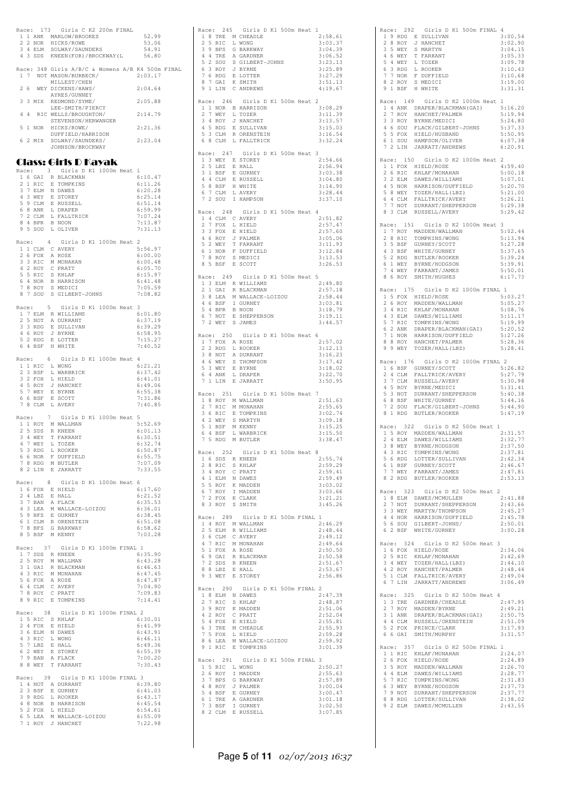|  |                | Race: 173 Girls C K2 200m FINAL                                                                                                                                 |  |                    |  |
|--|----------------|-----------------------------------------------------------------------------------------------------------------------------------------------------------------|--|--------------------|--|
|  |                | 1 1 ANK MARLOW/BROOKES<br>2 2 NOR HICKS/ROWE<br>3 4 ELM SOLWAY/SAUNDERS                                                                                         |  | 52.99<br>53.06     |  |
|  |                |                                                                                                                                                                 |  | 54.91              |  |
|  |                | 4 3 SDS KNEEN (FOR) / BROCKWAY (L                                                                                                                               |  | 56.80              |  |
|  |                | Race: 348 Girls A/B/C & Womens A/B K4 500m FINAL                                                                                                                |  |                    |  |
|  |                | 1 7 NOT MASON/BURBECK/                                                                                                                                          |  | 2:03.17            |  |
|  |                | MILLEST/CHEN<br>2 6 WEY DICKENS/HAWS/                                                                                                                           |  | 2:04.64            |  |
|  |                | AYRES/GUNNEY                                                                                                                                                    |  |                    |  |
|  | 3 3 MIX        | REDMOND/SYME/<br>LEE-SMITH/PIERCY                                                                                                                               |  | 2:05.88            |  |
|  |                | 4 4 RIC WELLS/BROUGHTON/                                                                                                                                        |  | 2:14.79            |  |
|  |                | STEVENSON/HERWANGER                                                                                                                                             |  |                    |  |
|  |                | 5 1 NOR HICKS/ROWE/                                                                                                                                             |  | 2:21.36            |  |
|  |                | DUFFIELD/HARRISON<br>6 2 MIX SOLWAY/SAUNDERS/<br>JOHNSON/BROCKWAY                                                                                               |  | 2:23.04            |  |
|  |                | JOHNSON/BROCKWAY                                                                                                                                                |  |                    |  |
|  |                | Class: Girls D Kayak                                                                                                                                            |  |                    |  |
|  |                | Race: 3 Girls D K1 1000m Heat 1                                                                                                                                 |  |                    |  |
|  |                | $\begin{tabular}{cc} 1 & 6 & GAI & R & BLACKMAN \\ 2 & 1 & RIC & E & TOMPKINS \\ \end{tabular}$                                                                 |  | 6:10.47            |  |
|  |                |                                                                                                                                                                 |  | 6:11.26<br>6:20.28 |  |
|  |                |                                                                                                                                                                 |  | 6:25.14            |  |
|  |                |                                                                                                                                                                 |  | 6:51.14            |  |
|  |                | 2 T NUCLEAR IN DAWES<br>3 7 BLM N DAWES<br>4 3 WEY E STOREY<br>5 9 CLM E RUSSELL<br>6 8 ANK L PALLIRICK<br>7 2 CLM L FALLIRICK                                  |  | 6:59.99<br>7:07.24 |  |
|  |                | $\begin{tabular}{llll} 8 & 4 & BPR & B & NOON \\ 9 & 5 & SOU & L & OLIVER \\ \end{tabular}$                                                                     |  | 7:13.87            |  |
|  |                |                                                                                                                                                                 |  | 7:31.13            |  |
|  |                | Race: 4 Girls D K1 1000m Heat 2                                                                                                                                 |  |                    |  |
|  |                | $1\,$ $1\,$ CLM $\,$ C AVERY                                                                                                                                    |  | 5:56.97            |  |
|  |                |                                                                                                                                                                 |  | 6:00.00<br>6:00.48 |  |
|  |                | 1 LUM C AVENT<br>2 6 FOX A ROSE<br>3 3 RIC M MONAHAN<br>4 2 ROY C PRATT<br>5 5 RIC S KHLAF<br>6 4 NOR B HARRISON<br>7 8 ROY S MEDICI<br>8 7 SOU S GILBERT-JOHNS |  | 6:05.70            |  |
|  |                |                                                                                                                                                                 |  | 6:15.97            |  |
|  |                |                                                                                                                                                                 |  | 6:41.48            |  |
|  |                |                                                                                                                                                                 |  | 7:05.59<br>7:08.82 |  |
|  |                |                                                                                                                                                                 |  |                    |  |
|  |                | Race: 5 Girls D K1 1000m Heat                                                                                                                                   |  | 3<br>6:01.80       |  |
|  |                | 1 7 ELM R WILLIAMS<br>2 5 NOT A DURRANT                                                                                                                         |  | 6:37.19            |  |
|  |                |                                                                                                                                                                 |  | 6:39.29            |  |
|  |                |                                                                                                                                                                 |  | 6:58.95            |  |
|  |                | 3 3 RDG E SULLIVAN<br>4 6 ROY J BYRNE<br>5 2 RDG E LOTTER<br>6 4 BSF H WHITE                                                                                    |  | 7:15.27<br>7:40.52 |  |
|  |                |                                                                                                                                                                 |  |                    |  |
|  |                | Race: 6 Girls D K1 1000m Heat<br>1 1 RIC L WONG                                                                                                                 |  | 4<br>6:21.21       |  |
|  | 2 3 BSF        | L WARBRICK                                                                                                                                                      |  | 6:37.42            |  |
|  |                |                                                                                                                                                                 |  | 6:41.01            |  |
|  |                |                                                                                                                                                                 |  | 6:49.06<br>6:55.38 |  |
|  |                | 2 DOX L HIELD<br>3 2 FOX L HIELD<br>4 5 ROY J HANCHET<br>5 7 WEY E BYRNE<br>6 6 BSF E SCOTT<br>7 8 CLM L AVERY                                                  |  | 7:31.86            |  |
|  |                |                                                                                                                                                                 |  | 7:40.85            |  |
|  |                | Race: 7 Girls D K1 1000m Heat 5                                                                                                                                 |  |                    |  |
|  |                | 1 1 ROY MWALLMAN<br>2 5 SDS R KNEEN<br>3 4 WEY T FARRANT<br>4 7 WEY L TOZER<br>5 3 RDG L ROOKER                                                                 |  | 5:52.69            |  |
|  |                |                                                                                                                                                                 |  | 6:01.13<br>6:30.51 |  |
|  |                |                                                                                                                                                                 |  | 6:32.74            |  |
|  |                |                                                                                                                                                                 |  | 6:50.87            |  |
|  |                | 6 6 NOR F DUFFIELD<br>7 8 RDG M BUTLER                                                                                                                          |  | 6:55.75<br>7:07.09 |  |
|  |                | 8 2 LIN E JARRATT                                                                                                                                               |  | 7:33.55            |  |
|  |                |                                                                                                                                                                 |  |                    |  |
|  | Race: 8        | Girls D K1 1000m Heat                                                                                                                                           |  | 6<br>6:17.60       |  |
|  |                | 1 6 FOX E HIELD<br>2 4 LBZ E HALL                                                                                                                               |  | 6:21.52            |  |
|  |                | 3 7 BAN A FLACK                                                                                                                                                 |  | 6:35.53            |  |
|  |                | 4 3 LEA M WALLACE-LOIZOU<br>5 9 BFS E GURNEY                                                                                                                    |  | 6:36.01<br>6:38.45 |  |
|  |                | 6 1 CLM R ORENSTEIN                                                                                                                                             |  | 6:51.08            |  |
|  |                | 7 8 BFS G BARKWAY<br>8 5 BSF M KENNY                                                                                                                            |  | 6:58.62            |  |
|  |                |                                                                                                                                                                 |  | 7:03.28            |  |
|  |                | Race: 37 Girls D K1 1000m FINAL 1                                                                                                                               |  |                    |  |
|  | 2 5 ROY        | 1 7 SDS R KNEEN<br>M WALLMAN                                                                                                                                    |  | 6:35.90<br>6:43.28 |  |
|  | 3 1 GAI        | R BLACKMAN                                                                                                                                                      |  | 6:46.63            |  |
|  |                | 4 3 RIC M MONAHAN                                                                                                                                               |  | 6:47.45            |  |
|  | 5 6 FOX A ROSE | 6 4 CLM C AVERY                                                                                                                                                 |  | 6:47.87<br>7:04.90 |  |
|  |                | 7 8 ROY C PRATT                                                                                                                                                 |  | 7:09.83            |  |
|  |                | 8 9 RIC E TOMPKINS                                                                                                                                              |  | 7:14.41            |  |
|  | Race: 38       | Girls D K1 1000m FINAL 2                                                                                                                                        |  |                    |  |
|  |                | 1 5 RIC S KHLAF<br>2 4 FOX E HIELD                                                                                                                              |  | 6:30.01            |  |
|  |                |                                                                                                                                                                 |  | 6:41.99            |  |
|  |                | 3 6 ELM N DAWES                                                                                                                                                 |  | 6:43.91<br>6:46.11 |  |
|  |                | 4 3 RIC L WONG<br>5 7 LBZ E HALL<br>6 2 WEY E STOREY                                                                                                            |  | 6:49.36            |  |
|  |                |                                                                                                                                                                 |  | 6:55.39            |  |
|  |                | 7 9 BAN A FLACK<br>8 8 WEY T FARRANT                                                                                                                            |  | 7:00.20<br>7:30.43 |  |
|  |                |                                                                                                                                                                 |  |                    |  |
|  | Race: 39       | Girls D K1 1000m FINAL 3<br>1 4 NOT A DURRANT                                                                                                                   |  | 6:39.80            |  |
|  |                | 2 3 BSF E GURNEY                                                                                                                                                |  | 6:41.03            |  |
|  |                | 3 9 RDG L ROOKER                                                                                                                                                |  | 6:43.17            |  |
|  |                | 4 8 NOR B HARRISON<br>5 2 FOX L HIELD                                                                                                                           |  | 6:45.54<br>6:54.61 |  |
|  |                | 6 5 LEA M WALLACE-LOIZOU<br>7 1 ROY J HANCHET                                                                                                                   |  | 6:55.09            |  |
|  |                |                                                                                                                                                                 |  | 7:22.98            |  |

| $\mathbf{1}$<br>$\overline{c}$<br>3<br>4<br>5<br>6<br>7<br>8<br>9 | 8 | 5 RIC<br>9 BPS<br>4 TRE<br>2 SOU<br>3 ROY<br>6 RDG<br>7 GAI<br>1 LIN         |        | Race: 245 Girls D K1 500m Heat<br>TRE M CHEADLE<br>L WONG<br>G BARKWAY<br>A GARDNER<br>S GILBERT-JOHNS<br>J BYRNE<br>E LOTTER<br>K SMITH<br>C ANDREWS                                                                                 |  | -1<br>2:58.61<br>3:03.37<br>3:04.39<br>3:06.52<br>3:23.13<br>3:25.89<br>3:27.29<br>3:51.13<br>4:19.67 |
|-------------------------------------------------------------------|---|------------------------------------------------------------------------------|--------|---------------------------------------------------------------------------------------------------------------------------------------------------------------------------------------------------------------------------------------|--|-------------------------------------------------------------------------------------------------------|
| Race:<br>$\mathbf{1}$<br>2<br>3<br>5<br>6                         |   | 246<br>7 WEY<br>4 ROY<br>4 5 RDG<br>3 CLM<br>8 CLM                           |        | Girls D K1 500m Heat 2<br>1 NOR B HARRISON<br>L TOZER<br>J HANCHET<br>E SULLIVAN<br>R ORENSTEIN<br>L FALLTRICK                                                                                                                        |  | 3:08.29<br>3:11.39<br>3:13.57<br>3:15.03<br>3:16.54<br>3:32.24                                        |
| 3<br>4<br>6<br>7                                                  |   | Race: 247<br>2 5 LBZ<br>1 BSF<br>4 CLM<br>5 8 BSF<br>7 CLM<br>2 SOU          |        | Girls D K1 500m Heat 3<br>1 3 WEY E STOREY<br>E HALL<br>E GURNEY<br>E RUSSELL<br>H WHITE<br>L AVERY<br>I HAMPSON                                                                                                                      |  | 2:54.66<br>2:56.94<br>3:03.38<br>3:04.80<br>3:14.90<br>3:28.44<br>3:37.10                             |
| 2<br>3<br>6<br>7<br>8                                             |   | Race: 248<br>7 FOX<br>3 FOX<br>4 6 ROY<br>5 2 WEY<br>1 NOR<br>8 ROY<br>5 BSF | E<br>F | Girls D K1 500m Heat 4<br>1 4 CLM C AVERY<br>L HIELD<br>HIELD<br>J PALMER<br>T FARRANT<br>DUFFIELD<br>S MEDICI<br>E SCOTT                                                                                                             |  | 2:51.82<br>2:57.47<br>2:57.60<br>3:05.06<br>3:11.93<br>3:12.84<br>3:13.53<br>3:26.53                  |
| 5<br>6<br>7                                                       |   | 2 1 GAI<br>$38$ LEA<br>4 6 BSF<br>4 BPR<br>7 NOT<br>2 WEY                    |        | Race: 249 Girls D K1 500m Heat<br>1 3 ELM R WILLIAMS<br>R BLACKMAN<br>M WALLACE-LOIZOU<br>I GURNEY<br>B NOON<br>E SHEPPERSON<br>S JAMES                                                                                               |  | - 5<br>2:49.80<br>2:57.18<br>2:58.44<br>3:03.81<br>3:18.79<br>3:19.11<br>3:44.57                      |
| 1.<br>2<br>3<br>4<br>5<br>6<br>7                                  |   | Race: 250<br>7 FOX<br>2 RDG<br>8 NOT<br>6 WEY<br>3 WEY<br>4 ANK<br>1 LIN     |        | Girls D K1 500m Heat 6<br>A ROSE<br>L ROOKER<br>A DURRANT<br>S THOMPSON<br>E BYRNE<br>L DRAPER<br>E JARRATT                                                                                                                           |  | 2:57.02<br>3:12.13<br>3:16.23<br>3:17.42<br>3:18.02<br>3:22.70<br>3:50.95                             |
| Race:<br>2<br>$\overline{4}$<br>5<br>6<br>7                       |   | 251<br>7 RIC<br>3 6 RIC<br>2 WEY<br>1 BSF<br>4 BSF<br>5 RDG                  |        | Girls D K1 500m Heat<br>1 8 ROY M WALLMAN<br>M MONAHAN<br>E TOMPKINS<br>S MARTYN<br>M KENNY<br>L WARBRICK<br>M BUTLER                                                                                                                 |  | 7<br>2:51.63<br>2:55.65<br>3:02.74<br>3:09.18<br>3:15.25<br>3:15.50<br>3:38.47                        |
|                                                                   |   | Race: 252                                                                    |        | Girls D Kl 500m Heat 8<br>1 6 SDS R KNEEN<br>2 8 RIC S KHLAF<br>2 6 ML 5 MHAR<br>3 4 ROY C PRATT<br>4 1 ELM N DAWES<br>5 5 ROY K MADDEN<br>6 7 ROY I MADDEN<br>7 2 FOX K CLARK<br>8 3 ROY S SMITH                                     |  | 2:55.74<br>2:59.29<br>2:59.41<br>2:59.49<br>3:03.02<br>3:03.66<br>3:21.21<br>3:45.26                  |
|                                                                   |   | 2 5 ELM                                                                      |        | Race: 289 Girls D K1 500m FINAL<br>1 4 ROY M WALLMAN<br>R WILLIAMS<br>E SEDA KWELLANS<br>36 CLM C AVERY<br>47 RIC M MONAHAN<br>51 FOX A ROSE<br>69 GAI R BLACKMAN<br>72 SDS R KNEEN<br>88 LBZ E HALL<br>93 WEY E STOREY               |  | 1<br>2:46.29<br>2:48.44<br>2:49.12<br>2:49.64<br>2:50.50<br>2:50.58<br>2:51.67<br>2:53.67<br>2:56.86  |
|                                                                   |   | Race: 290                                                                    |        | Girls D K1 500m FINAL 2<br>1 8 ELM N DAWES<br>2 7 RIC S KHLAF<br>3 9 ROY K MADDEN<br>3 9 ROY K MADDEN<br>4 2 ROY C PRATT<br>5 4 FOX E HIELD<br>6 3 TRE M CHEADLE<br>7 5 FOX L HIELD<br>8 6 LEA M WALLACE-LOIZOU<br>9 1 RIC E TOMPKINS |  | 2:47.39<br>2:48.87<br>2:51.06<br>2:52.04<br>2:55.81<br>2:55.93<br>2:59.28<br>2:59.92<br>3:01.39       |
|                                                                   |   | Race: 291<br>2 6 ROY<br>3 7 BPS                                              |        | Girls D K1 500m FINAL<br>1 5 RIC L WONG<br>I MADDEN<br>G BARKWAY<br>3 PES GURNEY<br>1 8 ROY J PALMER<br>5 4 BSF E GURNEY<br>6 1 TRE A GARDNER<br>7 3 BSF I GURNEY<br>8 2 CLM E RUSSELL                                                |  | 3<br>2:50.27<br>2:55.63<br>2:57.89<br>3:00.04<br>3:00.47<br>3:01.18<br>3:02.50<br>3:07.85             |

|                    | Race: 292 Girls D K1 500m FINAL 4                                                                                                                                                                                                      |                    |
|--------------------|----------------------------------------------------------------------------------------------------------------------------------------------------------------------------------------------------------------------------------------|--------------------|
|                    |                                                                                                                                                                                                                                        | 3:00.54            |
|                    |                                                                                                                                                                                                                                        | 3:02.90            |
|                    |                                                                                                                                                                                                                                        | 3:04.15<br>3:05.33 |
|                    | AGE: 292<br>19 RDG E SULLIVAN<br>2 8 ROY J HANCHET<br>3 5 WEY Y FARRANT<br>4 6 WEY I TOZER<br>6 3 RDG L ROOKER<br>7 7 NOR F DUFFIELD<br>8 2 ROY S MEDICI<br>9 1 BSF H WHITE                                                            | 3:09.78            |
|                    |                                                                                                                                                                                                                                        | 3:10.43            |
|                    |                                                                                                                                                                                                                                        | 3:10.68            |
|                    |                                                                                                                                                                                                                                        | 3:19.00<br>3:31.31 |
|                    |                                                                                                                                                                                                                                        |                    |
|                    | Race: 149 Girls D K2 1000m Heat 1                                                                                                                                                                                                      |                    |
|                    |                                                                                                                                                                                                                                        | 5:16.20            |
|                    |                                                                                                                                                                                                                                        | 5:19.94<br>5:24.80 |
|                    |                                                                                                                                                                                                                                        | 5:37.33            |
|                    |                                                                                                                                                                                                                                        | 5:50.95            |
|                    | ALL THE DETERMINISH CALL TO A THE DATA CALL THANK PRAPER/BLACKMAN (GAT)<br>2 7 ROY HANCHET/PALMER<br>3 3 ROY BYRNE/MEDICI<br>4 6 SOU FLACK/GILBERT-JOHNS<br>5 5 FOX HIELD/HUSBAND<br>6 1 SOU HAMPSON/OLIVER<br>7 2 LIN JARRATT/ANDREWS | 6:07.38            |
|                    |                                                                                                                                                                                                                                        | 6:20.91            |
|                    | Race: 150 Girls D K2 1000m Heat 2                                                                                                                                                                                                      |                    |
|                    | 1 1 FOX HIELD/ROSE                                                                                                                                                                                                                     | 4:59.40            |
| 2 6 RIC            | KHLAF/MONAHAN                                                                                                                                                                                                                          | 5:00.18            |
|                    |                                                                                                                                                                                                                                        | 5:07.01<br>5:20.70 |
|                    |                                                                                                                                                                                                                                        | 5:21.00            |
|                    |                                                                                                                                                                                                                                        | 5:26.21            |
|                    | 2 S NET NUMES/WILLIAMS<br>3 2 ELM DAWES/WILLIAMS<br>5 8 WEY TOZER/HALL(LBZ)<br>5 8 WEY TOZER/HALL(LBZ)<br>6 4 CLM FALLTRICK/AVERY<br>7 7 NOT DURRANT/SHEPPERSON<br>8 3 CLM RUSSELL/AVERY                                               | 5:29.38            |
|                    |                                                                                                                                                                                                                                        | 5:29.42            |
| Race: 151          | Girls D K2 1000m Heat 3                                                                                                                                                                                                                |                    |
|                    |                                                                                                                                                                                                                                        | 5:02.44            |
|                    |                                                                                                                                                                                                                                        | 5:13.94            |
|                    |                                                                                                                                                                                                                                        | 5:27.28            |
|                    |                                                                                                                                                                                                                                        | 5:37.65<br>5:39.24 |
|                    |                                                                                                                                                                                                                                        | 5:39.91            |
|                    | AGE: JJ GITS DRZ<br>17 ROY MADDEN/WALLMAN<br>28 RIC TOMPKINS/WONG<br>35 BSF WHITE/GURNEY<br>43 BSF WHITE/GURNEY<br>52 RDG BUTLER/ROOKER<br>61 WEY BYRNE/HODGSON<br>74 WEY FARRANT/JAMES<br>74 WEY FARRANT/JAMES                        | 5:50.01            |
|                    | 8 6 ROY SMITH/HUGHES                                                                                                                                                                                                                   | 6:17.73            |
|                    | Race: 175 Girls D K2 1000m FINAL 1                                                                                                                                                                                                     |                    |
|                    |                                                                                                                                                                                                                                        | 5:03.27            |
|                    | 15 FOX HIELD/ROSE<br>26 ROY MADDEN/WALLMAN<br>34 RIC KHLAF/MONAHAN<br>43 ELM DAWES/WILLIAMS<br>57 RIC TOMPKINS/WONG                                                                                                                    | 5:05.27            |
|                    |                                                                                                                                                                                                                                        | 5:08.76            |
|                    |                                                                                                                                                                                                                                        | 5:11.17            |
|                    |                                                                                                                                                                                                                                        | 5:19.99<br>5:20.52 |
|                    |                                                                                                                                                                                                                                        | 5:27.26            |
|                    | 6 2 ANK DRAPER/BLACKMAN(GAI)<br>7 1 NOR HARRISON/DUFFIELD<br>8 8 ROY HANCHET/PALMER<br>9 9 WEY TOZER/HALL(LBZ)                                                                                                                         | 5:28.36            |
|                    |                                                                                                                                                                                                                                        | 5:28.41            |
|                    | Race: 176 Girls D K2 1000m FINAL 2                                                                                                                                                                                                     |                    |
|                    | 1 6 BSF GURNEY/SCOTT                                                                                                                                                                                                                   | 5:26.82            |
| 2 4 CLM            | FALLTRICK/AVERY                                                                                                                                                                                                                        | 5:27.79            |
|                    |                                                                                                                                                                                                                                        | 5:30.98            |
|                    |                                                                                                                                                                                                                                        | 5:31.41<br>5:40.38 |
|                    |                                                                                                                                                                                                                                        | 5:44.16            |
|                    |                                                                                                                                                                                                                                        | 5:44.90            |
|                    | 2 4 CLM FADLINICAL AVENT<br>3 7 CLM RUSSELL/AVERY<br>4 5 ROY BYRNE/MEDICI<br>5 3 NOT DURRANT/SHEPPERSON<br>6 8 BSF WHITE/GURNEY<br>7 2 SOU FLACK/GILBERT-JOHNS<br>8 1 RDG BUTLER/ROOKER                                                | 5:47.19            |
|                    | Race: 322 Girls D K2 500m Heat 1                                                                                                                                                                                                       |                    |
|                    | 15 ROY MADDEN/WALLMAN<br>2 4 ELM DAWES/WILLIAMS<br>3 8 WEY BYRNE/HODGSON<br>4 3 RIC TOMPKINS/WONG                                                                                                                                      | 2:31.57            |
|                    |                                                                                                                                                                                                                                        | 2:32.77            |
|                    |                                                                                                                                                                                                                                        | 2:37.50            |
|                    | 5 6 RDG LOTTER/SULLIVAN                                                                                                                                                                                                                | 2:37.81<br>2:42.34 |
| 6 1 BSF            | GURNEY/SCOTT                                                                                                                                                                                                                           | 2:46.67            |
| 7 7 WEY            | FARRANT/JAMES                                                                                                                                                                                                                          | 2:47.81            |
|                    | 8 2 RDG BUTLER/ROOKER                                                                                                                                                                                                                  | 2:53.13            |
| Race: 323          | Girls D K2 500m Heat 2                                                                                                                                                                                                                 |                    |
|                    |                                                                                                                                                                                                                                        | 2:41.88            |
|                    |                                                                                                                                                                                                                                        | 2:43.66            |
|                    | 18 ELM DAWES/MCMULLEN<br>2 7 NOT DURRANT/SHEPPERSON<br>3 3 WEY MARTYN/THOMPSON<br>4 4 NOR HARRISON/DUFFIELD                                                                                                                            | 2:45.27            |
| 5 6 SOU            | GILBERT-JOHNS/                                                                                                                                                                                                                         | 2:45.78<br>2:50.01 |
|                    | 6 2 BSF WHITE/GURNEY                                                                                                                                                                                                                   | 3:00.28            |
|                    |                                                                                                                                                                                                                                        |                    |
|                    | Race: 324 Girls D K2 500m Heat 3                                                                                                                                                                                                       |                    |
|                    | 16 FOX HIELD/ROSE<br>25 RIC KHLAF/MONAHAN<br>34 WEY TOZER/HALL(LBZ)<br>34 WEY TOZER/HALL(LBZ)                                                                                                                                          | 2:34.06            |
|                    |                                                                                                                                                                                                                                        | 2:42.69<br>2:44.10 |
| 4 2 ROY            | HANCHET/PALMER                                                                                                                                                                                                                         | 2:48.44            |
|                    | 5 1 CLM FALLTRICK/AVERY<br>6 7 LIN JARRATT/ANDREWS                                                                                                                                                                                     | 2:49.04            |
|                    |                                                                                                                                                                                                                                        | 3:06.49            |
|                    | Race: 325 Girls D K2 500m Heat 4                                                                                                                                                                                                       |                    |
|                    | $1\,$ 3 $\,$ TRE $\,$ GARDNER/CHEADLE                                                                                                                                                                                                  | 2:47.95            |
| 2 7 ROY            | MADDEN/BYRNE                                                                                                                                                                                                                           | 2:49.21            |
| 3 1 ANK            | DRAPER/BLACKMAN (GAI)                                                                                                                                                                                                                  | 2:50.75            |
|                    |                                                                                                                                                                                                                                        |                    |
|                    |                                                                                                                                                                                                                                        | 2:51.09            |
|                    |                                                                                                                                                                                                                                        | 3:17.93<br>3:31.57 |
|                    | 4 4 CLM RUSSELL/ORENSTEIN<br>5 2 FOX PRINCE/CLARK<br>6 6 GAI SMITH/MURPHY                                                                                                                                                              |                    |
|                    | Race: 357 Girls D K2 500m FINAL 1                                                                                                                                                                                                      |                    |
|                    | $1 1 RIC KHLAF/MONAHAN \\$                                                                                                                                                                                                             | 2:24.07            |
| 2 6 FOX<br>3 5 ROY | HIELD/ROSE                                                                                                                                                                                                                             | 2:24.89            |
|                    | MADDEN/WALLMAN                                                                                                                                                                                                                         | 2:26.70<br>2:28.77 |
|                    |                                                                                                                                                                                                                                        | 2:31.83            |
|                    |                                                                                                                                                                                                                                        | 2:37.73            |
|                    |                                                                                                                                                                                                                                        | 2:37.77            |
|                    | 3 AND MADDEN MALLEMAN<br>4 4 ELM DAWES/WILLIAMS<br>5 7 RIC TOMPKINS/WONG<br>6 3 WEY BYRNE/HODGSON<br>7 9 NOT DURRANT/SHEPPERSON<br>8 8 RDG LOTTER/SULLIVAN<br>9 2 ELM DAWES/MCMULLEN                                                   | 2:38.02<br>2:43.55 |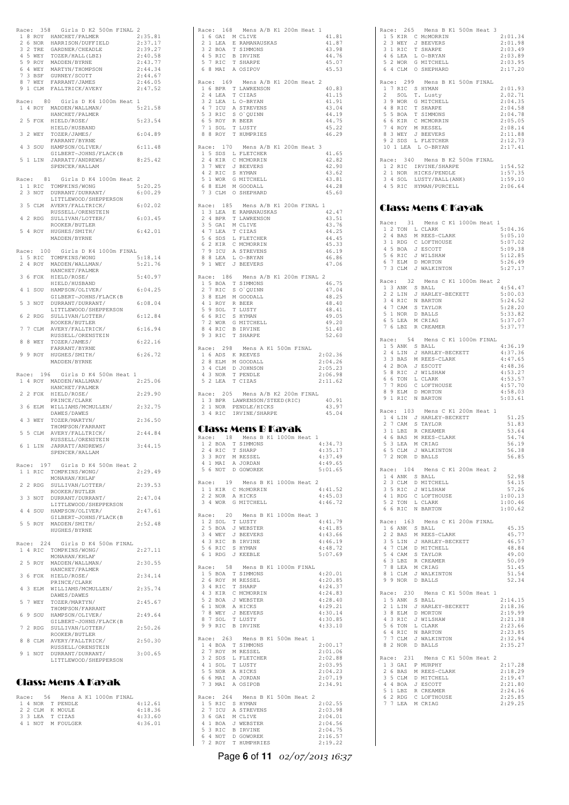|  |             | Race: 358 Girls D K2 500m FINAL 2                                                                                                                                                                                                              |                    |
|--|-------------|------------------------------------------------------------------------------------------------------------------------------------------------------------------------------------------------------------------------------------------------|--------------------|
|  |             | AGE: 558 GILIS MENTER AN AUGUST 18 ROY HARRISON/DUFFIELD<br>2 6 NOR HARRISON/DUFFIELD<br>3 2 TRE GARDNER/CHEADLE<br>4 5 WEY TOZER/HALL (LBZ)<br>5 9 ROY MADDEN/BYRNE<br>6 4 WEY MARTYN/THOMPSON<br>7 3 BSF GURNEY/SCOTT<br>7 WEY FARRANT/JAMES | 2:35.81            |
|  |             |                                                                                                                                                                                                                                                | 2:37.17            |
|  |             |                                                                                                                                                                                                                                                | 2:39.27            |
|  |             |                                                                                                                                                                                                                                                | 2:40.58<br>2:43.77 |
|  |             |                                                                                                                                                                                                                                                | 2:44.34            |
|  |             |                                                                                                                                                                                                                                                | 2:44.67            |
|  | 8 7 WEY     | FARRANT/JAMES                                                                                                                                                                                                                                  | 2:46.05            |
|  |             | 9 1 CLM FALLTRICK/AVERY                                                                                                                                                                                                                        | 2:47.52            |
|  |             | Race: 80 Girls D K4 1000m Heat 1                                                                                                                                                                                                               |                    |
|  |             | 1 4 ROY MADDEN/WALLMAN/                                                                                                                                                                                                                        | 5:21.58            |
|  |             | HANCHET/PALMER                                                                                                                                                                                                                                 |                    |
|  |             | 2 5 FOX HIELD/ROSE/                                                                                                                                                                                                                            | 5:23.54            |
|  |             | HIELD/HUSBAND                                                                                                                                                                                                                                  |                    |
|  | 3 2 WEY     | TOZER/JAMES/                                                                                                                                                                                                                                   | 6:04.89            |
|  |             | FARRANT/BYRNE<br>4 3 SOU HAMPSON/OLIVER/                                                                                                                                                                                                       | 6:11.48            |
|  |             | GILBERT-JOHNS/FLACK (B                                                                                                                                                                                                                         |                    |
|  |             | 5 1 LIN JARRATT/ANDREWS/                                                                                                                                                                                                                       | 8:25.42            |
|  |             | SPENCER/HALLAM                                                                                                                                                                                                                                 |                    |
|  |             |                                                                                                                                                                                                                                                |                    |
|  | Race:<br>81 | Girls D K4 1000m Heat 2                                                                                                                                                                                                                        | 5:20.25            |
|  |             | 1 1 RIC TOMPKINS/WONG<br>2 3 NOT DURRANT/DURRANT/                                                                                                                                                                                              | 6:00.29            |
|  |             | LITTLEWOOD/SHEPPERSON                                                                                                                                                                                                                          |                    |
|  |             | 3 5 CLM AVERY/FALLTRICK/                                                                                                                                                                                                                       | 6:02.02            |
|  |             | RUSSELL/ORENSTEIN                                                                                                                                                                                                                              |                    |
|  |             | 4 2 RDG SULLIVAN/LOTTER/<br>ROOKER/BUTLER                                                                                                                                                                                                      | 6:03.45            |
|  | 5 4 ROY     | HUGHES/SMITH/                                                                                                                                                                                                                                  | 6:42.01            |
|  |             | MADDEN/BYRNE                                                                                                                                                                                                                                   |                    |
|  |             |                                                                                                                                                                                                                                                |                    |
|  |             | Race: 100 Girls D K4 1000m FINAL                                                                                                                                                                                                               |                    |
|  |             | 1 5 RIC TOMPKINS/WONG                                                                                                                                                                                                                          | 5:18.14            |
|  | 2 4 ROY     | MADDEN/WALLMAN/<br>HANCHET/PALMER                                                                                                                                                                                                              | 5:21.76            |
|  | 3 6 FOX     | HIELD/ROSE/                                                                                                                                                                                                                                    | 5:40.97            |
|  |             | HIELD/HUSBAND                                                                                                                                                                                                                                  |                    |
|  | 4 1 SOU     | HAMPSON/OLIVER/                                                                                                                                                                                                                                | 6:04.25            |
|  |             | GILBERT-JOHNS/FLACK (B                                                                                                                                                                                                                         |                    |
|  |             | 5 3 NOT DURRANT/DURRANT/<br>LITTLEWOOD/SHEPPERSON                                                                                                                                                                                              | 6:08.04            |
|  |             | 6 2 RDG SULLIVAN/LOTTER/                                                                                                                                                                                                                       | 6:12.84            |
|  |             | ROOKER/BUTLER                                                                                                                                                                                                                                  |                    |
|  | 7 7 CLM     | AVERY/FALLTRICK/                                                                                                                                                                                                                               | 6:16.94            |
|  |             | RUSSELL/ORENSTEIN                                                                                                                                                                                                                              |                    |
|  | 8 8 WEY     | TOZER/JAMES/                                                                                                                                                                                                                                   | 6:22.16            |
|  |             |                                                                                                                                                                                                                                                |                    |
|  |             | FARRANT/BYRNE                                                                                                                                                                                                                                  |                    |
|  |             | 9 9 ROY HUGHES/SMITH/<br>MADDEN/BYRNE                                                                                                                                                                                                          | 6:26.72            |
|  |             |                                                                                                                                                                                                                                                |                    |
|  | Race: 196   | Girls D K4 500m Heat 1                                                                                                                                                                                                                         |                    |
|  |             | 1 4 ROY MADDEN/WALLMAN/                                                                                                                                                                                                                        | 2:25.06            |
|  |             | HANCHET/PALMER                                                                                                                                                                                                                                 |                    |
|  | 2 2 FOX     | HIELD/ROSE/                                                                                                                                                                                                                                    | 2:29.90            |
|  | 3 6 ELM     | PRINCE/CLARK<br>WILLIAMS/MCMULLEN/                                                                                                                                                                                                             | 2:32.75            |
|  |             | DAWES/DAWES                                                                                                                                                                                                                                    |                    |
|  | 4 3 WEY     | TOZER/MARTYN/                                                                                                                                                                                                                                  | 2:36.50            |
|  |             | THOMPSON/FARRANT                                                                                                                                                                                                                               |                    |
|  |             | 5 5 CLM AVERY/FALLTRICK/                                                                                                                                                                                                                       | 2:44.84            |
|  |             | RUSSELL/ORENSTEIN                                                                                                                                                                                                                              | 3:44.15            |
|  |             | 6 1 LIN JARRATT/ANDREWS/                                                                                                                                                                                                                       |                    |
|  |             | SPENCER/HALLAM                                                                                                                                                                                                                                 |                    |
|  |             | Race: 197 Girls D K4 500m Heat 2                                                                                                                                                                                                               |                    |
|  | 1 1 RIC     | TOMPKINS/WONG/                                                                                                                                                                                                                                 | 2:29.49            |
|  | 2 2 RDG     | MONAHAN/KHLAF<br>SULLIVAN/LOTTER/                                                                                                                                                                                                              | 2:39.53            |
|  |             | ROOKER/BUTLER                                                                                                                                                                                                                                  |                    |
|  |             | 3 3 NOT DURRANT/DURRANT/                                                                                                                                                                                                                       | 2:47.04            |
|  |             | LITTLEWOOD/SHEPPERSON                                                                                                                                                                                                                          |                    |
|  |             | 4 4 SOU HAMPSON/OLIVER/                                                                                                                                                                                                                        | 2:47.61            |
|  | 5 5 ROY     | GILBERT-JOHNS/FLACK (B<br>MADDEN/SMITH/                                                                                                                                                                                                        | 2:52.48            |
|  |             | HUGHES/BYRNE                                                                                                                                                                                                                                   |                    |
|  |             |                                                                                                                                                                                                                                                |                    |
|  | Race: 224   | Girls D K4 500m FINAL                                                                                                                                                                                                                          |                    |
|  | 1 4 RIC     | TOMPKINS/WONG/                                                                                                                                                                                                                                 | 2:27.11            |
|  | 2 5 ROY     | MONAHAN/KHLAF<br>MADDEN/WALLMAN/                                                                                                                                                                                                               | 2:30.55            |
|  |             | HANCHET/PALMER                                                                                                                                                                                                                                 |                    |
|  | 3 6 FOX     | HIELD/ROSE/                                                                                                                                                                                                                                    | 2:34.14            |
|  |             | PRINCE/CLARK                                                                                                                                                                                                                                   |                    |
|  | 4 3 ELM     | WILLIAMS/MCMULLEN/                                                                                                                                                                                                                             | 2:35.74            |
|  |             | DAWES/DAWES                                                                                                                                                                                                                                    |                    |
|  | 5 7 WEY     | TOZER/MARTYN/<br>THOMPSON/FARRANT                                                                                                                                                                                                              | 2:45.67            |
|  | 6 9 SOU     | HAMPSON/OLIVER/                                                                                                                                                                                                                                | 2:49.64            |
|  |             | GILBERT-JOHNS/FLACK (B                                                                                                                                                                                                                         |                    |
|  | 7 2 RDG     | SULLIVAN/LOTTER/                                                                                                                                                                                                                               | 2:50.26            |
|  | 8 8 CLM     | ROOKER/BUTLER<br>AVERY/FALLTRICK/                                                                                                                                                                                                              | 2:50.30            |
|  |             | RUSSELL/ORENSTEIN                                                                                                                                                                                                                              |                    |
|  |             | 9 1 NOT DURRANT/DURRANT/                                                                                                                                                                                                                       | 3:00.65            |
|  |             | LITTLEWOOD/SHEPPERSON                                                                                                                                                                                                                          |                    |

#### Class: Mens A Kayak

|  |  |                                    |                                       |  | 4:12.61                        |
|--|--|------------------------------------|---------------------------------------|--|--------------------------------|
|  |  |                                    |                                       |  | 4:18.36                        |
|  |  |                                    |                                       |  | 4:33.60                        |
|  |  |                                    |                                       |  | 4:36.01                        |
|  |  | 2 2 CLM K MOULE<br>3 3 LEA T CIZAS | 1 4 NOR T PENDLE<br>4 1 NOT M FOULGER |  | Race: 56 Mens A K1 1000m FINAL |

|  |           | Race: 168 Mens A/B K1 200m Heat 1                                                                                                                                                                                                                           |  |
|--|-----------|-------------------------------------------------------------------------------------------------------------------------------------------------------------------------------------------------------------------------------------------------------------|--|
|  | 2 1 LEA   | 1 6 GAI M CLIVE<br>41.81<br>E RAMANAUSKAS<br>41.87                                                                                                                                                                                                          |  |
|  |           | T SIMMONS<br>43.98                                                                                                                                                                                                                                          |  |
|  |           | 3 2 BOA T SIMMON<br>4 5 RIC B IRVINE<br>5 7 RIC T SHARPE<br>44.76                                                                                                                                                                                           |  |
|  |           | 45.07<br>6 8 MAI A OSIPOV<br>45.53                                                                                                                                                                                                                          |  |
|  |           |                                                                                                                                                                                                                                                             |  |
|  |           | Race: 169 Mens A/B K1 200m Heat 2                                                                                                                                                                                                                           |  |
|  | 2 4 LEA   | 1 6 BPR T LAWRENSON<br>40.83<br>T CIZAS<br>41.15                                                                                                                                                                                                            |  |
|  |           | 41.91                                                                                                                                                                                                                                                       |  |
|  |           | 43.04                                                                                                                                                                                                                                                       |  |
|  |           | 44.19                                                                                                                                                                                                                                                       |  |
|  |           | 2 LEA LO-BRYAN<br>4 7 ICU A STREVENS<br>5 3 RIC SO`QUINN<br>6 5 ROY R BEER<br>7 1 SOL T LUSTY<br>7 1 SOL T LUMPDIES<br>44.75<br>45.22                                                                                                                       |  |
|  | 8 8 ROY   | T HUMPRIES<br>46.29                                                                                                                                                                                                                                         |  |
|  |           |                                                                                                                                                                                                                                                             |  |
|  | Race: 170 | Mens A/B K1 200m Heat 3<br>$1\,$ 5 SDS $\,$ L FLETCHER<br>41.65                                                                                                                                                                                             |  |
|  |           | 42.82                                                                                                                                                                                                                                                       |  |
|  |           | 42.90                                                                                                                                                                                                                                                       |  |
|  |           | 43.62                                                                                                                                                                                                                                                       |  |
|  |           | $\begin{array}{cccc} 2&4 &\text{KIR} &\text{C} &\text{MCMORRIN} \\ 3&7 &\text{WEY} & J &\text{BEEVERS} \\ 4&2 &\text{RIC} & S &\text{HYMAN} \\ 5&1 &\text{WOR} & G &\text{MITCHELL} \\ 6&8 &\text{ELM} & M &\text{GOODAL} \\ \end{array}$<br>43.81<br>44.28 |  |
|  |           | 7 3 CLM O SHEPHARD<br>45.60                                                                                                                                                                                                                                 |  |
|  |           |                                                                                                                                                                                                                                                             |  |
|  |           | Race: 185 Mens A/B K1 200m FINAL 1<br>42.47                                                                                                                                                                                                                 |  |
|  |           | 1 3 LEA E RAMANAUSKAS<br>2 4 BPR T LAWRENSON<br>43.51                                                                                                                                                                                                       |  |
|  | 3 5 GAI   | 43.76<br>M CLIVE                                                                                                                                                                                                                                            |  |
|  | 4 7 LEA   | 44.25<br>T CIZAS                                                                                                                                                                                                                                            |  |
|  |           | 44.45<br>45.33                                                                                                                                                                                                                                              |  |
|  |           | 5 6 SDS L FLETCHER<br>6 2 KIR C MCMORRIN<br>7 9 ICU A STREVENS<br>46.19                                                                                                                                                                                     |  |
|  | 8 8 LEA   | L O-BRYAN<br>46.86                                                                                                                                                                                                                                          |  |
|  |           | 9 1 WEY J BEEVERS<br>47.06                                                                                                                                                                                                                                  |  |
|  |           | Race: 186 Mens A/B K1 200m FINAL 2                                                                                                                                                                                                                          |  |
|  |           | 46.75                                                                                                                                                                                                                                                       |  |
|  |           | 47.04<br>48.25                                                                                                                                                                                                                                              |  |
|  |           | NOTES TO WELFALL TO WELFALL A THEORY AND SELM MISS ON THE SERVING SELM MISS TO SALL THAT A SALL AND THE SERVING SERVING SERVING SERVING SERVING SERVING SERVING SERVING SERVING SERVING SERVING SERVING SERVING SERVING SERVIN<br>48.40                     |  |
|  |           | 48.41                                                                                                                                                                                                                                                       |  |
|  |           | 49.05                                                                                                                                                                                                                                                       |  |
|  | 8 4 RIC   | 49.20<br><b>B IRVINE</b><br>51.40                                                                                                                                                                                                                           |  |
|  | 9 3 RIC   | T SHARPE<br>52.60                                                                                                                                                                                                                                           |  |
|  |           |                                                                                                                                                                                                                                                             |  |
|  | Race: 298 | Mens A K1 500m FINAL<br>2:02.36                                                                                                                                                                                                                             |  |
|  |           | 16 ADS KREEVES<br>28 ELM M GOODALL<br>34 CLM D JOHNSON<br>43 NOR T PENDLE<br>2:04.26                                                                                                                                                                        |  |
|  |           | 2:05.23                                                                                                                                                                                                                                                     |  |
|  | 5 2 LEA   | 2:06.98<br>T CIZAS<br>2:11.62                                                                                                                                                                                                                               |  |
|  |           |                                                                                                                                                                                                                                                             |  |
|  |           |                                                                                                                                                                                                                                                             |  |
|  |           | Race: 205 Mens A/B K2 200m FINAL                                                                                                                                                                                                                            |  |
|  |           | 1 3 BPR LAWRENSON/STEED (RIC)<br>40.91                                                                                                                                                                                                                      |  |
|  | 2 1 NOR   | 43.97<br>PENDLE/HICKS                                                                                                                                                                                                                                       |  |
|  |           | 3 4 RIC IRVINE/SHARPE<br>45.04                                                                                                                                                                                                                              |  |
|  |           |                                                                                                                                                                                                                                                             |  |
|  |           | Class: Mens B Kayak<br>Race: 18 Mens B K1 1000m Heat 1                                                                                                                                                                                                      |  |
|  |           | 1 2 BOA T SIMMONS<br>4:34.73                                                                                                                                                                                                                                |  |
|  |           | 2 4 RIC T SHARP<br>4:35.17                                                                                                                                                                                                                                  |  |
|  |           | 4:37.49<br>4:49.65                                                                                                                                                                                                                                          |  |
|  |           | 3 3 ROY M RESSEL<br>4 1 MAI A JORDAN<br>5 6 NOT D GOWOREK<br>5:01.65                                                                                                                                                                                        |  |
|  |           |                                                                                                                                                                                                                                                             |  |
|  |           | Race: 19 Mens B K1 1000m Heat 2<br>4:41.52                                                                                                                                                                                                                  |  |
|  | 2 2 NOR   | $1\,$ 1 KIR $\,$ C MCMORRIN<br>A HICKS<br>4:45.03                                                                                                                                                                                                           |  |
|  |           | 3 4 WOR G MITCHELL<br>4:46.72                                                                                                                                                                                                                               |  |
|  |           |                                                                                                                                                                                                                                                             |  |
|  |           | Race: 20 Mens B K1 1000m Heat 3<br>4:41.79                                                                                                                                                                                                                  |  |
|  |           | 4:41.85                                                                                                                                                                                                                                                     |  |
|  |           | 12 SOL T LUSTY<br>2 5 BOA J WEBSTER<br>3 4 WEY J BEEVERS<br>4:43.66                                                                                                                                                                                         |  |
|  | 4 3 RIC   | <b>B IRVINE</b><br>4:46.19<br>4:48.72                                                                                                                                                                                                                       |  |
|  |           | 5 6 RIC S HYMAN<br>6 1 RDG J KEEBLE<br>5:07.69                                                                                                                                                                                                              |  |
|  |           |                                                                                                                                                                                                                                                             |  |
|  |           | Race: 58 Mens B K1 1000m FINAL                                                                                                                                                                                                                              |  |
|  |           | 4:20.01<br>4:20.85                                                                                                                                                                                                                                          |  |
|  |           | 4:24.37                                                                                                                                                                                                                                                     |  |
|  |           | 15 BOA T SIMMONS<br>26 ROY M RESSEL<br>34 RIC T SHARP<br>4:24.83                                                                                                                                                                                            |  |
|  |           | 4:28.40<br>4:29.21                                                                                                                                                                                                                                          |  |
|  |           | 4:30.14                                                                                                                                                                                                                                                     |  |
|  |           | 4:30.85                                                                                                                                                                                                                                                     |  |
|  |           | 9 4 ARE C MONDRIN<br>5 2 BOA J WEBSTER<br>6 1 NOR A HICKS<br>7 8 WEY J BEEVERS<br>8 7 SOL T LUSTY<br>9 9 RIC B IRVINE<br>4:33.10                                                                                                                            |  |
|  |           | Race: 263 Mens B K1 500m Heat 1                                                                                                                                                                                                                             |  |
|  |           | 2:00.17                                                                                                                                                                                                                                                     |  |
|  |           | 2:01.06<br>2:02.88                                                                                                                                                                                                                                          |  |
|  |           | 2:03.95                                                                                                                                                                                                                                                     |  |
|  |           | 2:04.23                                                                                                                                                                                                                                                     |  |
|  |           | 2:07.19<br>2:34.91                                                                                                                                                                                                                                          |  |
|  |           |                                                                                                                                                                                                                                                             |  |
|  | Race: 264 | Mens B K1 500m Heat 2                                                                                                                                                                                                                                       |  |
|  |           | 2:02.55<br>2:03.98                                                                                                                                                                                                                                          |  |
|  |           | 2:04.01                                                                                                                                                                                                                                                     |  |
|  |           | 2:04.56                                                                                                                                                                                                                                                     |  |
|  |           | ALL SET SHYMAN<br>2 7 ICU A STREVENS<br>3 6 GAI M CLIVE<br>4 1 BOA J WEBSTER<br>5 3 RIC B IRVINE<br>6 4 NOT D GOWOREK<br>2:04.75<br>2:16.57<br>7 2 ROY T HUMPHRIES                                                                                          |  |

| Race: 265 Mens B K1 500m Heat 3 |         |
|---------------------------------|---------|
| 1 5 KIR C MCMORRIN              | 2:01.34 |
| 2 3 WEY J BEEVERS               | 2:01.98 |
| 3 1 RIC T SHARPE                | 2:03.49 |
| 4 6 LEA L O-BRYAN               | 2:03.89 |
| 5 2 WOR G MITCHELL              | 2:03.95 |
| 6 4 CLM O SHEPHARD              | 2:17.20 |
|                                 |         |
| Race: 299 Mens B K1 500m FINAL  |         |
| 1 7 RIC S HYMAN                 | 2:01.93 |
| 2 SOL T. Lusty                  | 2.02.71 |
| 3 9 WOR G MITCHELL              | 2:04.35 |
| 4 8 RIC T SHARPE                | 2:04.58 |
| 5 5 BOA T SIMMONS               | 2:04.78 |
| 6 6 KIR C MCMORRIN              | 2:05.05 |
| 7 4 ROY M RESSEL                | 2:08.14 |
| 8 3 WEY J BEEVERS               | 2:11.88 |
| 9 2 SDS L FLETCHER              | 2:12.73 |
| 10 1 LEA L O-BRYAN              | 2:17.41 |
|                                 |         |
| Race: 340 Mens B K2 500m FINAL  |         |
| 1 2 RIC IRVINE/SHARPE           | 1:54.52 |
| 2 1 NOR HICKS/PENDLE            | 1:57.35 |
| 3 4 SOL LUSTY/BALL(ANK)         | 1:59.10 |
| 4 5 RIC HYMAN/PURCELL           | 2:06.64 |
|                                 |         |
|                                 |         |
| Class: Mens C Kavak             |         |
|                                 |         |
| Race: 31 Mens C K1 1000m Heat 1 |         |
| 1 2 TON L CLARK                 | 5:04.36 |
| 2 4 BAS M REES-CLARK            | 5:05.10 |
| 3 1 RDG C LOFTHOUSE             | 5:07.02 |
| 4 5 BOA J ESCOTT                | 5:09.38 |
| 5 6 RIC J WILSHAW               | 5:12.85 |
| $\sim$<br>7 EIM D MODTON        | 5.26 49 |

|                 |                                                                                                                                                                                                                  | 3:14.03            |
|-----------------|------------------------------------------------------------------------------------------------------------------------------------------------------------------------------------------------------------------|--------------------|
|                 |                                                                                                                                                                                                                  | 5:26.49            |
|                 | 5 6 KIC J WILSHAW<br>6 7 ELM D MORTON<br>7 3 CLM J WALKINTON                                                                                                                                                     | 5:27.17            |
|                 |                                                                                                                                                                                                                  |                    |
|                 | Race: 32 Mens C K1 1000m Heat 2                                                                                                                                                                                  |                    |
|                 |                                                                                                                                                                                                                  | 4:54.47            |
|                 |                                                                                                                                                                                                                  |                    |
|                 |                                                                                                                                                                                                                  | 5:00.03            |
|                 |                                                                                                                                                                                                                  | 5:24.52            |
|                 |                                                                                                                                                                                                                  | 5:28.20            |
|                 |                                                                                                                                                                                                                  | 5:33.82            |
|                 |                                                                                                                                                                                                                  |                    |
|                 |                                                                                                                                                                                                                  | 5:37.07            |
|                 | EXAMPLE 32 Mens C K1 1000<br>1 3 ANK S BALL<br>2 2 LIN J HARLEY-BECKETT<br>3 4 RIC N BARTON<br>4 7 CAM S TAYLOR<br>5 1 NOR D BALLS<br>6 5 LEA M CRIAG<br>7 6 LBZ R CREAMER                                       | 5:37.77            |
|                 |                                                                                                                                                                                                                  |                    |
| Race: 54        | Mens C K1 1000m FINAL                                                                                                                                                                                            |                    |
|                 | Race: 54 Mens C K1 1000m<br>15 ANK S BALL<br>24 LIN J HARLEY-BECKETT<br>33 BAS M REES-CLARK<br>42 BOA J ESCOTT<br>58 RIC J WILSHAW<br>66 TON L CLARK<br>77 RDG C LOTTHOUSE<br>89 ELM D MORTON<br>91 RIC N BARTON | 4:36.19            |
|                 |                                                                                                                                                                                                                  |                    |
|                 |                                                                                                                                                                                                                  | 4:37.36            |
|                 |                                                                                                                                                                                                                  | 4:47.65            |
|                 |                                                                                                                                                                                                                  | 4:48.36            |
|                 |                                                                                                                                                                                                                  | 4:53.27            |
|                 |                                                                                                                                                                                                                  | 4:53.57            |
|                 |                                                                                                                                                                                                                  |                    |
|                 |                                                                                                                                                                                                                  | 4:57.70            |
|                 |                                                                                                                                                                                                                  | 4:58.03            |
|                 |                                                                                                                                                                                                                  | 5:03.61            |
|                 |                                                                                                                                                                                                                  |                    |
| Race: 103       |                                                                                                                                                                                                                  |                    |
|                 | Mens C K1 200m Heat 1                                                                                                                                                                                            |                    |
|                 |                                                                                                                                                                                                                  | 51.25              |
|                 |                                                                                                                                                                                                                  | 51.83              |
|                 |                                                                                                                                                                                                                  | 53.64              |
|                 |                                                                                                                                                                                                                  | 54.74              |
|                 |                                                                                                                                                                                                                  |                    |
|                 |                                                                                                                                                                                                                  | 56.19              |
|                 | Race: 103 Mens C K1 200m<br>1 4 LIN J HARLEY-BECKETT<br>2 7 CAM S TAYLOR<br>3 1 LBZ R CREAMER<br>5 3 LEA M REES-CLARK<br>5 3 LEA M CRIAG<br>6 5 CLM J WALKINTON<br>7 2 NOR D BALLS                               | 56.38              |
|                 |                                                                                                                                                                                                                  | 56.85              |
|                 |                                                                                                                                                                                                                  |                    |
| Race: 104       | Mens C K1 200m Heat 2                                                                                                                                                                                            |                    |
|                 |                                                                                                                                                                                                                  |                    |
|                 |                                                                                                                                                                                                                  |                    |
|                 |                                                                                                                                                                                                                  | 52.98              |
|                 |                                                                                                                                                                                                                  | 54.15              |
|                 |                                                                                                                                                                                                                  |                    |
|                 |                                                                                                                                                                                                                  | 57.26              |
|                 |                                                                                                                                                                                                                  | 1:00.13            |
|                 |                                                                                                                                                                                                                  | 1:00.46            |
|                 |                                                                                                                                                                                                                  | 1:00.62            |
|                 | ACCE DUA MENICIAL<br>14 ANK SBALL<br>23 CLM D MITCHELL<br>35 RIC J WILSHAW<br>41 RDG C LOFTHOUSE<br>5 2 TON L CLARK<br>6 6 RIC N BARTON                                                                          |                    |
|                 |                                                                                                                                                                                                                  |                    |
|                 | Race: 163 Mens C K1 200m FINAL                                                                                                                                                                                   |                    |
|                 |                                                                                                                                                                                                                  | 45.35              |
|                 |                                                                                                                                                                                                                  | 45.77              |
|                 |                                                                                                                                                                                                                  | $46\,.\,57$        |
|                 |                                                                                                                                                                                                                  |                    |
|                 |                                                                                                                                                                                                                  | $4\,8$ . $8\,4$    |
|                 |                                                                                                                                                                                                                  | 49.00              |
|                 |                                                                                                                                                                                                                  | 50.09              |
|                 |                                                                                                                                                                                                                  | 51.45              |
|                 |                                                                                                                                                                                                                  | 51.54              |
|                 |                                                                                                                                                                                                                  | 52.34              |
|                 | GACE: 163 Mens C K1 200m<br>16 ANK S BALL<br>22 BAS M REES-CLARK<br>35 LIN J HARLEY-BECKETT<br>47 CLM D MITCHELL<br>63 LBZ R CREAMER<br>63 LEZ M CRIAG<br>81 CLM J WALKINTON<br>99 NOR D BALLS                   |                    |
|                 |                                                                                                                                                                                                                  |                    |
|                 | Race: 230 Mens C K1 500m Heat 1                                                                                                                                                                                  |                    |
|                 |                                                                                                                                                                                                                  | 2:14.15            |
|                 |                                                                                                                                                                                                                  | 2:18.36            |
|                 |                                                                                                                                                                                                                  | 2:19.99            |
|                 |                                                                                                                                                                                                                  |                    |
|                 |                                                                                                                                                                                                                  | 2:21.38            |
|                 |                                                                                                                                                                                                                  | 2:23.66            |
|                 |                                                                                                                                                                                                                  | 2:23.85            |
|                 |                                                                                                                                                                                                                  | 2:32.94            |
|                 |                                                                                                                                                                                                                  | 2:35.27            |
|                 | AGE: 230 MENS BALL<br>15 ANK SBALL<br>21 LIN J HARLEY-BECKETT<br>38 ELM D MORTON<br>43 RIC J WILSHAW<br>56 TON L CLARK<br>7 T CLM J NALKINTON<br>82 NOR D BALLS                                                  |                    |
|                 |                                                                                                                                                                                                                  |                    |
| Race: 231       | Mens C K1 500m Heat 2                                                                                                                                                                                            |                    |
|                 |                                                                                                                                                                                                                  | 2:17.28            |
|                 |                                                                                                                                                                                                                  | 2:18.29            |
|                 |                                                                                                                                                                                                                  | 2:19.47            |
|                 |                                                                                                                                                                                                                  |                    |
|                 |                                                                                                                                                                                                                  | 2:21.80            |
|                 |                                                                                                                                                                                                                  | 2:24.16            |
| 7 7 LEA M CRIAG | AGUE: 231 Mens C K1<br>1 3 GAI P MURPHY<br>2 6 BAS M REES-CLARK<br>3 5 CLM D MITCHELL<br>4 4 BOA J ESCOTT<br>5 1 LBZ R CREAMER<br>6 2 ROE C LOTTHOUSE<br>6 2 ROE C LOTTHOUSE<br>7 7 LEA M CRIAG                  | 2:25.85<br>2:29.25 |

Page **6** of **11** 02/07/2013 16:37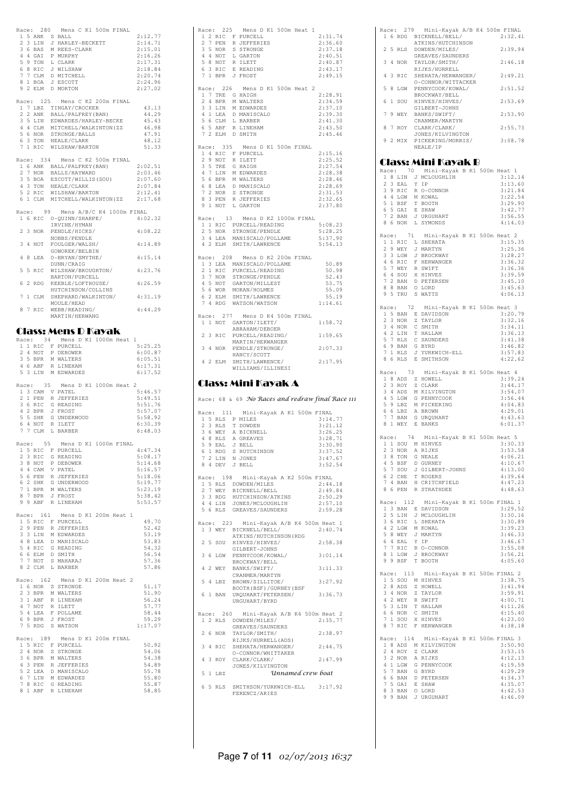|       |                | Race: 280 Mens C K1 500m FINAL                                                                                                                          |  |                                                                                                                                                         |                    |                |  |
|-------|----------------|---------------------------------------------------------------------------------------------------------------------------------------------------------|--|---------------------------------------------------------------------------------------------------------------------------------------------------------|--------------------|----------------|--|
|       | 1 5 ANK S BALL |                                                                                                                                                         |  |                                                                                                                                                         | 2:12.77            |                |  |
|       |                | 2 3 LIN J HARLEY-BECKETT<br>3 6 BAS M REES-CLARK<br>4 4 GAI P MURPHY<br>5 9 TON L CLARK<br>6 8 RIC J WILSHAW<br>6 8 RIC J WILSHAW                       |  |                                                                                                                                                         | 2:14.71<br>2:15.01 |                |  |
|       |                |                                                                                                                                                         |  |                                                                                                                                                         | 2:16.26            |                |  |
|       |                |                                                                                                                                                         |  |                                                                                                                                                         | 2:17.31            |                |  |
|       |                |                                                                                                                                                         |  |                                                                                                                                                         | 2:18.84            |                |  |
|       |                | $\begin{tabular}{cc} 7 & 7 & \texttt{CLM} & D & \texttt{MITCHELL} \\ 8 & 1 & \texttt{BOA} & J & \texttt{ESCOTT} \end{tabular}$                          |  |                                                                                                                                                         | 2:20.74            |                |  |
|       |                | 9 2 ELM D MORTON                                                                                                                                        |  |                                                                                                                                                         | 2:24.96<br>2:27.02 |                |  |
|       |                |                                                                                                                                                         |  |                                                                                                                                                         |                    |                |  |
|       |                |                                                                                                                                                         |  | Race: 125 Mens C K2 200m FINAL                                                                                                                          |                    |                |  |
|       |                | 1 7 LBZ TINGAY/CROCKER<br>2 2 ANK BALL/PALFREY(BAN)                                                                                                     |  |                                                                                                                                                         |                    | 43.13          |  |
|       |                |                                                                                                                                                         |  |                                                                                                                                                         |                    | 44.29          |  |
|       |                | 3 5 LIN EDWARDES/HARLEY-BECKE                                                                                                                           |  |                                                                                                                                                         |                    | 45.43<br>46.98 |  |
|       |                |                                                                                                                                                         |  |                                                                                                                                                         |                    | 47.91          |  |
|       |                |                                                                                                                                                         |  |                                                                                                                                                         |                    | 48.12          |  |
|       |                | 3<br>4 4 CLM MITCHELL/WALKINTON(ZZ<br>5 6 NOR STRONGE/BALLS<br>6 3 TON NEALE/CLARK<br>7 1 RIC WILSHAW/BARTON                                            |  |                                                                                                                                                         |                    | 51.33          |  |
|       |                |                                                                                                                                                         |  |                                                                                                                                                         |                    |                |  |
|       |                |                                                                                                                                                         |  | Race: 334 Mens C K2 500m FINAL                                                                                                                          | 2:02.51            |                |  |
|       | $27$ NOR       | 1 6 ANK BALL/PALFREY (BAN)<br>2 7 NOR BALLS/HAYWARD                                                                                                     |  |                                                                                                                                                         | 2:03.46            |                |  |
|       |                |                                                                                                                                                         |  |                                                                                                                                                         |                    |                |  |
|       |                |                                                                                                                                                         |  |                                                                                                                                                         |                    |                |  |
|       |                |                                                                                                                                                         |  | 2:07.60<br>3 5 BOA ESCOTT/WILLIS(SOU) 2:07.60<br>4 3 TON NEALE/CLARK 2:07.84<br>5 2 RIC WILSHAW/BARTON 2:12.41<br>6 1 CLM MITCHELL/WALKINTON(ZZ 2:17.68 |                    |                |  |
|       |                |                                                                                                                                                         |  |                                                                                                                                                         |                    |                |  |
|       |                |                                                                                                                                                         |  | Race: 99 Mens A/B/C K4 1000m FINAL                                                                                                                      |                    |                |  |
|       |                | 1 6 RIC 0-QUINN/SHARPE/                                                                                                                                 |  |                                                                                                                                                         | 4:02.32            |                |  |
|       |                | IRVINE/HYMAN                                                                                                                                            |  |                                                                                                                                                         |                    |                |  |
|       | 2 3 NOR        | PENDLE/HICKS/<br>NOBBS/PENDLE                                                                                                                           |  |                                                                                                                                                         | 4:08.22            |                |  |
|       |                | 3 4 NOT FOULGER/WALSH/                                                                                                                                  |  |                                                                                                                                                         | 4:14.89            |                |  |
|       |                | GOWOREK/BELBIN                                                                                                                                          |  |                                                                                                                                                         |                    |                |  |
|       |                | 4 8 LEA 0-BRYAN/SMYTHE/                                                                                                                                 |  |                                                                                                                                                         | 4:15.14            |                |  |
|       |                | DUNN/CRAIG<br>5 5 RIC WILSHAW/BROUGHTON/                                                                                                                |  |                                                                                                                                                         | 4:23.76            |                |  |
|       |                | BARTON/PURCELL                                                                                                                                          |  |                                                                                                                                                         |                    |                |  |
|       |                | 6 2 RDG KEEBLE/LOFTHOUSE/                                                                                                                               |  |                                                                                                                                                         | 4:26.59            |                |  |
|       |                | HUTCHINSON/COLLINS                                                                                                                                      |  |                                                                                                                                                         |                    |                |  |
|       |                | MOULE/HEAD                                                                                                                                              |  | 7 1 CLM SHEPHARD/WALKINTON/ 4:31.19                                                                                                                     |                    |                |  |
|       |                | 8 7 RIC WEBB/READING/                                                                                                                                   |  |                                                                                                                                                         | 4:44.29            |                |  |
|       |                | MARTIN/HERWANG                                                                                                                                          |  |                                                                                                                                                         |                    |                |  |
|       |                |                                                                                                                                                         |  |                                                                                                                                                         |                    |                |  |
|       |                | Class: Mens D Kayak                                                                                                                                     |  |                                                                                                                                                         |                    |                |  |
|       |                |                                                                                                                                                         |  | Race: 34 Mens D K1 1000m Heat 1                                                                                                                         |                    |                |  |
|       |                |                                                                                                                                                         |  |                                                                                                                                                         | 5:25.25            |                |  |
|       |                |                                                                                                                                                         |  |                                                                                                                                                         | 6:00.87<br>6:05.51 |                |  |
|       |                |                                                                                                                                                         |  |                                                                                                                                                         | 6:17.31            |                |  |
|       |                | ARC F PURCELL<br>1 1 RIC F PURCELL<br>2 4 NOT P DEBOWER<br>3 5 BPR M WALTERS<br>4 6 ABF R LINEHAM<br>5 3 LIN M EDWARDES                                 |  |                                                                                                                                                         | 6:17.52            |                |  |
|       |                |                                                                                                                                                         |  |                                                                                                                                                         |                    |                |  |
|       | Race: 35       |                                                                                                                                                         |  | Mens D K1 1000m Heat 2                                                                                                                                  |                    |                |  |
|       |                |                                                                                                                                                         |  |                                                                                                                                                         | 5:46.57<br>5:49.51 |                |  |
|       |                |                                                                                                                                                         |  |                                                                                                                                                         | 5:51.76            |                |  |
|       |                |                                                                                                                                                         |  |                                                                                                                                                         | 5:57.07            |                |  |
|       |                | AGRIC 1997 MEDIAN AT A SAMPLE 2 1 PEN R JEFFERIES<br>3 6 RIC G READING<br>5 6 RIC G READING<br>5 5 SHK G UNDERWOOD<br>6 4 NOT R ILETT                   |  |                                                                                                                                                         | 5:58.92            |                |  |
|       |                |                                                                                                                                                         |  |                                                                                                                                                         | 6:30.39            |                |  |
|       |                | 7 7 CLM L BARBER                                                                                                                                        |  |                                                                                                                                                         | 6:48.03            |                |  |
|       |                |                                                                                                                                                         |  | Race: 55 Mens D K1 1000m FINAL                                                                                                                          |                    |                |  |
|       |                | 1 5 RIC F PURCELL                                                                                                                                       |  |                                                                                                                                                         | 4:47.34            |                |  |
|       |                |                                                                                                                                                         |  |                                                                                                                                                         | 5:08.17            |                |  |
|       |                | 2 3 RIC G READING<br>3 8 NOT P DEBOWER<br>4 4 CAM V PATEL                                                                                               |  |                                                                                                                                                         | 5:14.68            |                |  |
|       |                | 5 6 PEN R JEFFERIES                                                                                                                                     |  |                                                                                                                                                         | 5:16.57<br>5:18.06 |                |  |
|       |                |                                                                                                                                                         |  |                                                                                                                                                         | 5:19.77            |                |  |
|       |                |                                                                                                                                                         |  |                                                                                                                                                         | 5:23.19            |                |  |
|       |                | 6 2 SHK G UNDERWOOD<br>7 1 BPR M WALTERS<br>8 7 BPR J FROST<br>9 9 ABF R LINEHAM                                                                        |  |                                                                                                                                                         | 5:38.42            |                |  |
|       |                |                                                                                                                                                         |  |                                                                                                                                                         | 5:53.57            |                |  |
|       |                |                                                                                                                                                         |  | Race: 161 Mens D K1 200m Heat 1                                                                                                                         |                    |                |  |
|       |                | $1\,$ 5 RIC $\,$ F PURCELL                                                                                                                              |  |                                                                                                                                                         |                    | 49.70          |  |
|       | 2 9 PEN        | R JEFFERIES                                                                                                                                             |  |                                                                                                                                                         |                    | 52.42          |  |
|       |                |                                                                                                                                                         |  |                                                                                                                                                         |                    | 53.19<br>53.83 |  |
|       |                | 2 PEN ROBERT SALES<br>3 3 LIN M EDWARDES<br>4 8 LEA D MANISCALO<br>5 4 RIC G READING<br>6 6 ELM D SMHARAJ<br>7 7 NOT S MAHARAJ<br>8 2 CLM L BARBER      |  |                                                                                                                                                         |                    | 54.32          |  |
|       |                |                                                                                                                                                         |  |                                                                                                                                                         |                    | 56.54          |  |
|       |                |                                                                                                                                                         |  |                                                                                                                                                         |                    | 57.36          |  |
|       |                |                                                                                                                                                         |  |                                                                                                                                                         |                    | 57.86          |  |
| Race: | 162            |                                                                                                                                                         |  | Mens D K1 200m Heat 2                                                                                                                                   |                    |                |  |
|       |                |                                                                                                                                                         |  |                                                                                                                                                         |                    | 51.17          |  |
|       |                |                                                                                                                                                         |  |                                                                                                                                                         |                    | 51.90          |  |
|       |                |                                                                                                                                                         |  |                                                                                                                                                         |                    | 56.24          |  |
|       |                |                                                                                                                                                         |  |                                                                                                                                                         |                    | 57.77<br>58.44 |  |
|       |                | MAGE 192 MENSING<br>16 NOR S STRONGE<br>23 BPR M WALTERS<br>31 ABF R LINEHAM<br>47 NOT R LLET<br>54 LEA F POLLAME<br>69 BPR J FROST<br>54 LEA F POLLAME |  |                                                                                                                                                         |                    | 59.29          |  |
|       | 7 5 RDG        | S WATSON                                                                                                                                                |  |                                                                                                                                                         | 1:17.07            |                |  |
|       |                |                                                                                                                                                         |  |                                                                                                                                                         |                    |                |  |
|       | Race: 189      | Mens D K1 200m FINAL<br>1 5 RIC F PURCELL                                                                                                               |  |                                                                                                                                                         |                    | 50.92          |  |
|       |                |                                                                                                                                                         |  |                                                                                                                                                         |                    | 54.06          |  |
|       |                | 2 4 NOR S STRONGE<br>3 6 BPR M WALTERS<br>4 3 PEN R JEFFERIES<br>5 2 LEA D MANISCALO                                                                    |  |                                                                                                                                                         |                    | 54.38          |  |
|       |                |                                                                                                                                                         |  |                                                                                                                                                         |                    | 54.89          |  |
|       |                |                                                                                                                                                         |  |                                                                                                                                                         |                    |                |  |
|       |                |                                                                                                                                                         |  |                                                                                                                                                         |                    | 55.78          |  |
| 6     |                | 7 LIN M EDWARDES                                                                                                                                        |  |                                                                                                                                                         |                    | 55.80<br>55.87 |  |
|       |                | 7 8 RIC G READING<br>8 1 ABF R LINEHAM                                                                                                                  |  |                                                                                                                                                         |                    | 58.85          |  |

|                    | Race: 225 Mens D K1 500m Heat 1<br>1 2 RIC F PURCELL<br>2 7 PEN R JEFFERIES                                                       | 2:31.74            |
|--------------------|-----------------------------------------------------------------------------------------------------------------------------------|--------------------|
|                    | 3 5 NOR S STRONGE                                                                                                                 | 2:36.60<br>2:37.18 |
|                    | 4 4 NOT L GARTON<br>5 8 NOT R ILETT<br>6 3 RIC E READING<br>7 1 BPR J FROST                                                       | 2:40.51<br>2:40.87 |
|                    |                                                                                                                                   | 2:43.17            |
|                    |                                                                                                                                   | 2:49.15            |
| Race: 226          | Mens D K1 500m Heat 2                                                                                                             | 2:28.91            |
|                    | 1 7 TRE G HAIGH<br>2 4 BPR M WALTERS                                                                                              | 2:34.59            |
|                    | 3 3 LIN M EDWARDES<br>4 1 LEA D MANISCALO<br>5 6 CLM L BARBER                                                                     | 2:37.10<br>2:39.30 |
| 6 5 ABF            | R LINEHAM                                                                                                                         | 2:41.30<br>2:43.50 |
|                    | 7 2 ELM D SMITH                                                                                                                   | 2:45.46            |
|                    | Race: 335 Mens D K1 500m FINAL                                                                                                    |                    |
|                    | 1 4 RIC F PURCELL<br>2 9 NOT R ILETT                                                                                              | 2:15.16<br>2:25.52 |
|                    | 3 5 TRE G HAIGH<br>4 7 LIN M EDWARDES                                                                                             | 2:27.54<br>2:28.38 |
|                    | 5 6 BPR M WALTERS                                                                                                                 | 2:28.46            |
|                    | 6 8 LEA D MANISCALO<br>7 2 NOR S STRONGE<br>8 3 PEN R JEFFERIES                                                                   | 2:28.69<br>2:31.53 |
|                    | 9 1 NOT L GARTON                                                                                                                  | 2:32.65<br>2:37.80 |
|                    | Race: 13 Mens D K2 1000m FINAL                                                                                                    |                    |
| 2 5 NOR            | 1 1 RIC PURCELL/READING                                                                                                           | 5:08.23            |
|                    | STRONGE/PENDLE<br>3 4 LEA MANISCALO/POLLAME                                                                                       | 5:28.25<br>5:37.90 |
|                    | 4 2 ELM SMITH/LAWRENCE                                                                                                            | 5:54.13            |
|                    | Race: 208 Mens D K2 200m FINAL                                                                                                    | 50.89              |
| 2 1 RIC            | 1 3 LEA MANISCALO/POLLAME<br>PURCELL/READING                                                                                      | 50.98              |
| 3 7 NOR<br>4 5 NOT | STRONGE/PENDLE<br>GARTON/MILLEST<br>moran/holmes                                                                                  | 52.43<br>53.75     |
|                    | 5 6 WOR MORAN/HOLMES                                                                                                              | 55.09<br>55.19     |
|                    | 6 2 ELM SMITH/LAWRENCE<br>7 4 RDG WATSON/WATSON                                                                                   | 1:14.61            |
|                    | Race: 277 Mens D K4 500m FINAL<br>1 1 NOT GARTON/ILETT/                                                                           | 1:58.72            |
| 2 3 RIC            | ABRAHAM/DEBOER<br>$\tt PURCELL/READING/$                                                                                          | 1:59.65            |
|                    | MARTIN/HERWANGER<br>3 4 NOR PENDLE/STRONGE/                                                                                       |                    |
|                    |                                                                                                                                   | 2:07.33            |
|                    | HANCY/SCOTT                                                                                                                       |                    |
|                    | 4 2 ELM SMITH/LAWRENCE/                                                                                                           | 2:17.95            |
|                    | WILLIAMS/ILLINESI                                                                                                                 |                    |
|                    | Class: Mini Kayak A                                                                                                               |                    |
|                    | Race: 68 & 69 No Races and redraw final Race 111                                                                                  |                    |
|                    | Race: 111 Mini-Kayak A K1 500m FINAL<br>1 5 RLS P MILES                                                                           | 3:14.77            |
| 2 3 RLS            | T DOWDEN                                                                                                                          | 3:21.12            |
|                    |                                                                                                                                   | 3:26.25<br>3:28.71 |
|                    | 3 6 WEY A BICKNELL<br>4 8 RLS A GREAVES<br>5 9 EAL J BELL<br>6 1 RDG S HUTCHINSON                                                 | 3:30.90<br>3:37.52 |
|                    |                                                                                                                                   | 3:47.67            |
|                    | 7 2 LIN N JONES<br>8 4 DEV J BELL                                                                                                 | 3:52.54            |
|                    | Race: 198 Mini-Kayak A K2 500m FINAL                                                                                              | 2:44.18            |
|                    |                                                                                                                                   | 2:49.84<br>2:50.29 |
|                    |                                                                                                                                   | 2:57.10            |
|                    | 15 RLS DOWDEN/MILES<br>2 7 WEY BICKNELL/BELL<br>3 3 RDG HUTCHINSON/ATKINS<br>4 4 LIN JONES/MCLOUGHLIN<br>5 6 RLS GREAVES/SAUNDERS | 2:59.28            |
|                    | Race: 223 Mini-Kayak A/B K4 500m Heat 1<br>1 3 WEY BICKNELL/BELL/                                                                 | 2:40.74            |
| 2 5 SOU            | ATKINS/HUTCHINSON(RDG<br>HINVES/HINVES/                                                                                           | 2:58.38            |
|                    | GILBERT-JOHNS                                                                                                                     |                    |
|                    | 3 6 LGW PENNYCOOK/KOWAL/<br>BROCKWAY/BELL                                                                                         | 3:01.14            |
|                    | 4 2 WEY BANKS/SWIFT/<br>CRANMER/MARTYN                                                                                            | 3:11.33            |
|                    | 5 4 LBZ BROWN/SILLITOE/<br>BOOTH (BSF) / GURNEY (BSF                                                                              | 3:27.92            |
|                    | 6 1 BAN URQUHART/PETERSEN/<br>URGUHART/BYRD                                                                                       | 3:36.73            |
|                    |                                                                                                                                   |                    |
|                    | Race: 260 Mini-Kayak A/B K4 500m Heat 2<br>1 2 RLS DOWDEN/MILES/                                                                  | 2:35.77            |
| 2 6 NOR            | GREAVES/SAUNDERS<br>TAYLOR/SMITH/                                                                                                 | 2:38.97            |
|                    | RIJKS/HURRELL(ADS)                                                                                                                | 2:44.75            |
|                    | 3 4 RIC SHEHATA/HERWANGER/<br>O-CONNOR/WHITTAKER                                                                                  |                    |
|                    | 4 3 ROY CLARK/CLARK/<br>JONES/KILVINGTON                                                                                          | 2:47.99            |
| 5 1 LBZ            | Unnamed crew boat<br>6 5 RLS SMITHSON/YURKWICH-ELL 3:17.92                                                                        |                    |

|                |                      |                     | Race: 279 Mini-Kayak A/B K4 500m FINAL<br>1 6 RDG BICKNELL/BELL/                                                                                                                                                               | 2:32.41            |
|----------------|----------------------|---------------------|--------------------------------------------------------------------------------------------------------------------------------------------------------------------------------------------------------------------------------|--------------------|
| $\overline{2}$ | 5                    | RLS                 | ATKINS/HUTCHINSON<br>DOWDEN/MILES/                                                                                                                                                                                             | 2:39.94            |
| 3              |                      | 4 NOR               | GREAVES/SAUNDERS<br>TAYLOR/SMITH/                                                                                                                                                                                              | 2:46.18            |
| 4              | 3                    | RIC                 | RIJKS/HURRELL<br>SHEHATA/HERWANGER/                                                                                                                                                                                            | 2:49.21            |
| 5              | 8                    | LGW                 | O-CONNOR/WITTACKER<br>PENNYCOOK/KOWAL/                                                                                                                                                                                         | 2:51.52            |
| 6              | $\mathbf 1$          |                     | BROCKWAY/BELL                                                                                                                                                                                                                  |                    |
|                |                      |                     | SOU HINVES/HINVES/<br>GILBERT-JOHNS                                                                                                                                                                                            | 2:53.69            |
| 7              |                      | 9 WEY               | BANKS/SWIFT/<br>CRANMER/MARTYN                                                                                                                                                                                                 | 2:53.90            |
| 8              |                      | 7 ROY               | CLARK/CLARK/<br>JONES/KILVINGTON                                                                                                                                                                                               | 2:55.73            |
| 9              |                      | 2 MIX               | PICKERING/MORRIS/<br>NEALE/IP                                                                                                                                                                                                  | 3:08.78            |
|                |                      |                     | Class: Mini Kayak B                                                                                                                                                                                                            |                    |
|                |                      |                     | Race: 70 Mini-Kayak B K1 500m Heat 1<br>1 8 LIN J MCLOUGHLIN                                                                                                                                                                   | 3:12.14            |
|                |                      |                     | 18 LIN WARD THE STATE THE SAME REPORT OF STATE STATE STATE STATE STATE STATE STATE STATE STATE STATE STATE STATE STATE STATE STATE STATE STATE STATE STATE STATE STATE STATE STATE STATE STATE STATE STATE STATE STATE STATE S | 3:13.60            |
|                |                      |                     |                                                                                                                                                                                                                                | 3:21.84<br>3:22.54 |
|                |                      |                     |                                                                                                                                                                                                                                | 3:29.90            |
|                |                      |                     |                                                                                                                                                                                                                                | 3:42.77            |
|                |                      | 8 6 NOR             | L SYMONDS                                                                                                                                                                                                                      | 3:56.55<br>4:14.03 |
|                |                      | Race: 71            | Mini-Kayak B K1 500m Heat 2                                                                                                                                                                                                    |                    |
|                |                      |                     |                                                                                                                                                                                                                                | 3:15.35<br>3:25.36 |
|                |                      |                     |                                                                                                                                                                                                                                | 3:28.27            |
|                |                      |                     |                                                                                                                                                                                                                                | 3:36.32<br>3:36.36 |
|                |                      |                     |                                                                                                                                                                                                                                | 3:39.59            |
|                |                      |                     |                                                                                                                                                                                                                                | 3:45.10<br>3:45.63 |
|                |                      |                     | Aace: 71 Mini-Kay, 2012<br>29 WEY J MARTYN<br>29 WEY J MARTYN<br>33 LGM J BROCKWAY<br>46 GRIC F HERWANGER<br>57 WEY R SWIFT<br>64 SOU X HINVES<br>72 BAN D LORD<br>88 BAN O LORD<br>95 TRU S WATTS                             | 4:06.13            |
|                |                      |                     | Race: 72 Mini-Kayak B K1 500m Heat 3                                                                                                                                                                                           |                    |
|                |                      | 2 3 NOR             | 1 5 BAN E DAVIDSON<br>Z TAYLOR                                                                                                                                                                                                 | 3:20.79<br>3:32.16 |
|                |                      | 3 4 NOR             | C SMITH                                                                                                                                                                                                                        | 3:34.11            |
|                |                      |                     |                                                                                                                                                                                                                                | 3:36.13            |
|                |                      |                     |                                                                                                                                                                                                                                | 3:41.38<br>3:46.82 |
|                |                      |                     | 3 4 NORTH THALLAM<br>4 2 LIN T HALLAM<br>5 7 RLS C SAUNDERS<br>6 9 BAN G BYRD<br>7 1 RLS J YURKWICH-ELL<br>8 6 RLS E SMITHSON                                                                                                  | 3:57.83            |
|                |                      |                     |                                                                                                                                                                                                                                | 4:22.62            |
|                |                      | Race: 73            | Mini-Kayak B K1 500m Heat 4                                                                                                                                                                                                    | 3:39.24            |
|                |                      |                     |                                                                                                                                                                                                                                | 3:44.17            |
|                |                      |                     |                                                                                                                                                                                                                                | 3:54.07            |
|                |                      |                     |                                                                                                                                                                                                                                | 3:56.44<br>4:04.83 |
|                |                      |                     | EXECT: A MINI-AGYAN<br>18 ADS 2 CLARK<br>3 4 ADS M KILVINGTON<br>4 5 LGM G PENNYCOOK<br>5 9 LBZ M PICKERING<br>6 6 LBZ A BROWN<br>7 7 BAN G URQUHART<br>7 MAN G URQUHART                                                       | 4:29.01            |
|                |                      |                     | 8 1 WEY E BANKS                                                                                                                                                                                                                | 4:43.63<br>6:01.37 |
|                |                      | Race: 74            | Mini-Kayak B K1 500m Heat 5                                                                                                                                                                                                    |                    |
|                |                      |                     | 1 1 SOU M HINVES<br>2 3 NOR A RIJKS                                                                                                                                                                                            | 3:30.33            |
|                |                      |                     | G NEALE                                                                                                                                                                                                                        | 3:53.58            |
| 3<br>4         | 8<br>5               | TON                 |                                                                                                                                                                                                                                |                    |
| 5              |                      | BSF                 | D GURNEY                                                                                                                                                                                                                       | 4:06.21<br>4:10.67 |
|                | 7                    | SOU                 | J GILBERT-JOHNS                                                                                                                                                                                                                | 4:13.00            |
| 6<br>7         | 2<br>4               | CHE<br>BAN          | T ROGERS<br>H CRITCHFIELD                                                                                                                                                                                                      | 4:39.64            |
| 8              | 6                    | PEN                 | R STRATHDEE                                                                                                                                                                                                                    | 4:47.23<br>4:48.63 |
|                |                      | Race: 112           | Mini-Kayak B K1 500m FINAL 1                                                                                                                                                                                                   |                    |
| $\mathbf{1}$   | 3                    | BAN E               | DAVIDSON                                                                                                                                                                                                                       | 3:29.52            |
|                | 2 <sub>5</sub><br>36 | LIN<br>RIC          | J MCLOUGHLIN<br>L SHEHATA                                                                                                                                                                                                      | 3:30.16<br>3:30.89 |
| 4              | $\overline{c}$       |                     |                                                                                                                                                                                                                                | 3:39.23            |
| 6              |                      | 5 8 WEY<br>4 EAL    | LGW M KOWAL<br>WEY J MARTY<br>J MARTYN<br>Y IP                                                                                                                                                                                 | 3:46.33<br>3:46.67 |
|                |                      | 7 7 RIC             | R O-CONNOR                                                                                                                                                                                                                     | 3:55.08            |
| 8              | 1<br>99              | $_{\rm LGW}$<br>BSF | J BROCKWAY<br>T BOOTH                                                                                                                                                                                                          | 3:56.21<br>4:05.60 |
| Race:          |                      | 113                 | Mini-Kayak B K1 500m FINAL                                                                                                                                                                                                     | $\overline{2}$     |
| $\mathbf{1}$   | $\mathsf S$          |                     | SOU M HINVES                                                                                                                                                                                                                   | 3:38.75            |
|                |                      | 2 8 ADS<br>3 4 NOR  | Z HOWELL<br>Z TAYLOR                                                                                                                                                                                                           | 3:41.94<br>3:59.91 |
| 4              |                      | 2 WEY               |                                                                                                                                                                                                                                | 4:00.71            |
|                | 5 3                  |                     | WEY R SWIFT<br>LIN T HALLAM                                                                                                                                                                                                    | 4:11.26            |
|                |                      | 6 6 NOR<br>7 1 SOU  | C SMITH<br>X HINVES                                                                                                                                                                                                            | 4:15.40<br>4:23.00 |
| 8 7            |                      | $_{\rm RIC}$        | F HERWANGER                                                                                                                                                                                                                    | 4:38.18            |
|                |                      | Race: 114           | Mini-Kayak B K1 500m FINAL 3                                                                                                                                                                                                   |                    |
| 2              | 4                    | 1 8 ADS<br>ROY      | M KILVINGTON<br>Z CLARK                                                                                                                                                                                                        | 3:50.90<br>3:53.15 |
|                |                      | 3 2 NOR             | A RIJKS                                                                                                                                                                                                                        | 4:12.13            |
| 5              | 7                    | 4 1 LGW             | G PENNYCOOK<br>G BYRD                                                                                                                                                                                                          | 4:19.59<br>4:29.29 |
| 6              | 6                    | BAN                 |                                                                                                                                                                                                                                | 4:34.37            |
| 7<br>8         | 5<br>3               |                     | BAN D PETERSEN<br>GAI E SHAW<br>BAN O LORD                                                                                                                                                                                     | 4:35.07<br>4:42.53 |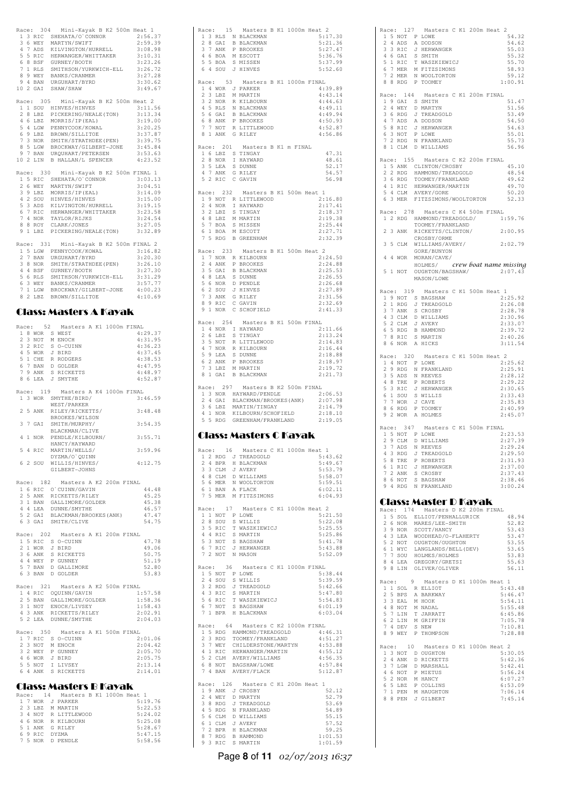|              |           | Race: 304 Mini-Kayak B K2 500m Heat 1                                                                                                                                                                                                                  |                        |
|--------------|-----------|--------------------------------------------------------------------------------------------------------------------------------------------------------------------------------------------------------------------------------------------------------|------------------------|
|              |           |                                                                                                                                                                                                                                                        |                        |
|              |           |                                                                                                                                                                                                                                                        |                        |
|              |           |                                                                                                                                                                                                                                                        |                        |
|              |           |                                                                                                                                                                                                                                                        |                        |
|              |           |                                                                                                                                                                                                                                                        |                        |
|              |           |                                                                                                                                                                                                                                                        |                        |
|              |           |                                                                                                                                                                                                                                                        |                        |
|              |           |                                                                                                                                                                                                                                                        |                        |
|              | Race: 305 | Mini-Kayak B K2 500m Heat 2                                                                                                                                                                                                                            |                        |
|              |           |                                                                                                                                                                                                                                                        |                        |
|              |           |                                                                                                                                                                                                                                                        |                        |
|              |           |                                                                                                                                                                                                                                                        |                        |
|              |           |                                                                                                                                                                                                                                                        |                        |
|              |           |                                                                                                                                                                                                                                                        |                        |
|              |           | Race: 305 Mini-Kayak B KZ 500m Heat 2<br>1 SOU HINVES/HINVES<br>2 8 LBZ PICKERING/NEALE(TON) 3:13.34<br>4 6 LEZ MORRIS/IP(EAL) 3:19.00<br>5 4 LGW PENNYCOOK/KOWAL 3:20.25<br>6 9 LBZ BROWN/SILLITOE (PEN) 3:37.87<br>7 3 NOR SMITH/STRATHD             |                        |
|              |           |                                                                                                                                                                                                                                                        |                        |
|              |           | Race: 330 Mini-Kayak B K2 500m FINAL 1                                                                                                                                                                                                                 |                        |
|              |           |                                                                                                                                                                                                                                                        | 3:03.13<br>3:04.51     |
|              |           |                                                                                                                                                                                                                                                        | 3:14.09                |
|              |           |                                                                                                                                                                                                                                                        | 3:15.00                |
|              |           |                                                                                                                                                                                                                                                        | $3:19.15$<br>$3:23.58$ |
|              |           | Race: 330 Mini-Kayak B K2 500m F<br>15 RIC SHEHATA/O'CONNOR<br>26 WEY MARTYN/SWIFT<br>3 9 LBZ MORRIS/IP(EAL)<br>42 SOU HINVES/HINVES<br>5 3 ADS KILVINGTON/HURRELL<br>6 7 RIC HERWANGER/WHITTAKER<br>8 8 ROY CLARK/JONES<br>9 1 LBZ PICKERING/NEALE(TO | 3:24.54                |
|              |           |                                                                                                                                                                                                                                                        | 3:27.05<br>3:32.89     |
|              |           |                                                                                                                                                                                                                                                        |                        |
|              |           | Race: 331 Mini-Kayak B K2 500m FINAL 2                                                                                                                                                                                                                 |                        |
|              |           | 15 LGW PENNYCOOK/KOWAL                                                                                                                                                                                                                                 | 3:16.82                |
|              |           |                                                                                                                                                                                                                                                        |                        |
|              |           |                                                                                                                                                                                                                                                        |                        |
|              |           |                                                                                                                                                                                                                                                        |                        |
|              |           |                                                                                                                                                                                                                                                        |                        |
|              |           | 8 2 LBZ BROWN/SILLITOE                                                                                                                                                                                                                                 | 4:10.69                |
|              |           |                                                                                                                                                                                                                                                        |                        |
|              |           | <b>Class: Masters A Kayak</b>                                                                                                                                                                                                                          |                        |
|              |           | Race: 52 Masters A K1 1000m FINAL                                                                                                                                                                                                                      |                        |
|              |           |                                                                                                                                                                                                                                                        | 4:29.37                |
|              |           |                                                                                                                                                                                                                                                        | 4:31.95<br>4:36.23     |
|              |           |                                                                                                                                                                                                                                                        | 4:37.45                |
|              |           |                                                                                                                                                                                                                                                        | 4:38.53                |
|              |           |                                                                                                                                                                                                                                                        | 4:47.95<br>4:48.97     |
|              |           | ALCE: DZ<br>18 WOR S WEST<br>23 NOT M ENOCH<br>32 RIC S O-CUINN<br>45 WOR J BIRD<br>51 CHE R RODGERS<br>67 BAN D GOLDER<br>79 ANK S RICKETTS<br>86 LEA J SMYTHE                                                                                        | 4:52.87                |
|              |           |                                                                                                                                                                                                                                                        |                        |
|              |           |                                                                                                                                                                                                                                                        |                        |
|              |           | Race: 119 Masters A K4 1000m FINAL                                                                                                                                                                                                                     |                        |
|              |           | 1 3 WOR SMYTHE/BIRD/<br>WEST/PARKER                                                                                                                                                                                                                    | 3:46.59                |
|              |           | 2 5 ANK RILEY/RICKETTS/                                                                                                                                                                                                                                | 3:48.48                |
|              |           | BROOKES/WILSON                                                                                                                                                                                                                                         |                        |
|              |           | 3 7 GAI SMITH/MURPHY/<br>BLACKMAN/CLIVE<br>BLACKMAN/CLIVE                                                                                                                                                                                              | 3:54.35                |
|              |           | 4 1 NOR PENDLE/KILBOURN/                                                                                                                                                                                                                               | 3:55.71                |
|              |           | HANCY/HAYWARD<br>5 4 RIC MARTIN/WELLS/                                                                                                                                                                                                                 | 3:59.96                |
|              |           | DYZMA/O'QUINN                                                                                                                                                                                                                                          |                        |
|              | 6 2 SOU   | WILLIS/HINVES/<br>GILBERT-JOHNS                                                                                                                                                                                                                        | 4:12.75                |
|              |           |                                                                                                                                                                                                                                                        |                        |
|              |           | Race: 182 Masters A K2 200m FINAL                                                                                                                                                                                                                      |                        |
|              | 2 5 ANK   | 1 6 RIC O'CUINN/GAVIN<br>2 5 ANK RICKETTS/RILEY                                                                                                                                                                                                        | 44.48<br>45.25         |
|              |           | 3 1 BAN GALLIMORE/GOLDER                                                                                                                                                                                                                               | 45.38                  |
|              |           |                                                                                                                                                                                                                                                        | 46.57                  |
|              |           | 4 4 LEA DUNNE/SMYTHE<br>5 2 GAI BLACKMAN/BROOKES(ANK)<br>6 3 GAI SMITH/CLIVE                                                                                                                                                                           | 47.47<br>54.75         |
|              |           |                                                                                                                                                                                                                                                        |                        |
|              |           | Race: 202 Masters A K1 200m FINAL                                                                                                                                                                                                                      | 47.78                  |
|              | 2 1 WOR   | 1 5 RIC S O-CUINN<br>J BIRD                                                                                                                                                                                                                            | 49.06                  |
|              | 3 6 ANK   | S RICKETTS                                                                                                                                                                                                                                             | 50.75                  |
|              |           |                                                                                                                                                                                                                                                        | 51.19<br>52.80         |
|              |           | 4 4 WEY P GUNNEY<br>5 7 BAN D GALLIMORE<br>6 3 BAN D GOLDER                                                                                                                                                                                            | 53.83                  |
|              |           | Race: 321 Masters A K2 500m FINAL                                                                                                                                                                                                                      |                        |
|              |           | 1 4 RIC OQUINN/GAVIN                                                                                                                                                                                                                                   | 1:57.58                |
|              | 2 5 BAN   | GALLIMORE/GOLDER                                                                                                                                                                                                                                       | 1:58.36                |
|              | 3 1 NOT   | ENOCH/LIVSEY                                                                                                                                                                                                                                           | 1:58.43<br>2:02.91     |
|              |           | 4 3 ANK RICKETTS/RILEY<br>5 2 LEA DUNNE/SMYTHE                                                                                                                                                                                                         | 2:04.03                |
|              |           |                                                                                                                                                                                                                                                        |                        |
|              |           | Race: 350 Masters A K1 500m FINAL                                                                                                                                                                                                                      | 2:01.06                |
|              |           | 1 7 RIC S O-CUINN<br>2 3 NOT M ENOCH                                                                                                                                                                                                                   | 2:04.42                |
|              | 3 2 WEY   | P GUNNEY                                                                                                                                                                                                                                               | 2:05.70<br>2:05.75     |
|              |           |                                                                                                                                                                                                                                                        | 2:13.14                |
|              |           | 4 6 WOR J BIRD<br>5 5 NOT I LIVSEY<br>6 4 ANK S RICKETTS                                                                                                                                                                                               | 2:14.01                |
|              |           |                                                                                                                                                                                                                                                        |                        |
|              |           | <b>Class: Masters B Kayak</b><br>Race: 14 Masters B K1 1000m Heat 1                                                                                                                                                                                    |                        |
| $\mathbf{1}$ |           | 7 WOR J PARKER                                                                                                                                                                                                                                         | 5:19.76                |
|              | 2 3 LBZ   | M MARTIN                                                                                                                                                                                                                                               | 5:22.53                |
|              |           | 3 4 NOT R LITTLEWOOD<br>R KILBOURN                                                                                                                                                                                                                     | 5:24.02<br>5:25.08     |
|              |           | 4 6 NOR R KILBO<br>5 1 ANK G RILEY<br>6 9 RIC DYZMA                                                                                                                                                                                                    | 5:28.67<br>5:47.15     |

|                     | Race: 15 Masters B K1 1000m Heat 2<br>1 3 RLS N BLACKMAN                                                                                                                               | 5:17.30            |
|---------------------|----------------------------------------------------------------------------------------------------------------------------------------------------------------------------------------|--------------------|
| $28$ GAI            | <b>B BLACKMAN</b>                                                                                                                                                                      | 5:21.36<br>5:27.47 |
|                     |                                                                                                                                                                                        | 5:36.76            |
|                     | 3 7 ANK P BROOKES<br>4 6 BOA M ESCOTT<br>5 5 BOA S MISSEN<br>6 4 SOU J HINVES                                                                                                          | 5:37.99<br>5:52.60 |
|                     | Race: 53 Masters B K1 1000m FINAL                                                                                                                                                      |                    |
|                     | 1 4 WOR J PARKER                                                                                                                                                                       | 4:39.89            |
| $23$ LBZ<br>3 2 NOR | M MARTIN<br>R KILBOURN                                                                                                                                                                 | 4:43.14<br>4:44.63 |
|                     |                                                                                                                                                                                        | 4:49.11            |
|                     | 4 5 RLS N BLACKMAN<br>5 6 GAI B BLACKMAN<br>6 8 ANK P BROOKES<br>7 7 NOT R LITTLEWOOD                                                                                                  | 4:49.94<br>4:50.93 |
| 8 1 ANK             | G RILEY                                                                                                                                                                                | 4:52.87            |
|                     |                                                                                                                                                                                        | 4:56.86            |
| Race: 201           | Masters B K1 m FINAL<br>1 6 LBZ S TINGAY                                                                                                                                               | 47.31              |
|                     |                                                                                                                                                                                        | 48.61              |
|                     | 2 8 NOR I HAYWARD<br>3 5 LEA S DUNNE<br>4 7 ANK G RILEY                                                                                                                                | 52.17<br>54.57     |
| 5 2 RIC             | C GAVIN                                                                                                                                                                                | 56.98              |
| Race: 232           | Masters B K1 500m Heat                                                                                                                                                                 | $\mathbf{1}$       |
|                     | 1 9 NOT R LITTLEWOOD                                                                                                                                                                   | 2:16.80<br>2:17.41 |
|                     |                                                                                                                                                                                        | 2:18.37<br>2:19.38 |
|                     | 2 4 NOR I HAYWARD<br>3 2 LBZ S TINGAY<br>4 8 LBZ M MARTIN<br>5 7 BOA S MISSEN                                                                                                          | 2:25.44            |
| 6 1 BOA             | M ESCOTT<br>7 5 RDG B GREENHAM                                                                                                                                                         | 2:27.71<br>2:32.39 |
|                     |                                                                                                                                                                                        |                    |
|                     | Race: 233 Masters B K1 500m Heat 2<br>1 7 NOR R KILBOURN                                                                                                                               | 2:24.50            |
|                     | 2 4 ANK P BROOKES<br>3 5 GAI B BLACKMAN                                                                                                                                                | 2:24.88<br>2:25.53 |
|                     | 4 8 LEA S DUNNE                                                                                                                                                                        | 2:26.55            |
| 5 6 NOR             | D PENDLE<br>J HINVES                                                                                                                                                                   | 2:26.68<br>2:27.89 |
|                     | 6 2 SOU J HINVES<br>7 3 ANK G RILEY<br>8 9 RIC C GAVIN                                                                                                                                 | 2:31.56            |
|                     | 9 1 NOR C SCHOFIELD                                                                                                                                                                    | 2:32.69<br>2:41.33 |
|                     | Race: 254 Masters B K1 500m FINAL                                                                                                                                                      |                    |
|                     | $1\ 4\ \hbox{NOR}\quad \hbox{I HAYWARD}$                                                                                                                                               | 2:11.66            |
| 2 6 LBZ<br>3 5 NOT  | S TINGAY<br>R LITTLEWOOD                                                                                                                                                               | 2:13.24<br>2:14.83 |
|                     | 4 7 NOR R KILBOURN<br>5 9 LEA S DUNNE<br>6 2 ANK P BROOKES<br>7 3 LBZ M MARTIN                                                                                                         | 2:16.44            |
|                     |                                                                                                                                                                                        | 2:18.88<br>2:18.97 |
|                     | 8 1 GAI B BLACKMAN                                                                                                                                                                     | 2:19.72<br>2:21.73 |
|                     |                                                                                                                                                                                        |                    |
|                     |                                                                                                                                                                                        |                    |
| Race: 297           | Masters B K2 500m FINAL                                                                                                                                                                | 2:06.53            |
|                     | 1 3 NOR HAYWARD/PENDLE                                                                                                                                                                 | 2:07.98            |
|                     | 2 4 GAI BLACKMAN/BROOKES(ANK)<br>3 6 LBZ MARTIN/TINGAY                                                                                                                                 | 2:14.79<br>2:18.10 |
|                     | 4 1 NOR KILBOURN/SCHOFIELD<br>5 5 RDG GREENHAM/FRANKLAND                                                                                                                               | 2:19.05            |
|                     | Class: Masters C Kayak                                                                                                                                                                 |                    |
|                     |                                                                                                                                                                                        |                    |
|                     | Race: 16 Masters C K1 1000m Heat 1                                                                                                                                                     | 5:43.62            |
|                     |                                                                                                                                                                                        | 5:49.67<br>5:53.79 |
|                     |                                                                                                                                                                                        | 5:58.07            |
|                     |                                                                                                                                                                                        | 5:59.51<br>6:02.11 |
|                     | 12 RDG J TREADGOLD<br>2 4 BPR H BLACKMAN<br>3 3 CLM J AVERY<br>4 8 CLM D WILLIAMS<br>5 6 MER N WOOLTORTON<br>7 5 MER M FITZSIMONS<br>7 5 MER M FITZSIMONS                              | 6:04.93            |
| Race: 17            | Masters C K1 1000m Heat 2                                                                                                                                                              |                    |
|                     |                                                                                                                                                                                        | 5:21.50<br>5:22.08 |
|                     |                                                                                                                                                                                        | 5:25.55            |
|                     |                                                                                                                                                                                        | 5:25.86<br>5:41.78 |
|                     |                                                                                                                                                                                        | 5:43.88<br>5:52.09 |
|                     | EXAMPLE 1 MASSERS C K1 :<br>1 NOT PLOWE<br>2 8 SOU S WILLIS<br>3 5 RIC T WASZKIEWICJ<br>4 4 RIC S MARTIN<br>5 3 NOT S BAGSHAW<br>6 7 RIC J HERWANGER<br>7 2 NOT N MASON                |                    |
|                     | Race: 36 Masters C K1 1000m FINAL                                                                                                                                                      | 5:38.44            |
|                     |                                                                                                                                                                                        | 5:39.59<br>5:42.66 |
|                     |                                                                                                                                                                                        | 5:47.80            |
|                     |                                                                                                                                                                                        | 5:54.83<br>6:01.19 |
|                     | EXECT: 36 MASTERS CK<br>15 NOT PLOWE<br>24 SOU S WILLIS<br>32 RDG J TREADGOLD<br>43 RIC S MARTIN<br>56 RIC T WASZKIEWICJ<br>67 NOT S BAGSHAW<br>71 BPR H BLACKMAN                      | 6:03.04            |
|                     | Race: 64 Masters C K2 1000m FINAL                                                                                                                                                      |                    |
|                     | $\begin{tabular}{llllll} 1 & 5 & RDG & HAMMOND/TREADGOLD & & 4:46.31 \\ 2 & 3 & RDG & TOOMEY/FRANKLAND & & 4:51.27 \\ \end{tabular}$                                                   |                    |
| 3 7 WEY             | IOOMEY/FRANKLAND<br>CHILDERSTONE/MARTYN<br>HEBWANGER/MARTIN                                                                                                                            | 4:53.88            |
|                     |                                                                                                                                                                                        | 4:55.12<br>4:56.35 |
|                     |                                                                                                                                                                                        | 4:57.84<br>5:12.87 |
|                     | 3 / WELL CHILDENSITONES<br>4 1 RIC HERWANGER/MARTIN<br>5 2 CLM AVERY/WILLIAMS<br>6 8 NOT BAGSHAW/LOWE<br>7 4 BAN AVERY/FLACK                                                           |                    |
| Race: 126           | Masters C K1 200m Heat 1                                                                                                                                                               | 52.12              |
|                     |                                                                                                                                                                                        | 52.79<br>53.69     |
|                     |                                                                                                                                                                                        | 54.89              |
|                     |                                                                                                                                                                                        | 55.15<br>57.52     |
|                     | ARGE: 120 MARTER (1987)<br>19 ANK J CROSBY<br>24 WEY D MARTYN<br>38 RDG J TREADCOLD<br>56 CLM J WILLIAMS<br>61 CLM J AVERY<br>72 BPR H BLACKMAN<br>87 RDG B HAMMOND<br>93 RIC S MARTIN | 59.25<br>1:01.53   |

Race: 127 Masters C K1 200m Heat 2<br>1.5 NOT P LOWE 1 5 NOT P LOWE 54.32 2 4 ADS A DODSON 54.62 3 3 RIC J HERWANGER 55.03<br>
4 6 GAI S SMITH 55.32<br>
5 1 RIC T WASZKIEWICJ 55.70<br>
6 7 MER M FITZSIMONS 58.93<br>
7 2 MER N WOOLTORTON 59.12<br>
8 8 RDG P TOOMEY 1:00.91 Race: 144 Masters C K1 200m FINAL 1 9 GAI S SMITH 51.47 2 4 WEY D MARTYN 51.56 3 6 RDG J TREADGOLD 53.49 4 7 ADS A DODSON 54.50 5 8 RIC J HERWANGER 54.63 6 3 NOT P LOWE 55.01 7 2 RDG N FRANKLAND 55.73 8 1 CLM D WILLIAMS 56.96 Race: 155 Masters C K2 200m FINAL<br>
1 5 ANK CLINTON/CROSBY<br>
2 2 RDG HAMMOND/TREADGOLD 48.54<br>
3 6 RDG TOOMEY/FRANKLAND 49.62<br>
4 1 RIC HERWANGER/MARTIN 49.70<br>
5 4 CLM AVERY/GORE 50.20 6 3 MER FITZSIMONS/WOOLTORTON 52.33 Race: 278 Masters C K4 500m FINAL Race: 270 masters of the south results 1:59.76<br>1 2 RDG HAMMOND/TREADGOLD/ 1:59.76 TOOMEY/FRANKLAND 2 3 ANK RICKETTS/CLINTON/ 2:00.95<br>CROSBY/ORME CROSBY/ORME 3 5 CLM WILLIAMS/AVERY/ 2:02.79 GORE/BUNYON 4 4 WOR MORAN/CAVE/ HOLMES/ crew boat name missing 5 1 NOT OUGHTON/BAGSHAW/ 2:07.43 MASON/LOWE Race: 319 Masters C K1 500m Heat 1<br>
1 9 NOT S BAGSHAW<br>
2:25.92<br>
2 1 RDG J TREADGOLD<br>
2 7 ANK S CROSBY<br>
2:28.78 4 3 CLM D WILLIAMS 2:30.96 5 2 CLM J AVERY 2:33.07 6 5 RDG B HAMMOND 2:39.72 7 8 RIC S MARTIN 2:40.26 8 6 NOR A HICKS 3:11.54 Race: 320 Masters C K1 500m Heat 2<br>
29 RDG N FRANKLAND<br>
2125.62<br>
29 RDG N FRANKLAND<br>
35 ADS N REEVES<br>
2128.12<br>
48 TRE P ROBERTS<br>
48 TRE P ROBERTS<br>
53 RIC J HERNANGER<br>
61 SOU S WILLIS<br>
7 TWOR J CAVE 2133.43<br>
7 TWOR J CAVE 2 Race: 347 Masters C K1 500m FINAL<br>1 5 NOT P LOWE 2:23.53<br>2 9 CLM D WILLIAMS 2:27.39 3 7 ADS N REEVES 2:29.24 4 3 RDG J TREADGOLD 2:29.50 5 8 TRE P ROBERTS 2:31.93 6 1 RIC J HERWANGER 2:37.00 7 2 ANK S CROSBY 2:37.43 8 6 NOT S BAGSHAW 2:38.46 9 4 RDG N FRANKLAND 3:00.24 Class: Master D Kayak Race: 174 Masters D K2 200m FINAL 1 5 SOL ELLIOT/PENHALLURICK 48.94 2 6 NOR MARES/LEE-SMITH 52.82 3 9 NOR SCOTT/HANCY 53.43 4 3 LEA WOODHEAD/O-FLAHERTY 53.47 5 2 NOT OUGHTON/OUGHTON 53.55 6 1 WYC LANGLANDS/BELL(DEV) 53.65 7 7 SOU HOLMES/HOLMES 53.83 8 4 LEA GREGORY/GRETSI 55.63 9 8 LIN OLIVER/OLIVER 56.11 Race: 9 Masters D K1 1000m Heat 1 1 1 SOL R ELLIOT 5:43.48 2 5 BPS A BARKWAY 5:46.47 3 3 EAL M HOOK 5:54.11 4 8 NOT M NADAL 5:55.48 5 7 LIN T JARRATT 6:45.86 6 2 LIN M GRIFFIN 7:05.78 7 4 DEV S NEW 7:10.81 8 9 WEY P THOMPSON 7:28.88 Race: 10 Masters D K1 1000m Heat 2 1 3 NOT D OUGHTON 5:30.05 2 4 ANK D RICKETTS 5:42.36 3 7 LGW D MARSHALL 5:42.41 4 6 NOT P MIETUS 5:56.24 5 2 NOR M HANCY 6:07.27 6 5 LBZ P COLLINS 6:53.09 7 1 PEN M HAUGHTON 7:06.14 8 8 PEN J GILBERT 7:45.14

#### Page **8** of **11** 02/07/2013 16:37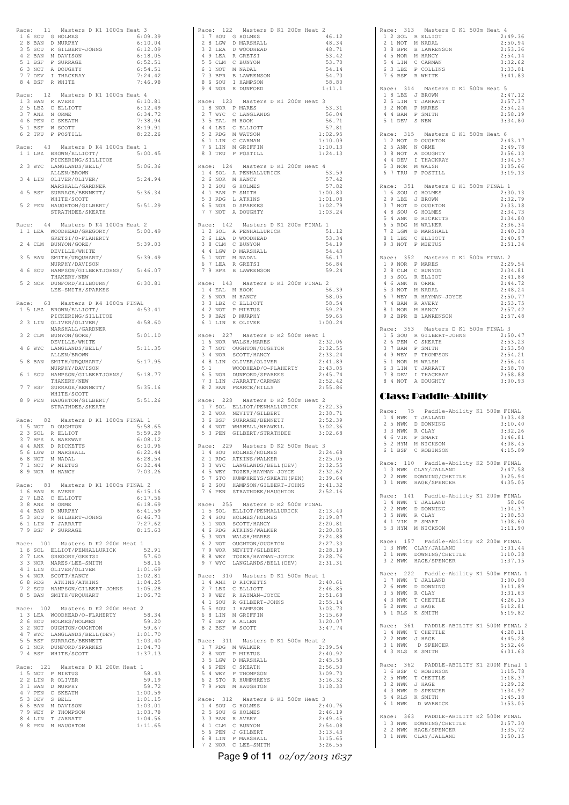|   |     |           | Race: 11 Masters D K1 1000m Heat 3                                                                                                         |                    |
|---|-----|-----------|--------------------------------------------------------------------------------------------------------------------------------------------|--------------------|
|   |     |           | 1 6 SOU G HOLMES                                                                                                                           | 6:09.39            |
|   |     | 2 8 BAN   | D MURPHY                                                                                                                                   | 6:10.04            |
|   |     |           |                                                                                                                                            | 6:12.09            |
|   |     |           |                                                                                                                                            | 6:18.05            |
|   |     |           |                                                                                                                                            | 6:52.51            |
|   |     |           | 2 S SOU R CILBERT-JOHNS<br>4 2 BAN M DAVISON<br>5 1 BSF P SURRAGE<br>6 3 NOT A DOUGHTY<br>7 7 DEV I THACKRAY                               | 6:54.51            |
|   |     | 8 4 BSF   | R WHITE                                                                                                                                    | 7:24.42<br>7:46.98 |
|   |     |           |                                                                                                                                            |                    |
|   |     | Race: 12  | Masters D K1 1000m Heat 4                                                                                                                  |                    |
|   |     |           | $\begin{tabular}{llll} 1 & 3 & BAN & R AVERT \\ 2 & 5 & LBZ & C ELLIOTT \\ \end{tabular}$                                                  | 6:10.81            |
|   |     |           |                                                                                                                                            | 6:12.49            |
|   |     |           | 3 7 ANK N ORME                                                                                                                             | 6:34.72            |
|   |     |           | 4 6 PEN C SKEATH<br>5 1 BSF W SCOTT                                                                                                        | 7:38.94            |
|   |     |           |                                                                                                                                            | 8:19.91            |
|   |     | 6 2 TRU   | P POSTILL                                                                                                                                  | 8:22.26            |
|   |     |           | Race: 43 Masters D K4 1000m Heat 1                                                                                                         |                    |
|   |     |           | 1 1 LBZ BROWN/ELLIOTT/                                                                                                                     | 5:00.45            |
|   |     |           | PICKERING/SILLITOE                                                                                                                         |                    |
|   |     | 2 3 WYC   | LANGLANDS/BELL/                                                                                                                            | 5:06.36            |
|   |     |           | ALLEN/BROWN                                                                                                                                |                    |
|   |     |           | 3 4 LIN OLIVER/OLIVER/                                                                                                                     | 5:24.94            |
|   |     |           | MARSHALL/GARDNER                                                                                                                           |                    |
|   |     | 4 5 BSF   | SURRAGE/BENNETT/                                                                                                                           | 5:36.34            |
|   |     |           | WHITE/SCOTT                                                                                                                                |                    |
|   |     |           | 5 2 PEN HAUGHTON/GILBERT/                                                                                                                  | 5:51.29            |
|   |     |           | STRATHDEE/SKEATH                                                                                                                           |                    |
|   |     |           | Race: 44 Masters D K4 1000m Heat 2                                                                                                         |                    |
|   |     | 1 1 LEA   | WOODHEAD/GREGORY/                                                                                                                          | 5:00.49            |
|   |     |           | GRETSI/O-FLAHERTY                                                                                                                          |                    |
|   |     | 2 4 CLM   | BUNYON/GORE/                                                                                                                               | 5:39.03            |
|   |     |           | DEVILLE/WHITE                                                                                                                              |                    |
|   | 3 5 | BAN       | SMITH/URQUHART/                                                                                                                            | 5:39.49            |
|   |     |           | MURPHY/DAVISON                                                                                                                             |                    |
|   | 46  | SOU       | HAMPSON/GILBERTJOHNS/ 5:46.07                                                                                                              |                    |
|   |     |           | THAKERY/NEW                                                                                                                                |                    |
|   |     | 5 2 NOR   | DUNFORD/KILBOURN/                                                                                                                          | 6:30.81            |
|   |     |           | LEE-SMITH/SPARKES                                                                                                                          |                    |
|   |     |           | Race: 63 Masters D K4 1000m FINAL                                                                                                          |                    |
|   |     |           | 1 5 LBZ BROWN/ELLIOTT/                                                                                                                     | 4:53.41            |
|   |     |           | PICKERING/SILLITOE                                                                                                                         |                    |
|   |     |           | 2 3 LIN OLIVER/OLIVER/                                                                                                                     | 4:58.60            |
|   |     |           | MARSHALL/GARDNER                                                                                                                           |                    |
|   |     | 3 2 CLM   | BUNYON/GORE/                                                                                                                               | 5:01.10            |
|   |     |           | DEVILLE/WHITE                                                                                                                              |                    |
|   | 46  | WYC       | LANGLANDS/BELL/                                                                                                                            | 5:11.35            |
|   |     |           | ALLEN/BROWN                                                                                                                                |                    |
|   |     | 5 8 BAN   | SMITH/URQUHART/                                                                                                                            | 5:17.95            |
|   |     |           | MURPHY/DAVISON                                                                                                                             |                    |
|   |     | 6 1 SOU   | HAMPSON/GILBERTJOHNS/ 5:18.77                                                                                                              |                    |
| 7 |     | 7 BSF     | THAKERY/NEW<br>SURRAGE/BENNETT/                                                                                                            | 5:35.16            |
|   |     |           | WHITE/SCOTT                                                                                                                                |                    |
|   |     | 8 9 PEN   | HAUGHTON/GILBERT/                                                                                                                          | 5:51.26            |
|   |     |           | STRATHDEE/SKEATH                                                                                                                           |                    |
|   |     |           |                                                                                                                                            |                    |
|   |     | Race: 82  | Masters D K1 1000m FINAL 1                                                                                                                 |                    |
|   |     |           | 1 5 NOT D OUGHTON                                                                                                                          | 5:58.65            |
|   |     | 2 3 SOL   | R ELLIOT                                                                                                                                   | 5:59.29            |
|   |     |           | 3 7 BPS A BARKWAY                                                                                                                          | 6:08.12            |
|   |     |           | 4 4 ANK D RICKETTS<br>5 6 LGW D MARSHALL                                                                                                   | 6:10.96<br>6:22.44 |
|   |     |           | 6 8 NOT M NADAL                                                                                                                            | 6:28.54            |
| 7 |     | 1 NOT     | P MIETUS                                                                                                                                   | 6:32.44            |
|   |     |           | 8 9 NOR M HANCY                                                                                                                            | 7:03.26            |
|   |     |           |                                                                                                                                            |                    |
|   |     | Race: 83  | Masters D K1 1000m FINAL 2                                                                                                                 |                    |
|   |     |           | ACHAIR AN AMERY<br>2 7 LBZ C ELLIOTT<br>3 8 ANK N ORME<br>4 4 BAN D MURPHY<br>5 3 SOU R GILBERT-JOHNS<br>6 1 LIN T JARRATT                 | 6:15.16            |
|   |     |           |                                                                                                                                            | 6:17.56            |
|   |     |           |                                                                                                                                            | 6:18.69            |
|   |     |           |                                                                                                                                            | 6:41.59            |
|   |     |           |                                                                                                                                            | 6:46.73<br>7:27.62 |
|   |     |           | 7 9 BSF P SURRAGE                                                                                                                          | 8:15.63            |
|   |     |           |                                                                                                                                            |                    |
|   |     |           | Race: 101 Masters D K2 200m Heat 1                                                                                                         |                    |
|   |     |           | 1 6 SOL ELLIOT/PENHALLURICK                                                                                                                | 52.91              |
|   |     |           |                                                                                                                                            | 57.60              |
|   |     |           |                                                                                                                                            | 58.16              |
|   |     |           |                                                                                                                                            | 1:01.69            |
|   |     |           | 2 7 LEA GREGORY/GRETSI<br>3 3 NOR MARES/LEE-SMITH<br>4 1 LIN OLIVER/OLIVER<br>5 4 NOR SCOTT/HANCY<br>5 4 NOR SCOTT/HANCY                   | 1:02.81            |
|   |     |           | 6 8 RDG ATKINS/ATKINS<br>7 2 SOU HAMPSON/GILBERT-JOHNS<br>8 5 BAN SMITH/URQUHART                                                           | 1:04.25            |
|   |     |           |                                                                                                                                            | 1:05.28            |
|   |     |           |                                                                                                                                            | 1:06.72            |
|   |     |           | Race: 102 Masters D K2 200m Heat 2                                                                                                         |                    |
|   |     |           |                                                                                                                                            |                    |
|   |     |           |                                                                                                                                            |                    |
|   |     |           | 1 3 LEA WOODHEAD/O-FLAHERTY<br>2 6 SOU HOLMES/HOLMES                                                                                       | 58.34<br>59.20     |
|   |     |           |                                                                                                                                            | 59.67              |
|   |     |           |                                                                                                                                            | 1:01.70            |
|   |     |           |                                                                                                                                            | 1:03.40            |
|   |     |           |                                                                                                                                            | 1:04.73            |
|   |     |           | 3 2 NOT OUGHTON/OUGHTON<br>4 7 WYC LANGLANDS/BELL(DEV)<br>5 5 BSF SURRAGE/BENNETT<br>6 1 NOR DUNFORD/SPARKES<br>7 4 BSF WHITE/SCOTT        | 1:37.13            |
|   |     |           |                                                                                                                                            |                    |
|   |     | Race: 121 | Masters D K1 200m Heat 1                                                                                                                   |                    |
|   |     | 2 2 LIN   | 1 5 NOT P MIETUS<br>R OLIVER                                                                                                               | 58.43<br>59.19     |
|   |     |           |                                                                                                                                            | 59.72              |
|   |     |           |                                                                                                                                            | 1:00.59            |
|   |     |           |                                                                                                                                            | 1:01.15            |
|   |     |           |                                                                                                                                            | 1:03.01            |
|   |     |           |                                                                                                                                            | 1:03.78            |
|   |     |           | 2 2 LIN R OLIVER<br>3 1 BAN D MURPHY<br>4 7 PEN C SKEATH<br>5 3 DEV S BELL<br>6 6 BAN M DAVISON<br>7 9 WEY P THOMPSON<br>8 4 LIN T JARRATT | 1:04.56            |
|   |     |           | 9 8 PEN M HAUGHTON                                                                                                                         | 1:11.65            |

|           | Race: 122 Masters D K1 200m Heat 2<br>1 7 SOU G HOLMES                                                                                                                                                             |  | 46.12                         |
|-----------|--------------------------------------------------------------------------------------------------------------------------------------------------------------------------------------------------------------------|--|-------------------------------|
|           |                                                                                                                                                                                                                    |  | 48.34                         |
|           |                                                                                                                                                                                                                    |  | 48.71<br>53.42                |
|           |                                                                                                                                                                                                                    |  | 53.70<br>54.14                |
|           |                                                                                                                                                                                                                    |  | 54.70                         |
|           | 1 / SOU G HOLMES<br>2 8 LEA D WOODHEAD<br>3 2 LEA R GRETSI<br>4 9 LEA R GRETSI<br>5 5 CLM C BUNYON<br>6 1 NOT M NADAL<br>7 3 BPR B LAWESSON<br>7 3 GROU I HAMPSON<br>9 4 NOR R DUNFORD                             |  | 58.80<br>1:11.1               |
|           | Race: 123 Masters D K1 200m Heat 3                                                                                                                                                                                 |  |                               |
|           |                                                                                                                                                                                                                    |  | 53.31                         |
|           |                                                                                                                                                                                                                    |  | 56.04<br>56.71                |
|           |                                                                                                                                                                                                                    |  | 57.81<br>1:02.95              |
|           |                                                                                                                                                                                                                    |  | 1:10.09<br>1:10.13            |
|           | ARRES DE TEST MARKES DE TEST DE SALEMA<br>18 NOR P MARKES<br>2 7 WYC C LANGLANDS<br>4 4 LBZ C ELLIOTT<br>5 2 RDG M WATSON<br>6 LIN C CARMAN<br>7 6 LIN M GRIFFIN<br>8 3 TRU P POSTILL                              |  | 1:24.13                       |
|           |                                                                                                                                                                                                                    |  |                               |
|           | Race: 124 Masters D K1 200m Heat 4<br>1 4 SOL A PENHALLURICK                                                                                                                                                       |  | 53.59<br>57.42                |
|           |                                                                                                                                                                                                                    |  | 57.82                         |
|           |                                                                                                                                                                                                                    |  | 1:00.80<br>1:01.08            |
|           | 26 NOR M HANCY<br>32 SOU G HOLMES<br>53 RDG L ATKINS<br>53 RDG L ATKINS<br>65 NOR D SPARKES<br>77 NOT A DOUGHTY                                                                                                    |  | 1:02.79<br>1:03.24            |
|           | Race: 142 Masters D K1 200m FINAL 1                                                                                                                                                                                |  |                               |
|           | 1 2 SOL A PENHALLURICK                                                                                                                                                                                             |  | 51.12                         |
|           | 2 6 LEA D WOODHEAD<br>3 8 CLM C BUNYON<br>4 4 LGW D MARSHALL                                                                                                                                                       |  | 53.34<br>54.19                |
|           |                                                                                                                                                                                                                    |  | 54.43<br>56.17                |
|           | 5 1 NOT M NADAL<br>6 7 LEA R GRETSI<br>7 9 BPR B LAWRENSON                                                                                                                                                         |  | 56.84                         |
|           |                                                                                                                                                                                                                    |  | 59.24                         |
|           | Race: 143 Masters D K1 200m FINAL 2<br>1 4 EAL M HOOK                                                                                                                                                              |  | 56.39                         |
|           | 2 6 NOR M HANCY                                                                                                                                                                                                    |  | 58.05<br>58.54                |
|           |                                                                                                                                                                                                                    |  | 59.29                         |
|           | 3 3 LBZ C ELLIOTT<br>4 2 NOT P MIETUS<br>5 9 BAN D MURPHY<br>6 1 LIN R OLIVER                                                                                                                                      |  | 59.65<br>1:00.24              |
|           | Race: 227 Masters D K2 500m Heat 1                                                                                                                                                                                 |  |                               |
|           | 1 6 NOR WALSH/MARES                                                                                                                                                                                                |  | 2:32.06                       |
|           |                                                                                                                                                                                                                    |  | 2:32.55<br>2:33.24            |
|           |                                                                                                                                                                                                                    |  | 2:41.89<br>2:43.05            |
|           |                                                                                                                                                                                                                    |  | 2:45.74                       |
|           | 1 UNITS MILLINGTON / UNITS AND THE 27 NOT OUGHTON / UGHTON<br>3 4 NOR SCOTT/HANCY<br>4 8 LIN OLIVER/OLIVER<br>5 1 WOODHEAD/O-FLAHERTY<br>6 5 NOR DUNFORD/SPARKES<br>7 3 LIN JARRATT/CARMAN<br>8 2 BAN PEARCE/HILLS |  | 2:52.42<br>2:55.86            |
|           | Race: 228 Masters D K2 500m Heat 2                                                                                                                                                                                 |  |                               |
|           |                                                                                                                                                                                                                    |  |                               |
|           |                                                                                                                                                                                                                    |  | 2:52.39                       |
|           |                                                                                                                                                                                                                    |  |                               |
|           | Race: 229 Masters D K2 500m Heat 3                                                                                                                                                                                 |  |                               |
|           | 1 4 SOU HOLMES/HOLMES                                                                                                                                                                                              |  | 2:24.68                       |
|           |                                                                                                                                                                                                                    |  | 2:25.05<br>2:32.55            |
|           |                                                                                                                                                                                                                    |  | 2:32.62<br>2:39.64            |
|           | 1 4 SOU HOLDMES HOLDMES<br>2 1 RDG ATKINS/WALKER<br>3 3 WYC LANGLANDS/BELL (DEV)<br>4 5 WEY TOZER/HAYMAN-JOYCE<br>5 7 STO HUMPHREYS/SKEATH (PEN)<br>6 2 SOU HAMPSON/GILBERT-JOHNS<br>7 6 PEN STRATHDEE/HAUGHTON    |  | 2:41.32<br>2:52.16            |
|           |                                                                                                                                                                                                                    |  |                               |
| Race: 255 | Masters D K2 500m FINAL<br>1 5 SOL ELLIOT/PENHALLURICK                                                                                                                                                             |  | 2:13.40                       |
|           |                                                                                                                                                                                                                    |  | 2:19.87<br>2:20.81            |
|           |                                                                                                                                                                                                                    |  | 2:20.85<br>2:24.88            |
|           | 2 4 500 HOLMES/HOLMES<br>3 1 NOR SCOTT/HANCY<br>3 1 NOR ATKINS/WALKER<br>5 3 NOR MALSH/MARES<br>6 2 NOT OUGHTON/OUGHTON<br>6 2 NOT OUGHTON/OUGHTON                                                                 |  | 2:27.33                       |
|           | 7 9 WOR NEVITT/GILBERT<br>8 8 WEY TOZER/HAYMAN-JOYCE<br>9 7 WYC LANGLANDS/BELL(DEV)                                                                                                                                |  | 2:28.19<br>2:28.76            |
|           |                                                                                                                                                                                                                    |  | 2:31.31                       |
|           | Race: 310 Masters D K1 500m Heat 1                                                                                                                                                                                 |  |                               |
|           | 1 4 ANK D RICKETTS<br>2 7 LBZ C ELLIOTT<br>3 9 WEY R HAYMAN-JOYCE                                                                                                                                                  |  | 2:40.61<br>2:46.85            |
|           |                                                                                                                                                                                                                    |  | 2:51.68<br>2:55.14            |
|           |                                                                                                                                                                                                                    |  | 3:03.73                       |
|           | 4 1 SOU R GILBERT-JOHNS<br>5 5 SOU I HAMPSON<br>6 8 LIN M GRIFFTIN<br>7 6 DEV A ALLEN<br>8 2 BSF W SCOTT                                                                                                           |  | 3:15.69<br>3:20.07            |
|           |                                                                                                                                                                                                                    |  | 3:47.74                       |
|           | Race: 311 Masters D K1 500m Heat 2<br>1 7 RDG M WALKER                                                                                                                                                             |  | 2:39.54                       |
|           |                                                                                                                                                                                                                    |  | 2:40.92                       |
|           |                                                                                                                                                                                                                    |  | 2:45.58<br>2:56.50            |
|           |                                                                                                                                                                                                                    |  | 3:09.70                       |
|           |                                                                                                                                                                                                                    |  |                               |
|           | 28 NOT P MIETUS<br>3 5 LGW D MARSHALL<br>4 6 PEN C SKEATH<br>5 4 WEY P THOMPSON<br>6 2 STO R HUMPHREYS<br>7 9 PEN M HAUGHTON                                                                                       |  | 3:16.32<br>3:18.33            |
| Race: 312 | Masters D K1 500m Heat 3                                                                                                                                                                                           |  |                               |
|           |                                                                                                                                                                                                                    |  | 2:40.76<br>2:46.19            |
|           |                                                                                                                                                                                                                    |  | 2:49.45                       |
|           | A 4 SOU G HOLMES<br>2 5 SOU G HOLMES<br>3 3 BAN R AVERY<br>4 1 CLM C BUNYON<br>5 6 BIN P MARSHALL<br>6 8 LIN P MARSHALL<br>6 8 LIN P MARSHALL                                                                      |  | 2:54.08<br>3:13.43<br>3:15.65 |

Race: 313 Masters D K1 500m Heat 4<br>1 2 SOL R ELLIOT 2:49.36 1 2 SOL R ELLIOT 2:49.36 2 1 NOT M NADAL 2:50.94 3 8 BPR B LAWRENSON 2:53.36<br>
4 5 NOR M HANCY 2:54.14<br>
5 4 LIN C CARMAN 3:32.62<br>
6 3 LBZ P COLLINS 3:33.01<br>
7 6 BSF R WHITE 3:41.83 Race: 314 Masters D K1 500m Heat 5<br>
1 8 LBZ J BROWN<br>
2:57.37<br>
2 5 LIN T JARRATT<br>
2:54.24<br>
4 BBN P SMITH 2:58.19<br>
5 1 DEV S NEW 2:58.19<br>
3:34.80 Race: 315 Masters D K1 500m Heat 6<br>1 2 NOT D OUGHTON 2:43.17 1 2 NOT D OUGHTON 2:43.17<br>
2 5 ANK N ORME 2:49.17<br>
3 8 NOT A DOUGHTY 2:56.13<br>
4 4 DEV I THACKRAY 3:04.57<br>
5 3 NOR M WALSH 3:05.66<br>
6 7 TRU P POSTILL 3:19.13 Race: 351 Masters D K1 500m FINAL 1<br>
230.0.13<br>
29 LBZ J BROWN<br>
37 NOT D OUGHTON<br>
37 NOT D OUGHTON<br>
48 SOUG HOLMES<br>
48 SOUG HOLMES<br>
54 ANK D RICKETTS<br>
65 RDG M WARSHALL<br>
72 26.34 SO<br>
72 LGW D MARSHALL<br>
81 LBZ C ELLOTT<br>
83 N Race: 352 Masters D K1 500m FINAL 2 2 19 NOR P MARES 2:39.54<br>
1 9 NOR P MARES 2:29.54<br>
2:29.54<br>
2:34.81<br>
3 5 SOL R ELLIOT 2:41.88 2 8 CLM C BUNYON 2:34.81<br>
2 5 SOL R ELLIOT 2:41.88<br>
5 SOL R ELLIOT 2:44.72<br>
5 3 NOT M NADAL 2:48.24<br>
6 7 WEY R HAYMAN-JOYCE 2:50.77<br>
7 4 BAN R AVERY 2:53.75<br>
8 1 NOR M HANCY 2:57.42<br>
9 2 BPR B LAWRENSON 2:57.48 Race: 353 Masters D K1 500m FINAL 3<br>
1 5 SOU R GILBERT-JOHNS 2:50.47<br>
26 PEN C SKEATH 2:53.23<br>
3 7 BAN P SMITH 2:53.50 4 9 WEY P THOMPSON 2:54.21 5 1 NOR M WALSH 2:56.44 6 3 LIN T JARRATT 2:58.70 7 8 DEV I THACKRAY 2:58.88 8 4 NOT A DOUGHTY 3:00.93 Class: Paddle-Ability Race: 75 Paddle-Ability K1 500m FINAL<br>1.4 NIME T INILAND 1 4 NWK T JALLAND 3:03.48 2 5 NWK D DOWNING 3:10.40 3 3 NWK R CLAY 3:32.26 4 6 VIK P SMART 3:46.81 5 2 HYM M NICKSON 4:08.45 6 1 BSF C ROBINSON 4:15.09 Race: 110 Paddle-Ability K2 500m FINAL<br>
1 3 NWK CLAY/JALLAND 2:47.58<br>
2 2 NWK DOWNING/CHETTLE 3:25.94<br>
3 1 NWK HAGE/SPENCER 4:35.05 Race: 141 Paddle-Ability K1 200m FINAL 1 4 NWK T JALLAND 58.06 2 2 NWK D DOWNING 1:04.37 3 5 NWK R CLAY 1:08.53 4 1 VIK P SMART 1:08.60 5 3 HYM M NICKSON 1:11.90 Race: 157 Paddle-Ability K2 200m FINAL<br>
1 3 NWK CLAY/JALLAND 1:01.44<br>
2 1 NWK DOWNING/CHETTLE 1:10.38<br>
3 2 NWK HAGE/SPENCER 1:37.15 Race: 222 Paddle-Ability K1 500m FINAL 1<br>
1 7 NWK T JALLAND<br>
3 00.08<br>
3 5 NWK R CLAY 3:11.89<br>
4 3 NWK T CHETTLE 4:26.15<br>
4 28.15 5 2 NWK J HAGE 5:12.81<br>
5 1 RLS K SMITH 6:19.82 Race: 361 PADDLE-ABILITY K1 500M FINAL 2 1 4 NWK T CHETTLE 4:28.11 2 2 NWK J HAGE 4:45.28 3 1 NWK D SPENCER 5:52.46 4 3 RLS K SMITH 6:01.63 Race: 362 PADDLE-ABILITY K1 200M Final 1<br>16 BSF C ROBINSON 1:15.78<br>2 5 NWK T CHETTLE 1:18.37 3 2 NWK J HAGE 1:29.32 4 3 NWK D SPENCER 1:34.92 5 4 RLS K SMITH 1:45.18 6 1 NWK D WARWICK 1:53.05 Race: 363 PADDLE-ABILITY K2 500M FINAL 1 3 NWK DOWNING/CHETTLE 2:57.30 2 2 NWK HAGE/SPENCER 3:35.72 3 1 NWK CLAY/JALLAND 3:50.15

Page **9** of **11** 02/07/2013 16:37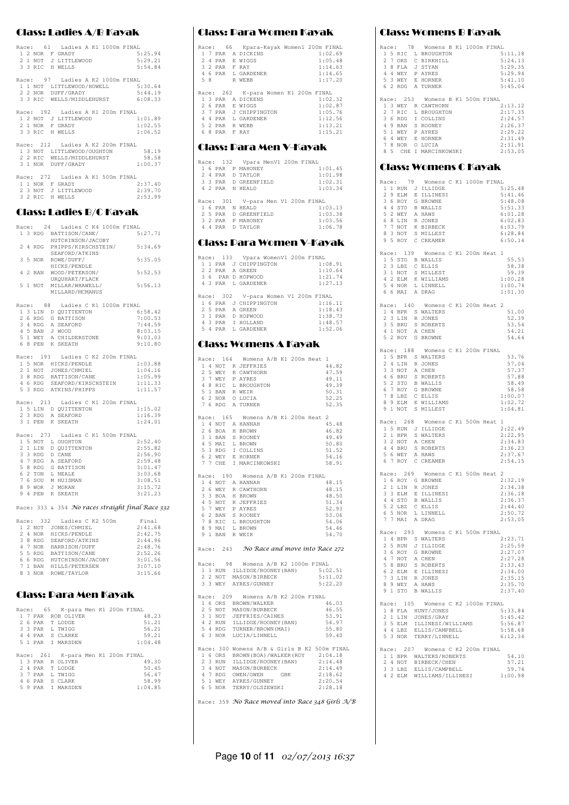#### Class: Ladies A/B Kayak

| Race: 61 Ladies A K1 1000m FINAL<br>1 2 NOR F GRADY<br>2.1 NOT J LITTLEWOOD<br>3 3 RIC H WELLS                                           | $5:25.94$<br>$5.29$ $21$<br>5:54.84 |
|------------------------------------------------------------------------------------------------------------------------------------------|-------------------------------------|
| Race: 97 Ladies A K2 1000m FINAL<br>1 1 NOT LITTLEWOOD/HOWELL 5:30.64<br>2 2 NOR DUFF/GRADY 5:44.19<br>3 3 RIC WELLS/MIDDLEHURST 6:08.33 |                                     |
| Race: 192 Ladies A K1 200m FINAL<br>1 2 NOT J LITTLEWOOD<br>1:01.89<br>2 1 NOR F GRADY<br>3 3 RIC H WELLS                                | 1:02.55<br>1:06.52                  |
| Race: 212 Ladies A K2 200m FINAL<br>1 3 NOT LITTLEWOOD/OUGHTON 58.19<br>2 2 RIC WELLS/MIDDLEHURST 58.58<br>3 1 NOR DUFF/GRADY            | 1:00.37                             |
| Race: 272 Ladies A K1 500m FINAL<br>1 1 NOR F GRADY<br>2 3 NOT J LITTLEWOOD<br>3 2 RIC H WELLS                                           | 2:37.40<br>2:39.70<br>2:53.99       |

#### Class: Ladies B/C Kayak

|  |           | Race: 24 Ladies C K4 1000m FINAL                                                                                                                                                                       |  |  |  |         |         |  |
|--|-----------|--------------------------------------------------------------------------------------------------------------------------------------------------------------------------------------------------------|--|--|--|---------|---------|--|
|  |           | 1 3 RDG BATTISON/CANE/                                                                                                                                                                                 |  |  |  | 5:27.71 |         |  |
|  |           |                                                                                                                                                                                                        |  |  |  |         |         |  |
|  |           | HUTCHINSON/JACOBY<br>2 4 RDG PHIPPS/KIRSCHSTEIN/ 5:34.69                                                                                                                                               |  |  |  |         |         |  |
|  |           |                                                                                                                                                                                                        |  |  |  |         |         |  |
|  |           | SEAFORD/ATKINS                                                                                                                                                                                         |  |  |  |         |         |  |
|  |           | 3 5 NOR ROWE/DUFF/                                                                                                                                                                                     |  |  |  |         | 5:35.05 |  |
|  |           | HICKS/PENDLE                                                                                                                                                                                           |  |  |  |         |         |  |
|  |           | 4 2 BAN WOOD/PETERSON/                                                                                                                                                                                 |  |  |  | 5:52.53 |         |  |
|  |           |                                                                                                                                                                                                        |  |  |  |         |         |  |
|  |           | URQUHART/FLACK                                                                                                                                                                                         |  |  |  |         |         |  |
|  |           | 5 1 NOT MILLAR/WHAWELL/                                                                                                                                                                                |  |  |  | 5:56.13 |         |  |
|  |           | MILLARD/MCMANUS                                                                                                                                                                                        |  |  |  |         |         |  |
|  |           |                                                                                                                                                                                                        |  |  |  |         |         |  |
|  | Race: 88  | Ladies C K1 1000m FINAL                                                                                                                                                                                |  |  |  |         |         |  |
|  |           |                                                                                                                                                                                                        |  |  |  |         | 6:58.42 |  |
|  |           |                                                                                                                                                                                                        |  |  |  |         | 7:00.53 |  |
|  |           | 1 3 LIN D QUITTENTON<br>2 6 RDG G BATTISON<br>3 4 RDG A SEAFORD                                                                                                                                        |  |  |  |         | 7:44.59 |  |
|  |           |                                                                                                                                                                                                        |  |  |  |         |         |  |
|  |           |                                                                                                                                                                                                        |  |  |  |         | 8:03.15 |  |
|  |           |                                                                                                                                                                                                        |  |  |  |         | 9:03.03 |  |
|  |           | 4 5 BAN J WOOD<br>5 1 WEY A CHILDERSTONE<br>6 8 PEN K SKEATH                                                                                                                                           |  |  |  |         | 9:10.80 |  |
|  |           |                                                                                                                                                                                                        |  |  |  |         |         |  |
|  |           | Race: 193 Ladies C K2 200m FINAL                                                                                                                                                                       |  |  |  |         |         |  |
|  |           |                                                                                                                                                                                                        |  |  |  |         | 1:03.88 |  |
|  |           |                                                                                                                                                                                                        |  |  |  |         | 1:04.16 |  |
|  |           |                                                                                                                                                                                                        |  |  |  |         | 1:05.99 |  |
|  |           |                                                                                                                                                                                                        |  |  |  |         |         |  |
|  |           |                                                                                                                                                                                                        |  |  |  |         | 1:11.33 |  |
|  |           | 15 NOR HUCKS/PENDLE<br>15 NOR HUCKS/CHMIEL<br>2 1 NOT JONES/CHMIEL<br>3 8 RDG BATTISOM/CANE<br>4 6 RDG SEAFORD/KIRSCHSTEIN<br>5 3 RDG ATKINS/PHIPPS                                                    |  |  |  |         | 1:11.57 |  |
|  |           |                                                                                                                                                                                                        |  |  |  |         |         |  |
|  |           | Race: 213 Ladies C K1 200m FINAL                                                                                                                                                                       |  |  |  |         |         |  |
|  |           |                                                                                                                                                                                                        |  |  |  |         | 1:15.02 |  |
|  |           |                                                                                                                                                                                                        |  |  |  |         | 1:16.39 |  |
|  |           | 1 5 LIN D QUITTENTON<br>2 3 RDG A SEAFORD<br>3 1 PEN K SKEATH                                                                                                                                          |  |  |  |         | 1:24.01 |  |
|  |           |                                                                                                                                                                                                        |  |  |  |         |         |  |
|  | Race: 273 | Ladies C K1 500m FINAL                                                                                                                                                                                 |  |  |  |         |         |  |
|  |           | 15 NOT L OUGHTON<br>2 1 LIN D QUITTENTON<br>3 3 RDG D CANE                                                                                                                                             |  |  |  |         | 2:52.40 |  |
|  |           |                                                                                                                                                                                                        |  |  |  |         | 2:55.82 |  |
|  |           |                                                                                                                                                                                                        |  |  |  |         |         |  |
|  |           |                                                                                                                                                                                                        |  |  |  |         | 2:56.90 |  |
|  |           |                                                                                                                                                                                                        |  |  |  |         | 2:59.48 |  |
|  |           |                                                                                                                                                                                                        |  |  |  |         | 3:01.47 |  |
|  |           |                                                                                                                                                                                                        |  |  |  |         | 3:03.68 |  |
|  |           |                                                                                                                                                                                                        |  |  |  |         | 3:08.51 |  |
|  |           |                                                                                                                                                                                                        |  |  |  |         | 3:15.72 |  |
|  |           | 3 A ADE B CHAR<br>4 7 RDG G BATTISON<br>6 2 TON L NEALE<br>6 2 TON M HUISMAN<br>7 6 SOU M HUISMAN<br>8 9 WOR J MORAN<br>9 4 PEN K SKEATH                                                               |  |  |  |         | 3:21.23 |  |
|  |           |                                                                                                                                                                                                        |  |  |  |         |         |  |
|  |           |                                                                                                                                                                                                        |  |  |  |         |         |  |
|  |           | Race: 333 & 354 No races straight final Race 332                                                                                                                                                       |  |  |  |         |         |  |
|  |           |                                                                                                                                                                                                        |  |  |  |         |         |  |
|  |           | Race: 332 Ladies C K2 500m                                                                                                                                                                             |  |  |  |         | Final   |  |
|  |           | 1 2 NOT JONES/CHMIEL                                                                                                                                                                                   |  |  |  |         | 2:41.68 |  |
|  |           |                                                                                                                                                                                                        |  |  |  |         | 2:42.75 |  |
|  |           |                                                                                                                                                                                                        |  |  |  |         | 2:44.96 |  |
|  |           |                                                                                                                                                                                                        |  |  |  |         | 2:48.76 |  |
|  |           |                                                                                                                                                                                                        |  |  |  |         | 2:52.26 |  |
|  |           |                                                                                                                                                                                                        |  |  |  |         | 3:01.56 |  |
|  |           |                                                                                                                                                                                                        |  |  |  |         | 3:07.10 |  |
|  |           |                                                                                                                                                                                                        |  |  |  |         |         |  |
|  |           | 2 4 NOR HICKS/PENDLE<br>2 4 NOR HICKS/PENDLE<br>3 8 RDG SEAFORD/ATKINS<br>5 5 RDG BATTISON/CANE<br>5 5 RDG BATTISON/CANE<br>6 6 RDG HUTCHINSON/JACOBY<br>7 1 BAN HILLS/PETERSEN<br>8 3 NOR ROWE/TAYLOR |  |  |  |         | 3:15.66 |  |
|  |           |                                                                                                                                                                                                        |  |  |  |         |         |  |
|  |           |                                                                                                                                                                                                        |  |  |  |         |         |  |
|  |           | Class: Dara Men Kayak                                                                                                                                                                                  |  |  |  |         |         |  |
|  |           |                                                                                                                                                                                                        |  |  |  |         |         |  |
|  |           |                                                                                                                                                                                                        |  |  |  |         |         |  |
|  |           | Race: 65 K-para Men K1 200m FINAL                                                                                                                                                                      |  |  |  |         |         |  |

|  |  | RACE: 00 A-para men Al ZUUM FINAL  |  |         |
|--|--|------------------------------------|--|---------|
|  |  | 1 7 PAR ROB OLIVER                 |  | 48.23   |
|  |  | 2 6 PAR T LODGE                    |  | 51.21   |
|  |  | 3 3 PAR L TWIGG                    |  | 56.21   |
|  |  | 4 4 PAR S CLARKE                   |  | 59.21   |
|  |  | 5 1 PAR I MARSDEN                  |  | 1:04.48 |
|  |  |                                    |  |         |
|  |  | Race: 261 K-para Men K1 200m FINAL |  |         |
|  |  |                                    |  |         |
|  |  | 1 3 PAR R OLIVER                   |  | 49.30   |
|  |  | 2 4 PAR T LODGE                    |  | 50.45   |
|  |  | 3 7 PAR L TWIGG                    |  | 56.47   |
|  |  | 4 6 PAR S CLARK                    |  | 58.99   |

#### Class: Para Women Kayak

|   |    |               | Race: 66 Kpara-Kayak Women1 200m FINAL |  |
|---|----|---------------|----------------------------------------|--|
|   |    |               | 1:02.69<br>1 7 PAR A DICKINS           |  |
|   |    |               | 1:05.48<br>2 4 PAR E WIGGS             |  |
|   |    | 3 2 PAR F RAY | 1:14.63                                |  |
|   |    |               | 1:14.65<br>4 6 PAR L GARDENER          |  |
|   | 58 |               | 1:17.20<br>R WEBB                      |  |
|   |    |               |                                        |  |
|   |    |               | Race: 262 K-para Women K1 200m FINAL   |  |
|   |    |               | 1:02.32<br>1 3 PAR A DICKENS           |  |
|   |    |               | 1:02.87<br>2 6 PAR E WIGGS             |  |
|   |    |               | 3 7 PAR J CHIPPINGTON<br>1:05.76       |  |
| 4 |    |               | 1:12.56<br>4 PAR L GARDENER            |  |
|   |    |               | 5 2 PAR R WEBB<br>1:13.21              |  |
|   |    | 68 PAR FRAY   | 1:15.21                                |  |
|   |    |               |                                        |  |

#### Class: Para Men V-Kayak

|  |  | Race: 132 Vpara MenV1 200m FINAL   |  |
|--|--|------------------------------------|--|
|  |  | 1 6 PAR P MAHONEY<br>1:01.45       |  |
|  |  | 1:01.98<br>2 4 PAR D TAYLOR        |  |
|  |  | 3 3 PAR D GREENFIELD<br>1:02.31    |  |
|  |  | 1:03.34<br>4 2 PAR N HEALD         |  |
|  |  |                                    |  |
|  |  | Race: 301 V-para Men V1 200m FINAL |  |
|  |  | 1:03.13<br>1 6 PAR N HEALD         |  |
|  |  | 2 5 PAR D GREENFIELD<br>1:03.38    |  |
|  |  | 1:03.56<br>3 2 PAR P MAHONEY       |  |
|  |  | 1:06.78<br>4 4 PAR D TAYLOR        |  |

#### Class: Para Women V-Kayak

|  |  | 1:08.91<br>1 1 PAR J CHIPPINGTON     |  |
|--|--|--------------------------------------|--|
|  |  | 1:10.64<br>2 2 PAR A GREEN           |  |
|  |  | 3 6 PAR D HOPWOOD<br>1:21.74         |  |
|  |  | 1:27.13<br>4 3 PAR L GARDENER        |  |
|  |  |                                      |  |
|  |  | Race: 302 V-para Women V1 200m FINAL |  |
|  |  | 1:16.11<br>1 6 PAR J CHIPPINGTON     |  |
|  |  | 2 5 PAR A GREEN<br>1:18.43           |  |
|  |  | 3 1 PAR D HOPWOOD<br>1:38.73         |  |
|  |  |                                      |  |
|  |  | 1:48.57<br>4 3 PAR T HOLLAND         |  |
|  |  | 5 4 PAR L GARDENER<br>1:52.06        |  |
|  |  |                                      |  |

#### Class: Womens A Kayak

|  |         | Race: 164 Womens A/B K1 200m Heat 1                                                                                                                                                                                     |                                              |
|--|---------|-------------------------------------------------------------------------------------------------------------------------------------------------------------------------------------------------------------------------|----------------------------------------------|
|  |         | 1 4 NOT R JEFFRIES                                                                                                                                                                                                      | 44.82                                        |
|  |         |                                                                                                                                                                                                                         | 47.59                                        |
|  |         |                                                                                                                                                                                                                         | 49.11                                        |
|  |         | 2 5 WEY R CAWTHORN<br>3 7 WEY P AYRES<br>4 8 RIC L BROUGHTON                                                                                                                                                            | 49.39                                        |
|  |         |                                                                                                                                                                                                                         | 50.31                                        |
|  |         | 5 1 BAN R WEIR<br>6 2 NOR 0 LUCIA                                                                                                                                                                                       | 52.25                                        |
|  |         | 7 6 RDG A TURNER                                                                                                                                                                                                        | 52.35                                        |
|  |         |                                                                                                                                                                                                                         |                                              |
|  |         | Race: 165 Womens A/B K1 200m Heat 2                                                                                                                                                                                     |                                              |
|  |         | 1 4 NOT A HANNAH                                                                                                                                                                                                        | 45.48                                        |
|  | 2 6 BOA | H BROWN                                                                                                                                                                                                                 | 46.82                                        |
|  |         |                                                                                                                                                                                                                         | 49.49                                        |
|  |         |                                                                                                                                                                                                                         | 50.80                                        |
|  |         |                                                                                                                                                                                                                         | 51.52                                        |
|  |         |                                                                                                                                                                                                                         | 54.16                                        |
|  |         | 2 DEM SRONEY<br>1 DAN SRONEY<br>4 5 MAI L BROWN<br>6 2 WEY E HORNER<br>7 7 CHE I MARCINKOWSKI                                                                                                                           | 58.91                                        |
|  |         |                                                                                                                                                                                                                         |                                              |
|  |         | Race: 190 Womens A/B K1 200m FINAL                                                                                                                                                                                      |                                              |
|  |         | 1 4 NOT A HANNAH                                                                                                                                                                                                        | 48.15                                        |
|  |         |                                                                                                                                                                                                                         | 48.15                                        |
|  |         | 2 6 WEY R CAWTHORN<br>3 3 BOA H BROWN                                                                                                                                                                                   | 48.50                                        |
|  |         |                                                                                                                                                                                                                         | 51.34                                        |
|  |         | 4 5 NOT R JEFFRIES<br>5 7 WEY P AYRES<br>6 2 BAN S ROONEY                                                                                                                                                               | 52.93                                        |
|  |         |                                                                                                                                                                                                                         | 53.06                                        |
|  |         | 7 8 RIC L BROUGHTON<br>8 9 MAI L BROWN                                                                                                                                                                                  | 54.06                                        |
|  |         |                                                                                                                                                                                                                         | 54.46                                        |
|  |         | 9 1 BAN R WEIR                                                                                                                                                                                                          | 54.70                                        |
|  |         |                                                                                                                                                                                                                         |                                              |
|  |         | Race: 243 No Race and move into Race 272                                                                                                                                                                                |                                              |
|  |         |                                                                                                                                                                                                                         |                                              |
|  |         |                                                                                                                                                                                                                         |                                              |
|  |         |                                                                                                                                                                                                                         |                                              |
|  |         | Race: 98 Womens A/B K2 1000m FINAL                                                                                                                                                                                      |                                              |
|  |         | 1 1 RUN ILLIDGE/ROONEY (BAN) 5:02.51                                                                                                                                                                                    |                                              |
|  |         | 2 2 NOT MASON/BIRBECK                                                                                                                                                                                                   | 5:11.02                                      |
|  |         | 3 3 WEY AYRES/GUNNEY                                                                                                                                                                                                    | 5:22.20                                      |
|  |         |                                                                                                                                                                                                                         |                                              |
|  |         | Race: 209 Womens A/B K2 200m FINAL                                                                                                                                                                                      |                                              |
|  |         | 1 6 ORS BROWN/WALKER                                                                                                                                                                                                    | 46.03                                        |
|  |         |                                                                                                                                                                                                                         | 46.55                                        |
|  |         |                                                                                                                                                                                                                         | 53.91                                        |
|  |         |                                                                                                                                                                                                                         | 54.97                                        |
|  |         |                                                                                                                                                                                                                         | 55.80                                        |
|  |         | 1 0 000 DAOWN WALKEN<br>2 5 NOT JEFFRIES/CAINES<br>3 1 NOT JEFFRIES/CAINES<br>5 4 RDG TURNER/ROONEY(BAN)<br>5 4 RDG TURNER/BROWN (MAI)<br>6 3 NOR LUCIA/LINNELL                                                         | 59.40                                        |
|  |         |                                                                                                                                                                                                                         |                                              |
|  |         |                                                                                                                                                                                                                         | Race: 300 Womens A/B & Girls B K2 500m FINAL |
|  |         |                                                                                                                                                                                                                         |                                              |
|  |         |                                                                                                                                                                                                                         |                                              |
|  |         |                                                                                                                                                                                                                         | 2:14.49                                      |
|  |         | $\begin{tabular}{llllllll} 16 & ORS & BROMN (BOA) / WALKER (ROY & 2:04.18 \\ 23 & RUN & ILLDGE/ROONEY (BAN) & 2:14.48 \\ 34 & NOT & MASON/BURBECK & 2:14.49 \\ 47 & RDC & OWEN / OWEN & GBK & 2:18.62 \\ \end{tabular}$ |                                              |
|  |         |                                                                                                                                                                                                                         | 2:20.54                                      |
|  |         | 5 1 WEY AYRES/GUNNEY<br>6 5 NOR TERRY/OLSZEWSKI                                                                                                                                                                         | 2:28.18                                      |

Race: 359 No Race moved into Race 348 Girls A/B

#### Class: Womens B Kayak

|               | UW33;              | VUHCH                                                                                                                                                                                                                                                                                                                       | ь. | ו כו<br>l yu<br>D | u                  |
|---------------|--------------------|-----------------------------------------------------------------------------------------------------------------------------------------------------------------------------------------------------------------------------------------------------------------------------------------------------------------------------|----|-------------------|--------------------|
|               |                    | Race: 78 Womens B K1 1000m FINAL                                                                                                                                                                                                                                                                                            |    |                   |                    |
|               |                    | 1 5 RIC L BROUGHTON                                                                                                                                                                                                                                                                                                         |    |                   | 5:11.18            |
|               | 2 7 ORS            | C BIRKHILL                                                                                                                                                                                                                                                                                                                  |    |                   | 5:24.13            |
|               |                    | 38 FLA J STYAN<br>44 WEY P AYRES<br>53 WEY E HORNER<br>62 RDG A TURNER                                                                                                                                                                                                                                                      |    |                   | 5:29.35            |
|               |                    |                                                                                                                                                                                                                                                                                                                             |    |                   | 5:29.94            |
|               |                    |                                                                                                                                                                                                                                                                                                                             |    |                   | 5:41.10            |
|               |                    |                                                                                                                                                                                                                                                                                                                             |    |                   | 5:45.04            |
|               | Race: 253          | Womens B K1 500m FINAL                                                                                                                                                                                                                                                                                                      |    |                   |                    |
|               |                    | 1 3 WEY R CAWTHORN                                                                                                                                                                                                                                                                                                          |    |                   | 2:13.12            |
|               | 2 7 RIC            | L BROUGHTON                                                                                                                                                                                                                                                                                                                 |    |                   | 2:17.35            |
|               |                    | I COLLINS                                                                                                                                                                                                                                                                                                                   |    |                   | 2:24.57            |
|               |                    |                                                                                                                                                                                                                                                                                                                             |    |                   | 2:26.37            |
|               |                    |                                                                                                                                                                                                                                                                                                                             |    |                   | 2:29.22            |
|               |                    |                                                                                                                                                                                                                                                                                                                             |    |                   | 2:31.49            |
|               |                    | 2 / NAC – TOLLIN<br>4 9 BAN S ROONEY<br>5 1 WEY P AYRES<br>6 4 WEY E HORNER<br>7 8 NOR O LUCIA<br>7 0 NOR O LUCIA                                                                                                                                                                                                           |    |                   | 2:31.91            |
|               |                    | 8 5 CHE I MARCINKOWSKI                                                                                                                                                                                                                                                                                                      |    |                   | 2:53.05            |
|               |                    | Class: Womens C Kayak                                                                                                                                                                                                                                                                                                       |    |                   |                    |
|               |                    |                                                                                                                                                                                                                                                                                                                             |    |                   |                    |
|               | Race: 79           | Womens C K1 1000m FINAL                                                                                                                                                                                                                                                                                                     |    |                   |                    |
|               |                    | 1 1 RUN J ILLIDGE                                                                                                                                                                                                                                                                                                           |    |                   | 5:25.48            |
|               | 2 9 ELM            | E ILLINESI                                                                                                                                                                                                                                                                                                                  |    |                   | 5:41.46            |
|               |                    | 3 6 ROY G BROWNE<br>4 4 STO B WALLIS<br>5 2 WEY A HAWS                                                                                                                                                                                                                                                                      |    |                   | 5:48.08            |
|               |                    |                                                                                                                                                                                                                                                                                                                             |    |                   | 5:51.33            |
|               |                    |                                                                                                                                                                                                                                                                                                                             |    |                   | 6:01.28            |
|               | 6 8 LIN            | R JONES                                                                                                                                                                                                                                                                                                                     |    |                   | 6:02.83            |
|               | 7 7 NOT            | K BIRBECK                                                                                                                                                                                                                                                                                                                   |    |                   | 6:03.79            |
|               |                    | 7 7 NOT K BIRBECK<br>8 3 NOT S MILLEST<br>9 5 ROY C CREAMER                                                                                                                                                                                                                                                                 |    |                   | 6:28.84            |
|               |                    |                                                                                                                                                                                                                                                                                                                             |    |                   | 6:50.14            |
|               |                    | Race: 139 Womens C K1 200m Heat 1                                                                                                                                                                                                                                                                                           |    |                   |                    |
|               |                    | 1 5 STO B WALLIS                                                                                                                                                                                                                                                                                                            |    |                   | 55.53              |
|               | 2 3 LBZ            | C ELLIS                                                                                                                                                                                                                                                                                                                     |    |                   | 58.38              |
|               | 3 1 NOT            | S MILLEST                                                                                                                                                                                                                                                                                                                   |    |                   | 59.39              |
|               |                    |                                                                                                                                                                                                                                                                                                                             |    |                   | 1:00.28            |
|               |                    |                                                                                                                                                                                                                                                                                                                             |    |                   | 1:00.74            |
|               |                    | 4 2 ELM K WILLIAMS<br>5 4 NOR L LINNELL<br>6 6 MAI A DRAG                                                                                                                                                                                                                                                                   |    |                   | 1:01.30            |
|               |                    |                                                                                                                                                                                                                                                                                                                             |    |                   |                    |
|               |                    | Race: 140 Womens C K1 200m Heat 2                                                                                                                                                                                                                                                                                           |    |                   |                    |
|               |                    | 1 4 BPR S WALTERS                                                                                                                                                                                                                                                                                                           |    |                   | 51.00              |
|               | 2 3 LIN<br>3 5 BRU | R JONES<br>S ROBERTS                                                                                                                                                                                                                                                                                                        |    |                   | 52.39              |
|               |                    |                                                                                                                                                                                                                                                                                                                             |    |                   | 53.54<br>54.21     |
|               |                    | 3 3 BRU S ROBERI<br>4 1 NOT A CHEN<br>5 2 ROY G BROWNE                                                                                                                                                                                                                                                                      |    |                   | 54.64              |
|               |                    |                                                                                                                                                                                                                                                                                                                             |    |                   |                    |
|               |                    | Race: 188 Womens C K1 200m FINAL                                                                                                                                                                                                                                                                                            |    |                   |                    |
|               |                    | 1 5 BPR S WALTERS                                                                                                                                                                                                                                                                                                           |    |                   | 53.76              |
|               | 2 4 LIN            | R JONES                                                                                                                                                                                                                                                                                                                     |    |                   | 57.04              |
|               | 3 3 NOT            | A CHEN                                                                                                                                                                                                                                                                                                                      |    |                   |                    |
|               |                    |                                                                                                                                                                                                                                                                                                                             |    |                   | 57.37              |
|               |                    |                                                                                                                                                                                                                                                                                                                             |    |                   | 57.88              |
|               |                    |                                                                                                                                                                                                                                                                                                                             |    |                   | 58.49              |
|               |                    |                                                                                                                                                                                                                                                                                                                             |    |                   | 58.58              |
|               |                    |                                                                                                                                                                                                                                                                                                                             |    |                   | 1:00.07            |
|               |                    |                                                                                                                                                                                                                                                                                                                             |    |                   | 1:02.72            |
|               | 9 1 NOT            | $\begin{tabular}{cc} 4 & 6 & BIR & S & \text{R}  \text{OERY} \\ 5 & 2 & \text{STO} & \text{B WALLIS} \\ 6 & 7 & \text{ROY} & \text{G} & \text{BROMNE} \\ 7 & 8 & \text{LBZ} & \text{C} & \text{ELLIS} \\ 8 & 9 & \text{EMW} & \text{WILLIAMS} \\ 9 & 1 & \text{NOT} & \text{S} & \text{MILLEST} \end{tabular}$<br>S MILLEST |    |                   | 1:04.81            |
|               | Race: 268          | Womens C K1 500m Heat                                                                                                                                                                                                                                                                                                       |    |                   | 1                  |
|               |                    |                                                                                                                                                                                                                                                                                                                             |    |                   | 2:22.49            |
|               |                    | 1 5 RUN J ILLIDGE                                                                                                                                                                                                                                                                                                           |    |                   | 2:22.95            |
|               |                    |                                                                                                                                                                                                                                                                                                                             |    |                   | 2:34.83            |
|               |                    |                                                                                                                                                                                                                                                                                                                             |    |                   | 2:36.23            |
|               |                    | 2 1 BPR S WALTERS<br>3 2 NOT A CHEN<br>4 4 BRU S ROBERTS<br>5 6 WEY A HAWS                                                                                                                                                                                                                                                  |    |                   | 2:37.67            |
|               |                    | 6 7 ROY C CREAMER                                                                                                                                                                                                                                                                                                           |    |                   | 2:54.15            |
|               |                    |                                                                                                                                                                                                                                                                                                                             |    |                   |                    |
|               | Race: 269          | Womens C K1 500m Heat                                                                                                                                                                                                                                                                                                       |    |                   | 2                  |
|               |                    | 1 6 ROY G BROWNE                                                                                                                                                                                                                                                                                                            |    |                   | 2:32.19            |
|               | 2 1 LIN            | R JONES                                                                                                                                                                                                                                                                                                                     |    |                   | 2:34.38            |
|               | 3 3 ELM            | E ILLINESI                                                                                                                                                                                                                                                                                                                  |    |                   | 2:36.18            |
|               |                    |                                                                                                                                                                                                                                                                                                                             |    |                   | 2:36.37<br>2:44.40 |
| 6             | 5 NOR              | 4 4 STO B WALLIS<br>5 2 LBZ C ELLIS<br>L LINNELL                                                                                                                                                                                                                                                                            |    |                   | 2:50.72            |
| 7             | 7 MAI              | A DRAG                                                                                                                                                                                                                                                                                                                      |    |                   | 2:53.05            |
|               |                    |                                                                                                                                                                                                                                                                                                                             |    |                   |                    |
|               | Race: 293          | Womens C K1 500m FINAL                                                                                                                                                                                                                                                                                                      |    |                   |                    |
|               |                    | 1 4 BPR S WALTERS                                                                                                                                                                                                                                                                                                           |    |                   | 2:23.71            |
|               | 2 5 RUN            | J ILLIDGE                                                                                                                                                                                                                                                                                                                   |    |                   | 2:25.59            |
| 3             | 6 ROY              | G BROWNE                                                                                                                                                                                                                                                                                                                    |    |                   | 2:27.07            |
|               | 4 7 NOT            | A CHEN<br>S ROBERTS                                                                                                                                                                                                                                                                                                         |    |                   | 2:27.28            |
|               | 5 8 BRU            |                                                                                                                                                                                                                                                                                                                             |    |                   | 2:33.43            |
| 6<br>$\gamma$ |                    | E ILLINESI                                                                                                                                                                                                                                                                                                                  |    |                   | 2:34.00            |
|               | 8 9 WEY            | 2 ELM E ILLIN<br>A HAWS                                                                                                                                                                                                                                                                                                     |    |                   | 2:35.15<br>2:35.70 |
|               |                    | 9 1 STO B WALLIS                                                                                                                                                                                                                                                                                                            |    |                   | 2:37.40            |
|               |                    |                                                                                                                                                                                                                                                                                                                             |    |                   |                    |
|               |                    | Race: 105 Womens C K2 1000m FINAL                                                                                                                                                                                                                                                                                           |    |                   |                    |
|               |                    | 1 8 FLA HUNT/JONES                                                                                                                                                                                                                                                                                                          |    |                   | 5:33.84            |
| 2             | 1 LIN              | JONES/GRAY                                                                                                                                                                                                                                                                                                                  |    |                   | 5:45.42            |
| 3             | 5 ELM              | ILLINESI/WILLIAMS                                                                                                                                                                                                                                                                                                           |    |                   | 5:56.87            |
|               |                    | 4 4 LBZ ELLIS/CAMPBELL<br>5 3 NOR TERRY/LINNELL                                                                                                                                                                                                                                                                             |    |                   | 5:58.68<br>6:12.34 |

|  | U U INUN LENNIVI/EINNEEE         |         |
|--|----------------------------------|---------|
|  |                                  |         |
|  | Race: 207 Womens C K2 200m FINAL |         |
|  | 1 1 BPR WALTERS/ROBERTS          | 54.10   |
|  | 2 4 NOT BIRBECK/CHEN             | 57.21   |
|  | 3 3 LBZ ELLIS/CAMPBELL           | 59.74   |
|  | 4 2 ELM WILLIAMS/ILLINESI        | 1:00.98 |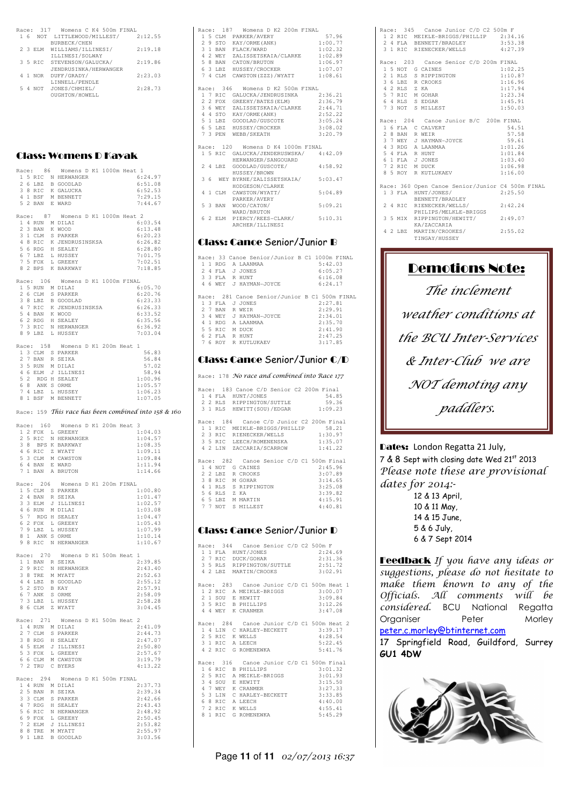| Race: |   | 317     | Womens C K4 500m FINAL  |         |
|-------|---|---------|-------------------------|---------|
|       | 6 |         | NOT LITTLEWOOD/MILLEST/ | 2:12.55 |
|       |   |         | <b>BURBECK/CHEN</b>     |         |
|       |   | 2 3 ELM | WILLIAMS/ILLINESI/      | 2:19.18 |
|       |   |         | ILLINESI/SOLWAY         |         |
|       |   | 3 5 RIC | STEVENSON/GALUCKA/      | 2:19.86 |
|       |   |         | JENDRUSINKA/HERWANGER   |         |
|       |   | 1 NOR   | DUFF/GRADY/             | 2:23.03 |
|       |   |         | LINNELL/PENDLE          |         |
|       | 4 | NOT     | JONES/CHMIEL/           | 2:28.73 |
|       |   |         | OUGHTON/HOWELL          |         |
|       |   |         |                         |         |

#### Class: Womens D Kayak

|   |                 |                | Race: 86 Womens D K1 1000m Heat 1                                                                                                                                    |  |  |                    |                                                      |
|---|-----------------|----------------|----------------------------------------------------------------------------------------------------------------------------------------------------------------------|--|--|--------------------|------------------------------------------------------|
|   |                 |                | 15 RIC N HERWANGER<br>26 LBZ B GOODLAD<br>38 RIC K GALUCKA<br>41 BSF M BENNETT<br>52 BAN E WARD                                                                      |  |  | 6:24.97            |                                                      |
|   |                 |                |                                                                                                                                                                      |  |  | 6:51.08            |                                                      |
|   |                 |                |                                                                                                                                                                      |  |  | 6:52.53            |                                                      |
|   |                 |                |                                                                                                                                                                      |  |  |                    |                                                      |
|   |                 |                |                                                                                                                                                                      |  |  | 7:29.15            |                                                      |
|   |                 |                |                                                                                                                                                                      |  |  | 7:44.67            |                                                      |
|   |                 |                |                                                                                                                                                                      |  |  |                    |                                                      |
|   |                 |                | Race: 87 Womens D K1 1000m Heat 2                                                                                                                                    |  |  |                    |                                                      |
|   |                 |                | 1 4 RUN M DILAI<br>2 3 BAN K WOOD                                                                                                                                    |  |  | 6:03.54            |                                                      |
|   |                 |                |                                                                                                                                                                      |  |  | 6:13.48            |                                                      |
|   |                 |                |                                                                                                                                                                      |  |  | 6:20.23            |                                                      |
|   |                 |                |                                                                                                                                                                      |  |  |                    |                                                      |
|   |                 |                |                                                                                                                                                                      |  |  | 6:26.82            |                                                      |
|   |                 |                | 2 JOHN A ROOM<br>1 STARKER<br>4 8 RIC K JENDRUSINSKSA<br>5 6 RDG H SEALEY<br>7 5 FOX L GREEHY<br>7 5 FOX L GREEHY                                                    |  |  | 6:28.80            |                                                      |
|   |                 |                |                                                                                                                                                                      |  |  | 7:01.75            |                                                      |
|   |                 |                |                                                                                                                                                                      |  |  | 7:02.51            |                                                      |
|   |                 |                | 8 2 BPS K BARKWAY                                                                                                                                                    |  |  | 7:18.85            |                                                      |
|   |                 |                |                                                                                                                                                                      |  |  |                    |                                                      |
|   |                 |                | Race: 106 Womens D K1 1000m FINAL                                                                                                                                    |  |  |                    |                                                      |
|   |                 |                |                                                                                                                                                                      |  |  | 6:05.70            |                                                      |
|   |                 |                |                                                                                                                                                                      |  |  | 6:20.76            |                                                      |
|   |                 |                | $\begin{tabular}{lllllllll} 1 & 5 & RUN & M DILAI \\ 2 & 6 & CLM & S { PARKER} \\ 3 & 8 & LBZ & B & \text{GOODAD} \\ 4 & 7 & RIC & K { JENDRUSINSKSA} \end{tabular}$ |  |  |                    |                                                      |
|   |                 |                |                                                                                                                                                                      |  |  | 6:23.33            |                                                      |
|   |                 |                |                                                                                                                                                                      |  |  | 6:26.33            |                                                      |
|   |                 |                |                                                                                                                                                                      |  |  | 6:33.52            |                                                      |
|   |                 |                |                                                                                                                                                                      |  |  | 6:35.56            |                                                      |
|   |                 |                |                                                                                                                                                                      |  |  | 6:36.92            |                                                      |
|   |                 |                | 5 4 BAN K WOOD<br>6 2 RDG H SEALEY<br>7 3 RIC N HERWANGER<br>8 9 LBZ L HUSSEY                                                                                        |  |  | 7:03.04            |                                                      |
|   |                 |                |                                                                                                                                                                      |  |  |                    |                                                      |
|   |                 |                |                                                                                                                                                                      |  |  |                    |                                                      |
|   |                 |                | Race: 158 Womens D K1 200m Heat 1                                                                                                                                    |  |  |                    |                                                      |
|   |                 |                | 1 3 CLM S PARKER                                                                                                                                                     |  |  | 56.83              |                                                      |
|   |                 |                | 2 7 BAN R SEIKA                                                                                                                                                      |  |  | 56.84              |                                                      |
|   |                 |                | $\begin{tabular}{cc} 3 & 5 RUN & M DILAI \\ 4 & 6 ELM & J ILLINESI \\ \end{tabular}$                                                                                 |  |  | 57.02              |                                                      |
|   |                 |                |                                                                                                                                                                      |  |  | 58.94              |                                                      |
|   |                 |                |                                                                                                                                                                      |  |  | 1:00.96            |                                                      |
|   |                 |                | 5 2 RDG H SEALEY<br>6 8 ANK S ORME                                                                                                                                   |  |  | 1:05.57            |                                                      |
|   |                 |                |                                                                                                                                                                      |  |  | 1:06.23            |                                                      |
|   |                 |                | 7 4 LBZ L HUSSEY<br>8 1 BSF M BENNETT                                                                                                                                |  |  |                    |                                                      |
|   |                 |                |                                                                                                                                                                      |  |  | 1:07.05            |                                                      |
|   |                 |                |                                                                                                                                                                      |  |  |                    |                                                      |
|   |                 |                |                                                                                                                                                                      |  |  |                    | Race: 159 This race has been combined into 158 & 160 |
|   |                 |                |                                                                                                                                                                      |  |  |                    |                                                      |
|   |                 |                | Race: 160 Womens D K1 200m Heat 3                                                                                                                                    |  |  |                    |                                                      |
|   |                 |                |                                                                                                                                                                      |  |  | 1:04.03            |                                                      |
|   |                 |                |                                                                                                                                                                      |  |  | 1:04.57            |                                                      |
|   |                 |                |                                                                                                                                                                      |  |  |                    |                                                      |
|   |                 |                | 3 8 BPS K BARKWAY                                                                                                                                                    |  |  | 1:08.35            |                                                      |
|   |                 |                |                                                                                                                                                                      |  |  |                    |                                                      |
|   |                 |                | 4 6 RIC Z WYATT                                                                                                                                                      |  |  | 1:09.11            |                                                      |
|   |                 |                |                                                                                                                                                                      |  |  | 1:09.84            |                                                      |
|   |                 |                | 5 3 CLM M CAWSTON                                                                                                                                                    |  |  | 1:11.94            |                                                      |
|   |                 |                |                                                                                                                                                                      |  |  | 1:14.66            |                                                      |
|   |                 |                | $\begin{tabular}{llll} 6 & 4 & BAN & E & WARD \\ 7 & 1 & BAN & A & BRUTION \end{tabular}$                                                                            |  |  |                    |                                                      |
|   |                 |                |                                                                                                                                                                      |  |  |                    |                                                      |
|   |                 |                | Race: 206 Womens D K1 200m FINAL                                                                                                                                     |  |  |                    |                                                      |
|   |                 |                | 1 5 CLM S PARKER                                                                                                                                                     |  |  | 1:00.80            |                                                      |
|   |                 |                | 2 4 BAN R SEIKA                                                                                                                                                      |  |  | 1:01.47            |                                                      |
|   |                 |                |                                                                                                                                                                      |  |  | 1:02.57            |                                                      |
|   |                 |                | 3 3 ELM J ILLINESI<br>4 6 RUN M DILAI                                                                                                                                |  |  | 1:03.08            |                                                      |
|   |                 |                | 5 7 RDG H SEALEY                                                                                                                                                     |  |  | 1:04.47            |                                                      |
|   |                 |                |                                                                                                                                                                      |  |  | 1:05.43            |                                                      |
|   |                 |                |                                                                                                                                                                      |  |  | 1:07.99            |                                                      |
|   |                 |                | $\begin{tabular}{ccccc} 6 & 2 & FOX & L & GREEHY \\ 7 & 9 & LBZ & L & HUSSEY \\ \end{tabular}$                                                                       |  |  |                    |                                                      |
|   |                 |                | $8\,$ 1 $\,$ ANK $\,$ S $\,$ ORME $\,$                                                                                                                               |  |  | 1:10.14            |                                                      |
|   |                 |                | 9 8 RIC N HERWANGER                                                                                                                                                  |  |  | 1:10.67            |                                                      |
|   |                 |                |                                                                                                                                                                      |  |  |                    |                                                      |
|   |                 | Race: 270      | Womens D K1 500m Heat 1                                                                                                                                              |  |  |                    |                                                      |
|   |                 |                |                                                                                                                                                                      |  |  | 2:39.85            |                                                      |
|   |                 |                |                                                                                                                                                                      |  |  | 2:43.40            |                                                      |
|   |                 |                |                                                                                                                                                                      |  |  | 2:52.63            |                                                      |
|   |                 |                |                                                                                                                                                                      |  |  | 2:55.12            |                                                      |
|   |                 |                |                                                                                                                                                                      |  |  |                    |                                                      |
|   |                 | 6 7 ANK S ORME | THE RETRA<br>1 1 BAN R SEIKA<br>2 9 RIC N HERWANGER<br>3 8 TRE M MYATT<br>4 4 LBZ B GOODLAD<br>5 2 STO B KAY                                                         |  |  | 2:57.91<br>2:58.09 |                                                      |
|   |                 |                |                                                                                                                                                                      |  |  |                    |                                                      |
|   |                 | 7 3 LBZ        | L HUSSEY                                                                                                                                                             |  |  | 2:58.28            |                                                      |
|   |                 |                | 8 6 CLM Z WYATT                                                                                                                                                      |  |  | 3:04.45            |                                                      |
|   |                 |                |                                                                                                                                                                      |  |  |                    |                                                      |
|   |                 | Race: 271      | Womens D K1 500m Heat                                                                                                                                                |  |  | 2                  |                                                      |
|   |                 |                | 1 4 RUN M DILAI                                                                                                                                                      |  |  | 2:41.09            |                                                      |
| 2 |                 | 7 CLM          | S PARKER                                                                                                                                                             |  |  | 2:44.73            |                                                      |
|   |                 |                | 3 8 RDG H SEALEY                                                                                                                                                     |  |  | 2:47.07            |                                                      |
|   |                 |                | 4 5 ELM J ILLINESI                                                                                                                                                   |  |  | 2:50.80            |                                                      |
|   |                 | 3 FOX          |                                                                                                                                                                      |  |  | 2:57.67            |                                                      |
| 5 |                 |                | L GREEHY                                                                                                                                                             |  |  |                    |                                                      |
|   |                 |                | 6 6 CLM M CAWSTON                                                                                                                                                    |  |  | 3:19.79            |                                                      |
|   |                 |                | 7 2 TRU C BYERS                                                                                                                                                      |  |  | 4:13.22            |                                                      |
|   |                 |                |                                                                                                                                                                      |  |  |                    |                                                      |
|   |                 |                | Race: 294 Womens D K1 500m FINAL                                                                                                                                     |  |  |                    |                                                      |
|   |                 |                | 1 4 RUN M DILAI                                                                                                                                                      |  |  | 2:37.73            |                                                      |
|   |                 |                | 2 5 BAN R SEIKA                                                                                                                                                      |  |  | 2:39.34            |                                                      |
| 3 |                 |                | 3 CLM S PARKER                                                                                                                                                       |  |  | 2:42.66            |                                                      |
| 4 | $7\phantom{.0}$ | RDG            |                                                                                                                                                                      |  |  | 2:43.43            |                                                      |
|   |                 |                | H SEALEY                                                                                                                                                             |  |  |                    |                                                      |
|   | 5 6             |                | RIC N HERWANGER                                                                                                                                                      |  |  | 2:48.92            |                                                      |
|   |                 | 6 9 FOX        | L GREEHY                                                                                                                                                             |  |  | 2:50.45            |                                                      |
|   |                 |                | 7 2 ELM J ILLINESI                                                                                                                                                   |  |  | 2:53.82            |                                                      |
| 8 | 8               | TRE            | M MYATT<br>9 1 LBZ B GOODLAD                                                                                                                                         |  |  | 2:55.97<br>3:03.56 |                                                      |

|                        |  | Race: 187 Womens D K2 200m FINAL              |         |
|------------------------|--|-----------------------------------------------|---------|
|                        |  | 1 5 CLM PARKER/AVERY                          | 57.96   |
|                        |  | 2 9 STO KAY/ORME (ANK)                        | 1:00.77 |
|                        |  | 3 1 BAN FLACK/WARD                            | 1:02.32 |
|                        |  | 4 2 WEY ZALISSETSKAIA/CLARKE 1:02.89          |         |
|                        |  | 5 8 BAN CATON/BRUTON                          | 1:06.97 |
|                        |  | 6 3 LBZ HUSSEY/CROCKER                        | 1:07.07 |
|                        |  | 7 4 CLM CAWSTON(ZZZ)/WYATT 1:08.61            |         |
|                        |  | Race: 346 Womens D K2 500m FINAL              |         |
|                        |  | 1 7 RIC GALUCKA/JENDRUSINKA                   | 2:36.21 |
|                        |  | 2 2 FOX GREEHY/BATES (ELM)                    | 2:36.79 |
|                        |  | 3 6 WEY ZALISSETSKAIA/CLARKE 2:44.71          |         |
|                        |  |                                               |         |
|                        |  | 4 4 STO KAY/ORME (ANK)                        | 2:52.22 |
|                        |  | 5 1 LBZ GOODLAD/GUSCOTE                       | 3:05.24 |
|                        |  | 6 5 LBZ HUSSEY/CROCKER                        | 3:08.02 |
|                        |  | 7 3 PEN WEBB/SKEATH                           | 3:20.79 |
|                        |  | Race: 120 Womens D K4 1000m FINAL             |         |
|                        |  | 1 5 RIC GALUCKA/JENDERUSWSKA/ 4:42.09         |         |
|                        |  | HERWANGER/SANGOUARD                           |         |
|                        |  | 2 4 LBZ GOODLAD/GUSCOTE/                      | 4:58.92 |
|                        |  | HUSSEY/BROWN                                  |         |
|                        |  | 3 6 WEY BYRNE/ZALISSETSKAIA/ 5:03.47          |         |
|                        |  | HODGESON/CLARKE                               |         |
|                        |  | 4 1 CLM CAWSTON/WYATT/                        | 5:04.89 |
|                        |  | PARKER/AVERY                                  |         |
|                        |  | 5 3 BAN WOOD/CATON/                           | 5:09.21 |
|                        |  | WARD/BRUTON                                   |         |
|                        |  | 6 2 ELM PIERCY/REES-CLARK/ 5:10.31            |         |
|                        |  | ARCHER/ILLINESI                               |         |
|                        |  |                                               |         |
|                        |  |                                               |         |
|                        |  | <b>Class: Cance Senior/Junior B</b>           |         |
|                        |  | Race: 33 Canoe Senior/Junior B C1 1000m FINAL |         |
|                        |  | 1 1 RDG A LAANMAA                             | 5:42.03 |
|                        |  | 2 4 FLA J JONES                               | 6:05.27 |
|                        |  | 3 3 FLA R HUNT                                | 6:16.08 |
| 4 6 WEY J HAYMAN-JOYCE |  |                                               |         |

|  |  | Race: 281 Canoe Senior/Junior B C1 500m FINAL |         |
|--|--|-----------------------------------------------|---------|
|  |  | 1 3 FLA J JONES                               | 2:27.81 |
|  |  | 2 7 BAN R WEIR                                | 2:29.91 |
|  |  | 3 4 WEY J HAYMAN-JOYCE                        | 2:34.01 |
|  |  | 4 1 RDG A LAANMAA                             | 2:35.70 |
|  |  | 5 5 RIC M DUCK                                | 2:41.90 |
|  |  | 6 2 FLA R HUNT                                | 2:47.25 |
|  |  | 7 6 ROY R KUTLUKAEV                           | 3:17.85 |

#### Class: Canoe Senior/Junior C/D

Race: 178 No race and combined into Race 177

| Race: 183 Canoe C/D Senior C2 200m Final                                                                                                                                                                                                                                                                                                             |
|------------------------------------------------------------------------------------------------------------------------------------------------------------------------------------------------------------------------------------------------------------------------------------------------------------------------------------------------------|
| Race: 184 Canoe C/D Junior C2 200m Final<br>$\begin{tabular}{llllll} 1 & \texttt{RIC} & \texttt{MEIKLE-BRIGGS/PHLLLIP} & & 58.21 \\ 2 & \texttt{3 RIC} & \texttt{REENECKER}/\texttt{WELLS} & & 1:30.97 \\ 3 & \texttt{5 RIC} & \texttt{LEECAFAOMENENSKA} & & 1:35.07 \\ 4 & \texttt{2 LIN} & \texttt{ZACCARIA/SCARKOW} & & 1:41.22 \\ \end{tabular}$ |
| Race: 282 Canoe Senior C/D C1 500m Final<br>1 4 NOT G CAINES<br>2:45.96<br>2 2 LBZ R CROOKS<br>3:07.89<br>3 8 RIC M GOHAR<br>4 1 RLS S RIPPINGTON<br>5 6 RLS Z KA<br>3:14.65<br>3:25.08<br>3:39.82<br>6 5 LBZ M MARTIN<br>7 7 NOT S MILLEST<br>4:15.91<br>4:40.81                                                                                    |
| <b>Class: Cance Senior/Junior D</b>                                                                                                                                                                                                                                                                                                                  |
| Race: 344 Canoe Senior C/D C2 500m F<br>1 1 FLA HUNT/JONES<br>2:24.69<br>2 7 RIC DUCK/GOHAR<br>3 5 RLS RIPPINGTON/SUTTLE<br>2:31.36<br>2:51.72<br>4 2 LBZ MARTIN/CROOKS<br>3:02.91                                                                                                                                                                   |
| Race: 283 Canoe Junior C/D C1 500m Heat 1<br>1 2 RIC A MEIKLE-BRIGGS<br>3:00.07<br>2 1 SOU E HEWITT<br>3 5 RIC B PHILLIPS<br>4 4 WEY K CRANMER<br>3:09.84<br>3:12.26<br>3:47.08                                                                                                                                                                      |
| Race: 284 Canoe Junior C/D C1 500m Heat 2<br>1 4 LIN C HARLEY-BECKETT<br>3:39.17<br>2 5 RIC K WELLS<br>4:28.54<br>3 1 RIC A LEECH<br>5:22.45<br>4 2 RIC G ROMENEWKA<br>5:41.76                                                                                                                                                                       |
| Race: 316 Canoe Junior C/D C1 500m Final<br>1 6 RIC B PHILLIPS<br>3:01.32<br>2 5 RIC A MEIKLE-BRIGGS<br>3 4 SOUL B UTLIEF<br>3:01.93<br>3 4 SOU E HEWITT<br>3:15.50<br>3:27.33<br>4 7 WEY K CRANMER<br>5 3 LIN C HARLEY-BECKETT                                                                                                                      |

|  | Race: 345 Canoe Junior C/D C2 500m F                                                                                                  |                        |
|--|---------------------------------------------------------------------------------------------------------------------------------------|------------------------|
|  | 1 2 RIC MEIKLE-BRIGGS/PHILLIP 2:34.16                                                                                                 |                        |
|  | 2 4 FLA BENNETT/BRADLEY 3:53.38<br>3 1 RIC RIENECKER/WELLS 4:27.39                                                                    |                        |
|  |                                                                                                                                       |                        |
|  |                                                                                                                                       |                        |
|  | Race: 203 Canoe Senior C/D 200m FINAL                                                                                                 |                        |
|  | 2 JAMJ & CAINES<br>2 1 RLS S RIPPINGTON<br>3 6 LBZ R CROOKS<br>4 2 RLS Z KA<br>5 7 RIC M GOHAR<br>6 4 RLS S EDGAR<br>7 3 MOT C WILLET | 1:02.25                |
|  |                                                                                                                                       | 1:10.87                |
|  |                                                                                                                                       | 1:16.96                |
|  |                                                                                                                                       | 1:17.94                |
|  |                                                                                                                                       | 1:23.34                |
|  |                                                                                                                                       |                        |
|  | 7 3 NOT S MILLEST                                                                                                                     | $1:45.91$<br>$1:50.03$ |
|  |                                                                                                                                       |                        |
|  | Race: 204 Canoe Junior B/C 200m FINAL                                                                                                 |                        |
|  | 1 6 FLA C CALVERT                                                                                                                     | 54.51                  |
|  |                                                                                                                                       |                        |
|  |                                                                                                                                       |                        |
|  |                                                                                                                                       |                        |
|  |                                                                                                                                       |                        |
|  |                                                                                                                                       |                        |
|  |                                                                                                                                       |                        |
|  | 7 2 RIC M DUCK 1:06.98<br>8 5 ROY R KUTLUKAEV 1:16.00                                                                                 |                        |
|  |                                                                                                                                       |                        |
|  | Race: 360 Open Canoe Senior/Junior C4 500m FINAL                                                                                      |                        |
|  | 1 3 FLA HUNT/JONES/                                                                                                                   | 2:25.50                |
|  | BENNETT/BRADLEY                                                                                                                       |                        |
|  | 2 4 RIC RIENECKER/WELLS/ 2:42.24                                                                                                      |                        |
|  | PHILIPS/MELKLE-BRIGGS                                                                                                                 |                        |
|  | 3 5 MIX RIPPINGTON/HEWITT/ $2:49.07$                                                                                                  |                        |
|  | KA/ZACCARIA                                                                                                                           |                        |
|  | 4 2 LBZ MARTIN/CROOKES/                                                                                                               | 2:55.02                |
|  | TINGAY/HUSSEY                                                                                                                         |                        |

## Demotions Note:

The inclement weather conditions at the BCU Inter-Services & Inter-Club we are NOT demoting any paddlers.

Dates: London Regatta 21 July, 7 & 8 Sept with closing date Wed 21st 2013 Please note these are provisional dates for 2014:- 12 & 13 April,

 10 & 11 May, 14 & 15 June, 5 & 6 July, 6 & 7 Sept 2014

**Feedback** If you have any ideas or suggestions, please do not hesitate to make them known to any of the Officials. All comments will be considered. BCU National Regatta Organiser Peter Morley peter.c.morley@btinternet.com

17 Springfield Road, Guildford, Surrey GU1 4DW

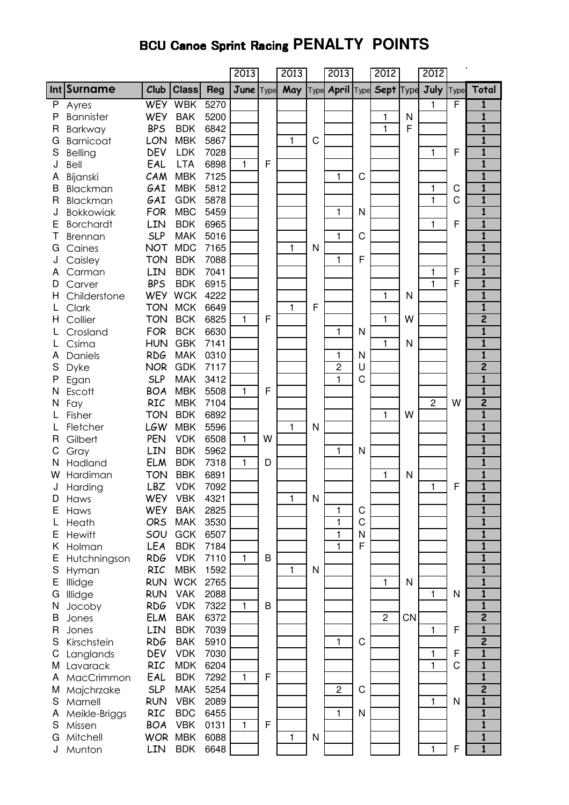# **BCU Canoe Sprint Racing PENALTY POINTS**

|              |                  |            |              |            | 2013         |      | 2013         |   | 2013            |   | 2012                    |           | 2012           |      |                         |
|--------------|------------------|------------|--------------|------------|--------------|------|--------------|---|-----------------|---|-------------------------|-----------|----------------|------|-------------------------|
|              | Int Surname      | Club       | <b>Class</b> | <b>Reg</b> | June         | Type | May          |   | Type April Type |   | <b>Sept Type</b>        |           | July           | Type | Total                   |
| P            | Ayres            | <b>WEY</b> | <b>WBK</b>   | 5270       |              |      |              |   |                 |   |                         |           | 1              | F    | 1                       |
| P            | <b>Bannister</b> | <b>WEY</b> | <b>BAK</b>   | 5200       |              |      |              |   |                 |   | 1                       | N         |                |      | $\overline{\mathbf{1}}$ |
| R            | <b>Barkway</b>   | <b>BPS</b> | <b>BDK</b>   | 6842       |              |      |              |   |                 |   | $\mathbf{1}$            | F         |                |      | $\mathbf{1}$            |
| G            | <b>Barnicoat</b> | LON        | <b>MBK</b>   | 5867       |              |      | 1            | C |                 |   |                         |           |                |      | $\mathbf{1}$            |
| S            | Belling          | DEV        | <b>LDK</b>   | 7028       |              |      |              |   |                 |   |                         |           | 1              | F    | $\overline{\mathbf{1}}$ |
| J            | Bell             | EAL        | <b>LTA</b>   | 6898       | $\mathbf{1}$ | F    |              |   |                 |   |                         |           |                |      | $\overline{\mathbf{1}}$ |
| Α            | Bijanski         | CAM        | <b>MBK</b>   | 7125       |              |      |              |   | 1               | C |                         |           |                |      | $\overline{\mathbf{1}}$ |
| B            | Blackman         | GAI        | <b>MBK</b>   | 5812       |              |      |              |   |                 |   |                         |           | 1              | C    | $\overline{\mathbf{1}}$ |
| R            | Blackman         | GAI        | <b>GDK</b>   | 5878       |              |      |              |   |                 |   |                         |           | 1              | C    | $\overline{\mathbf{1}}$ |
| J            | <b>Bokkowiak</b> | <b>FOR</b> | <b>MBC</b>   | 5459       |              |      |              |   | 1               | N |                         |           |                |      | $\mathbf{1}$            |
| E            | <b>Borchardt</b> | LIN        | <b>BDK</b>   | 6965       |              |      |              |   |                 |   |                         |           | 1              | F    | $\mathbf{1}$            |
| Τ            | <b>Brennan</b>   | <b>SLP</b> | <b>MAK</b>   | 5016       |              |      |              |   | 1               | C |                         |           |                |      | 1                       |
| G            | Caines           | <b>NOT</b> | <b>MDC</b>   | 7165       |              |      | 1            | N |                 |   |                         |           |                |      | $\mathbf{1}$            |
| J            | Caisley          | <b>TON</b> | <b>BDK</b>   | 7088       |              |      |              |   | 1               | F |                         |           |                |      | 1                       |
| А            | Carman           | LIN        | <b>BDK</b>   | 7041       |              |      |              |   |                 |   |                         |           | 1              | F    | $\overline{\mathbf{1}}$ |
| D            | Carver           | <b>BPS</b> | <b>BDK</b>   | 6915       |              |      |              |   |                 |   |                         |           | 1              | F    | $\mathbf{1}$            |
| H            | Childerstone     | <b>WEY</b> | <b>WCK</b>   | 4222       |              |      |              |   |                 |   | 1                       | N         |                |      | $\mathbf{1}$            |
|              | Clark            | <b>TON</b> | <b>MCK</b>   | 6649       |              |      | $\mathbf{1}$ | F |                 |   |                         |           |                |      | $\overline{\mathbf{1}}$ |
| н            | Collier          | <b>TON</b> | <b>BCK</b>   | 6825       | 1            | F    |              |   |                 |   | 1                       | W         |                |      | $\overline{2}$          |
|              | Crosland         | <b>FOR</b> | <b>BCK</b>   | 6630       |              |      |              |   | 1               | N |                         |           |                |      | $\mathbf{1}$            |
|              | Csima            | <b>HUN</b> | <b>GBK</b>   | 7141       |              |      |              |   |                 |   | 1                       | N         |                |      | $\overline{\mathbf{1}}$ |
| Α            | Daniels          | <b>RDG</b> | <b>MAK</b>   | 0310       |              |      |              |   | 1               | N |                         |           |                |      | $\overline{\mathbf{1}}$ |
| S            | <b>Dyke</b>      | <b>NOR</b> | <b>GDK</b>   | 7117       |              |      |              |   | 2               | U |                         |           |                |      | $\overline{2}$          |
| Ρ            | Egan             | <b>SLP</b> | <b>MAK</b>   | 3412       |              |      |              |   | $\mathbf{1}$    | C |                         |           |                |      | $\overline{\mathbf{1}}$ |
| N            | Escott           | <b>BOA</b> | <b>MBK</b>   | 5508       | 1            | F    |              |   |                 |   |                         |           |                |      | $\overline{\mathbf{1}}$ |
| N            | Fay              | <b>RIC</b> | <b>MBK</b>   | 7104       |              |      |              |   |                 |   |                         |           | $\overline{2}$ | W    | $\overline{2}$          |
|              | Fisher           | <b>TON</b> | <b>BDK</b>   | 6892       |              |      |              |   |                 |   | 1                       | W         |                |      | $\overline{\mathbf{1}}$ |
|              | Fletcher         | <b>LGW</b> | <b>MBK</b>   | 5596       |              |      | $\mathbf{1}$ | N |                 |   |                         |           |                |      | $\mathbf{1}$            |
| R            | Gilbert          | <b>PEN</b> | <b>VDK</b>   | 6508       | 1            | W    |              |   |                 |   |                         |           |                |      | $\overline{\mathbf{1}}$ |
| С            | Gray             | LIN        | <b>BDK</b>   | 5962       |              |      |              |   | $\mathbf 1$     | N |                         |           |                |      | $\overline{\mathbf{1}}$ |
| N            | Hadland          | <b>ELM</b> | <b>BDK</b>   | 7318       | $\mathbf{1}$ | D    |              |   |                 |   |                         |           |                |      | $\overline{\mathbf{1}}$ |
| w            | Hardiman         | <b>TON</b> | <b>BBK</b>   | 6891       |              |      |              |   |                 |   | 1                       | N         |                |      | $\overline{\mathbf{1}}$ |
| J            | Harding          | LBZ        | <b>VDK</b>   | 7092       |              |      |              |   |                 |   |                         |           | 1              | F    | $\overline{\mathbf{1}}$ |
| D            | Haws             | WEY        | <b>VBK</b>   | 4321       |              |      | 1            | Ν |                 |   |                         |           |                |      | ı                       |
| E            | Haws             | <b>WEY</b> | <b>BAK</b>   | 2825       |              |      |              |   | 1               | C |                         |           |                |      | $\mathbf{1}$            |
|              | Heath            | <b>ORS</b> | <b>MAK</b>   | 3530       |              |      |              |   | 1               | C |                         |           |                |      | 1                       |
| Е            | <b>Hewitt</b>    | SOU        | <b>GCK</b>   | 6507       |              |      |              |   | 1               | N |                         |           |                |      | $\mathbf{1}$            |
| Κ            | Holman           | LEA        | <b>BDK</b>   | 7184       |              |      |              |   | 1               | F |                         |           |                |      | $\mathbf{1}$            |
| Е            | Hutchningson     | <b>RDG</b> | <b>VDK</b>   | 7110       | 1            | B    |              |   |                 |   |                         |           |                |      | $\mathbf{1}$            |
| S            | Hyman            | <b>RIC</b> | <b>MBK</b>   | 1592       |              |      | 1            | N |                 |   |                         |           |                |      | $\overline{\mathbf{1}}$ |
| Ε            | Illidge          | <b>RUN</b> | <b>WCK</b>   | 2765       |              |      |              |   |                 |   | 1                       | N         |                |      | $\mathbf{1}$            |
| G            | Illidge          | <b>RUN</b> | <b>VAK</b>   | 2088       |              |      |              |   |                 |   |                         |           | 1              | N    | $\overline{\mathbf{1}}$ |
| N            | Jocoby           | <b>RDG</b> | <b>VDK</b>   | 7322       | 1            | B    |              |   |                 |   |                         |           |                |      | $\overline{\mathbf{1}}$ |
| B            | Jones            | <b>ELM</b> | <b>BAK</b>   | 6372       |              |      |              |   |                 |   | $\overline{\mathbf{c}}$ | <b>CN</b> |                |      | $\overline{2}$          |
| $\mathsf{R}$ | Jones            | LIN        | <b>BDK</b>   | 7039       |              |      |              |   |                 |   |                         |           | 1              | F    | $\overline{\mathbf{1}}$ |
| S            | Kirschstein      | <b>RDG</b> | <b>BAK</b>   | 5910       |              |      |              |   | $\mathbf{1}$    | C |                         |           |                |      | $\overline{2}$          |
| С            | Langlands        | DEV        | <b>VDK</b>   | 7030       |              |      |              |   |                 |   |                         |           | 1              | F    | $\mathbf{1}$            |
| М            | Lavarack         | <b>RIC</b> | <b>MDK</b>   | 6204       |              |      |              |   |                 |   |                         |           | 1              | C    | 1                       |
| Α            | MacCrimmon       | EAL        | <b>BDK</b>   | 7292       | 1            | F    |              |   |                 |   |                         |           |                |      | $\mathbf{1}$            |
| M            | Majchrzake       | <b>SLP</b> | <b>MAK</b>   | 5254       |              |      |              |   | $\overline{c}$  | C |                         |           |                |      | $\overline{2}$          |
| S            | Marnell          | <b>RUN</b> | <b>VBK</b>   | 2089       |              |      |              |   |                 |   |                         |           | 1              | N    | 1                       |
| Α            | Meikle-Briggs    | <b>RIC</b> | <b>BDC</b>   | 6455       |              |      |              |   | 1               | N |                         |           |                |      | $\mathbf{1}$            |
| S            | Missen           | <b>BOA</b> | <b>VBK</b>   | 0131       | 1            | F    |              |   |                 |   |                         |           |                |      | 1                       |
| G            | Mitchell         | <b>WOR</b> | <b>MBK</b>   | 6088       |              |      | 1            | N |                 |   |                         |           |                |      | 1                       |
|              | Munton           | LIN        | <b>BDK</b>   | 6648       |              |      |              |   |                 |   |                         |           | 1              | F    | $\overline{\mathbf{1}}$ |